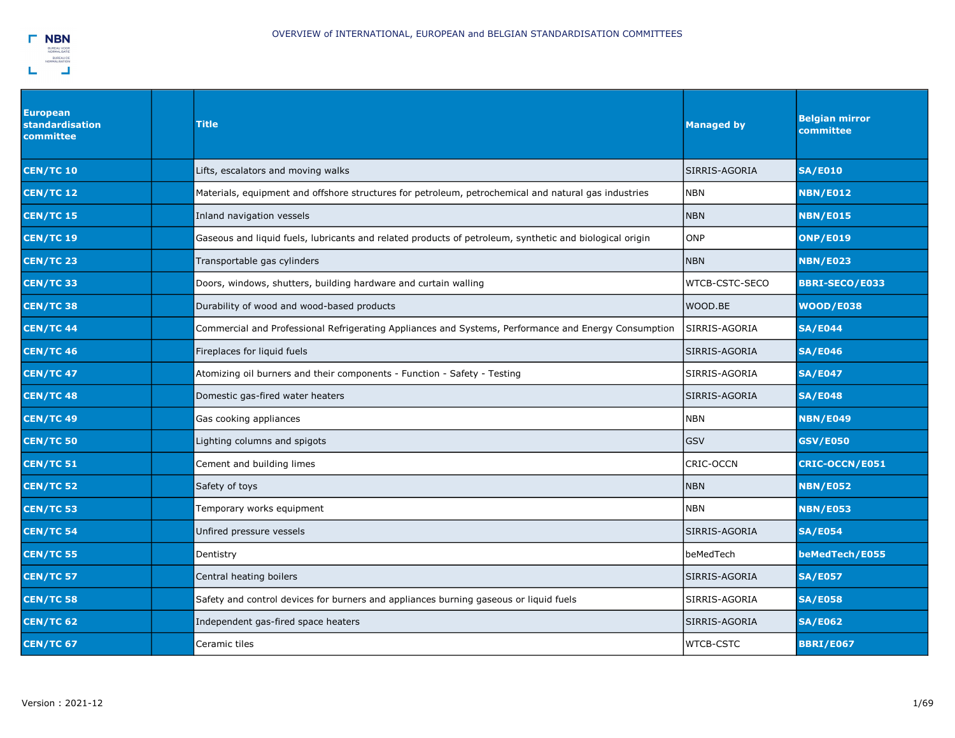

| European<br>standardisation<br>committee | Title                                                                                                   | <b>Managed by</b> | <b>Belgian mirror</b><br>committee |
|------------------------------------------|---------------------------------------------------------------------------------------------------------|-------------------|------------------------------------|
| <b>CEN/TC 10</b>                         | Lifts, escalators and moving walks                                                                      | SIRRIS-AGORIA     | <b>SA/E010</b>                     |
| <b>CEN/TC 12</b>                         | Materials, equipment and offshore structures for petroleum, petrochemical and natural gas industries    | <b>NBN</b>        | <b>NBN/E012</b>                    |
| <b>CEN/TC 15</b>                         | Inland navigation vessels                                                                               | <b>NBN</b>        | <b>NBN/E015</b>                    |
| <b>CEN/TC 19</b>                         | Gaseous and liquid fuels, lubricants and related products of petroleum, synthetic and biological origin | <b>ONP</b>        | <b>ONP/E019</b>                    |
| <b>CEN/TC 23</b>                         | Transportable gas cylinders                                                                             | <b>NBN</b>        | <b>NBN/E023</b>                    |
| <b>CEN/TC 33</b>                         | Doors, windows, shutters, building hardware and curtain walling                                         | WTCB-CSTC-SECO    | <b>BBRI-SECO/E033</b>              |
| <b>CEN/TC 38</b>                         | Durability of wood and wood-based products                                                              | WOOD.BE           | <b>WOOD/E038</b>                   |
| <b>CEN/TC 44</b>                         | Commercial and Professional Refrigerating Appliances and Systems, Performance and Energy Consumption    | SIRRIS-AGORIA     | <b>SA/E044</b>                     |
| <b>CEN/TC 46</b>                         | Fireplaces for liquid fuels                                                                             | SIRRIS-AGORIA     | <b>SA/E046</b>                     |
| <b>CEN/TC 47</b>                         | Atomizing oil burners and their components - Function - Safety - Testing                                | SIRRIS-AGORIA     | <b>SA/E047</b>                     |
| <b>CEN/TC 48</b>                         | Domestic gas-fired water heaters                                                                        | SIRRIS-AGORIA     | <b>SA/E048</b>                     |
| <b>CEN/TC 49</b>                         | Gas cooking appliances                                                                                  | <b>NBN</b>        | <b>NBN/E049</b>                    |
| <b>CEN/TC 50</b>                         | Lighting columns and spigots                                                                            | <b>GSV</b>        | <b>GSV/E050</b>                    |
| <b>CEN/TC 51</b>                         | Cement and building limes                                                                               | CRIC-OCCN         | <b>CRIC-OCCN/E051</b>              |
| <b>CEN/TC 52</b>                         | Safety of toys                                                                                          | <b>NBN</b>        | <b>NBN/E052</b>                    |
| <b>CEN/TC 53</b>                         | Temporary works equipment                                                                               | <b>NBN</b>        | <b>NBN/E053</b>                    |
| <b>CEN/TC 54</b>                         | Unfired pressure vessels                                                                                | SIRRIS-AGORIA     | <b>SA/E054</b>                     |
| <b>CEN/TC 55</b>                         | Dentistry                                                                                               | beMedTech         | beMedTech/E055                     |
| <b>CEN/TC 57</b>                         | Central heating boilers                                                                                 | SIRRIS-AGORIA     | <b>SA/E057</b>                     |
| <b>CEN/TC 58</b>                         | Safety and control devices for burners and appliances burning gaseous or liquid fuels                   | SIRRIS-AGORIA     | <b>SA/E058</b>                     |
| <b>CEN/TC 62</b>                         | Independent gas-fired space heaters                                                                     | SIRRIS-AGORIA     | <b>SA/E062</b>                     |
| <b>CEN/TC 67</b>                         | Ceramic tiles                                                                                           | <b>WTCB-CSTC</b>  | <b>BBRI/E067</b>                   |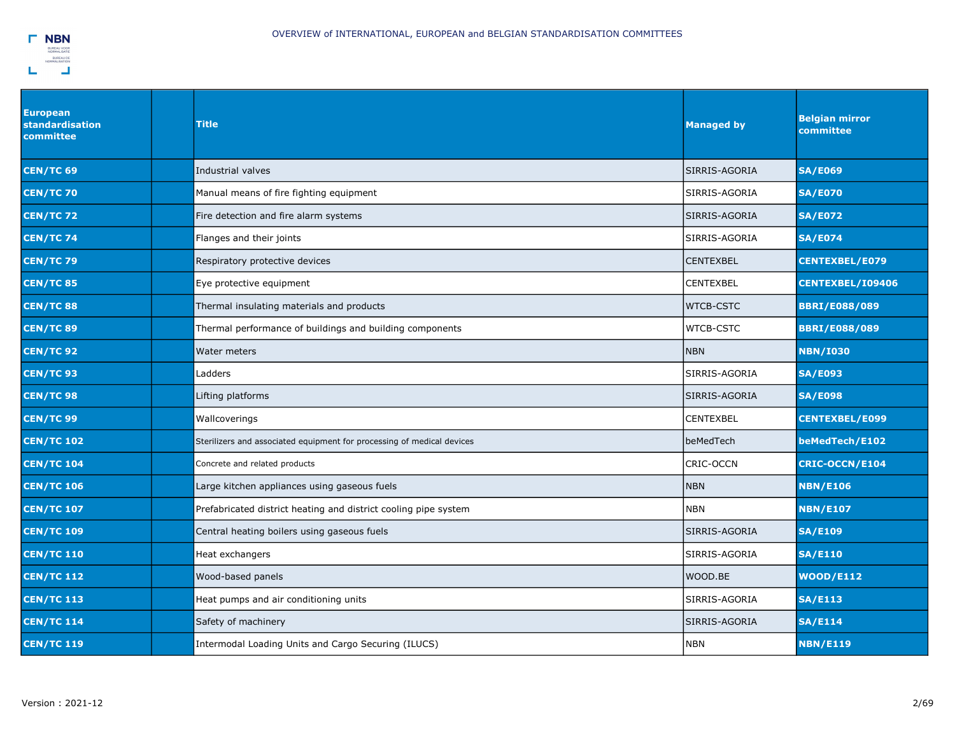| <b>European</b><br>standardisation<br>committee | <b>Title</b>                                                           | <b>Managed by</b> | <b>Belgian mirror</b><br>committee |
|-------------------------------------------------|------------------------------------------------------------------------|-------------------|------------------------------------|
| <b>CEN/TC 69</b>                                | Industrial valves                                                      | SIRRIS-AGORIA     | <b>SA/E069</b>                     |
| <b>CEN/TC 70</b>                                | Manual means of fire fighting equipment                                | SIRRIS-AGORIA     | <b>SA/E070</b>                     |
| <b>CEN/TC 72</b>                                | Fire detection and fire alarm systems                                  | SIRRIS-AGORIA     | <b>SA/E072</b>                     |
| <b>CEN/TC 74</b>                                | Flanges and their joints                                               | SIRRIS-AGORIA     | <b>SA/E074</b>                     |
| <b>CEN/TC 79</b>                                | Respiratory protective devices                                         | <b>CENTEXBEL</b>  | <b>CENTEXBEL/E079</b>              |
| <b>CEN/TC 85</b>                                | Eye protective equipment                                               | CENTEXBEL         | <b>CENTEXBEL/I09406</b>            |
| <b>CEN/TC 88</b>                                | Thermal insulating materials and products                              | <b>WTCB-CSTC</b>  | <b>BBRI/E088/089</b>               |
| <b>CEN/TC 89</b>                                | Thermal performance of buildings and building components               | WTCB-CSTC         | <b>BBRI/E088/089</b>               |
| <b>CEN/TC 92</b>                                | Water meters                                                           | <b>NBN</b>        | <b>NBN/I030</b>                    |
| <b>CEN/TC 93</b>                                | Ladders                                                                | SIRRIS-AGORIA     | <b>SA/E093</b>                     |
| <b>CEN/TC 98</b>                                | Lifting platforms                                                      | SIRRIS-AGORIA     | <b>SA/E098</b>                     |
| <b>CEN/TC 99</b>                                | Wallcoverings                                                          | CENTEXBEL         | <b>CENTEXBEL/E099</b>              |
| <b>CEN/TC 102</b>                               | Sterilizers and associated equipment for processing of medical devices | beMedTech         | beMedTech/E102                     |
| <b>CEN/TC 104</b>                               | Concrete and related products                                          | CRIC-OCCN         | <b>CRIC-OCCN/E104</b>              |
| <b>CEN/TC 106</b>                               | Large kitchen appliances using gaseous fuels                           | <b>NBN</b>        | <b>NBN/E106</b>                    |
| <b>CEN/TC 107</b>                               | Prefabricated district heating and district cooling pipe system        | NBN               | <b>NBN/E107</b>                    |
| <b>CEN/TC 109</b>                               | Central heating boilers using gaseous fuels                            | SIRRIS-AGORIA     | <b>SA/E109</b>                     |
| <b>CEN/TC 110</b>                               | Heat exchangers                                                        | SIRRIS-AGORIA     | <b>SA/E110</b>                     |
| <b>CEN/TC 112</b>                               | Wood-based panels                                                      | WOOD.BE           | <b>WOOD/E112</b>                   |
| <b>CEN/TC 113</b>                               | Heat pumps and air conditioning units                                  | SIRRIS-AGORIA     | <b>SA/E113</b>                     |
| <b>CEN/TC 114</b>                               | Safety of machinery                                                    | SIRRIS-AGORIA     | <b>SA/E114</b>                     |
| <b>CEN/TC 119</b>                               | Intermodal Loading Units and Cargo Securing (ILUCS)                    | <b>NBN</b>        | <b>NBN/E119</b>                    |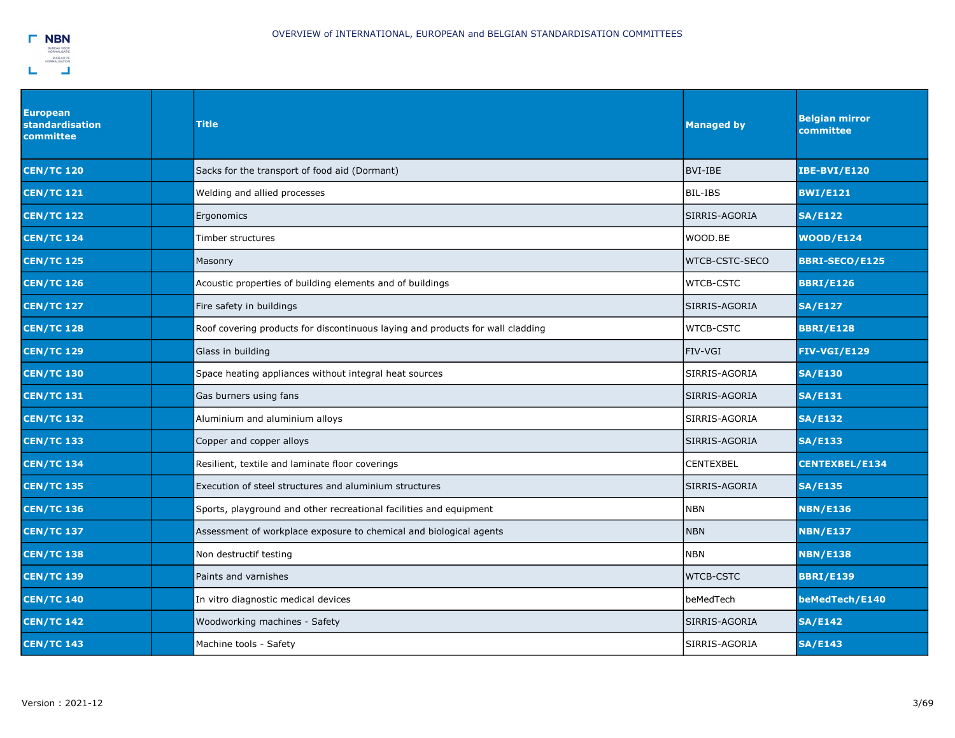

| <b>European</b><br><b>standardisation</b><br>committee | <b>Title</b>                                                                   | <b>Managed by</b> | <b>Belgian mirror</b><br>committee |
|--------------------------------------------------------|--------------------------------------------------------------------------------|-------------------|------------------------------------|
| <b>CEN/TC 120</b>                                      | Sacks for the transport of food aid (Dormant)                                  | BVI-IBE           | <b>IBE-BVI/E120</b>                |
| <b>CEN/TC 121</b>                                      | Welding and allied processes                                                   | BIL-IBS           | <b>BWI/E121</b>                    |
| <b>CEN/TC 122</b>                                      | Ergonomics                                                                     | SIRRIS-AGORIA     | <b>SA/E122</b>                     |
| <b>CEN/TC 124</b>                                      | Timber structures                                                              | WOOD.BE           | <b>WOOD/E124</b>                   |
| <b>CEN/TC 125</b>                                      | Masonry                                                                        | WTCB-CSTC-SECO    | <b>BBRI-SECO/E125</b>              |
| <b>CEN/TC 126</b>                                      | Acoustic properties of building elements and of buildings                      | <b>WTCB-CSTC</b>  | <b>BBRI/E126</b>                   |
| <b>CEN/TC 127</b>                                      | Fire safety in buildings                                                       | SIRRIS-AGORIA     | <b>SA/E127</b>                     |
| <b>CEN/TC 128</b>                                      | Roof covering products for discontinuous laying and products for wall cladding | <b>WTCB-CSTC</b>  | <b>BBRI/E128</b>                   |
| <b>CEN/TC 129</b>                                      | Glass in building                                                              | FIV-VGI           | <b>FIV-VGI/E129</b>                |
| <b>CEN/TC 130</b>                                      | Space heating appliances without integral heat sources                         | SIRRIS-AGORIA     | <b>SA/E130</b>                     |
| <b>CEN/TC 131</b>                                      | Gas burners using fans                                                         | SIRRIS-AGORIA     | <b>SA/E131</b>                     |
| <b>CEN/TC 132</b>                                      | Aluminium and aluminium alloys                                                 | SIRRIS-AGORIA     | <b>SA/E132</b>                     |
| <b>CEN/TC 133</b>                                      | Copper and copper alloys                                                       | SIRRIS-AGORIA     | <b>SA/E133</b>                     |
| <b>CEN/TC 134</b>                                      | Resilient, textile and laminate floor coverings                                | <b>CENTEXBEL</b>  | <b>CENTEXBEL/E134</b>              |
| <b>CEN/TC 135</b>                                      | Execution of steel structures and aluminium structures                         | SIRRIS-AGORIA     | <b>SA/E135</b>                     |
| <b>CEN/TC 136</b>                                      | Sports, playground and other recreational facilities and equipment             | <b>NBN</b>        | <b>NBN/E136</b>                    |
| <b>CEN/TC 137</b>                                      | Assessment of workplace exposure to chemical and biological agents             | <b>NBN</b>        | <b>NBN/E137</b>                    |
| <b>CEN/TC 138</b>                                      | Non destructif testing                                                         | <b>NBN</b>        | <b>NBN/E138</b>                    |
| <b>CEN/TC 139</b>                                      | Paints and varnishes                                                           | <b>WTCB-CSTC</b>  | <b>BBRI/E139</b>                   |
| <b>CEN/TC 140</b>                                      | In vitro diagnostic medical devices                                            | beMedTech         | beMedTech/E140                     |
| <b>CEN/TC 142</b>                                      | Woodworking machines - Safety                                                  | SIRRIS-AGORIA     | <b>SA/E142</b>                     |
| <b>CEN/TC 143</b>                                      | Machine tools - Safety                                                         | SIRRIS-AGORIA     | <b>SA/E143</b>                     |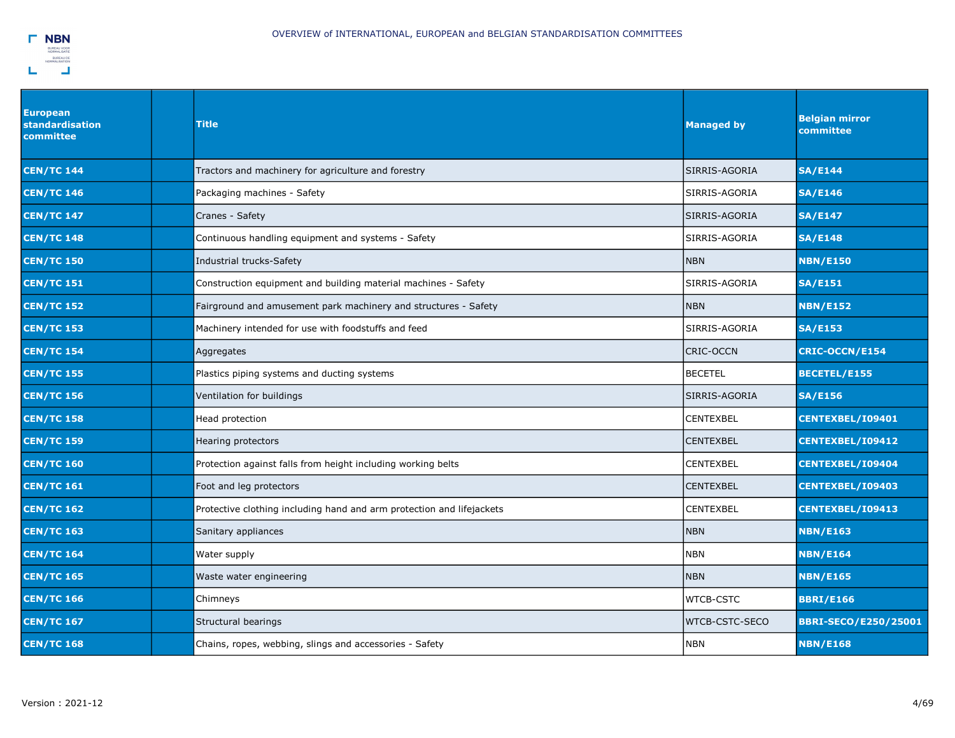

| <b>European</b><br><b>standardisation</b><br>committee | <b>Title</b>                                                          | <b>Managed by</b>     | <b>Belgian mirror</b><br>committee |
|--------------------------------------------------------|-----------------------------------------------------------------------|-----------------------|------------------------------------|
| <b>CEN/TC 144</b>                                      | Tractors and machinery for agriculture and forestry                   | SIRRIS-AGORIA         | <b>SA/E144</b>                     |
| <b>CEN/TC 146</b>                                      | Packaging machines - Safety                                           | SIRRIS-AGORIA         | <b>SA/E146</b>                     |
| <b>CEN/TC 147</b>                                      | Cranes - Safety                                                       | SIRRIS-AGORIA         | <b>SA/E147</b>                     |
| <b>CEN/TC 148</b>                                      | Continuous handling equipment and systems - Safety                    | SIRRIS-AGORIA         | <b>SA/E148</b>                     |
| <b>CEN/TC 150</b>                                      | Industrial trucks-Safety                                              | <b>NBN</b>            | <b>NBN/E150</b>                    |
| <b>CEN/TC 151</b>                                      | Construction equipment and building material machines - Safety        | SIRRIS-AGORIA         | <b>SA/E151</b>                     |
| <b>CEN/TC 152</b>                                      | Fairground and amusement park machinery and structures - Safety       | <b>NBN</b>            | <b>NBN/E152</b>                    |
| <b>CEN/TC 153</b>                                      | Machinery intended for use with foodstuffs and feed                   | SIRRIS-AGORIA         | <b>SA/E153</b>                     |
| <b>CEN/TC 154</b>                                      | Aggregates                                                            | <b>CRIC-OCCN</b>      | <b>CRIC-OCCN/E154</b>              |
| <b>CEN/TC 155</b>                                      | Plastics piping systems and ducting systems                           | <b>BECETEL</b>        | <b>BECETEL/E155</b>                |
| <b>CEN/TC 156</b>                                      | Ventilation for buildings                                             | SIRRIS-AGORIA         | <b>SA/E156</b>                     |
| <b>CEN/TC 158</b>                                      | Head protection                                                       | <b>CENTEXBEL</b>      | CENTEXBEL/I09401                   |
| <b>CEN/TC 159</b>                                      | Hearing protectors                                                    | <b>CENTEXBEL</b>      | CENTEXBEL/I09412                   |
| <b>CEN/TC 160</b>                                      | Protection against falls from height including working belts          | CENTEXBEL             | CENTEXBEL/I09404                   |
| <b>CEN/TC 161</b>                                      | Foot and leg protectors                                               | <b>CENTEXBEL</b>      | <b>CENTEXBEL/109403</b>            |
| <b>CEN/TC 162</b>                                      | Protective clothing including hand and arm protection and lifejackets | CENTEXBEL             | <b>CENTEXBEL/109413</b>            |
| <b>CEN/TC 163</b>                                      | Sanitary appliances                                                   | Inbn                  | <b>NBN/E163</b>                    |
| <b>CEN/TC 164</b>                                      | Water supply                                                          | <b>NBN</b>            | <b>NBN/E164</b>                    |
| <b>CEN/TC 165</b>                                      | Waste water engineering                                               | <b>NBN</b>            | <b>NBN/E165</b>                    |
| <b>CEN/TC 166</b>                                      | Chimneys                                                              | <b>WTCB-CSTC</b>      | <b>BBRI/E166</b>                   |
| <b>CEN/TC 167</b>                                      | Structural bearings                                                   | <b>WTCB-CSTC-SECO</b> | <b>BBRI-SECO/E250/25001</b>        |
| <b>CEN/TC 168</b>                                      | Chains, ropes, webbing, slings and accessories - Safety               | <b>NBN</b>            | <b>NBN/E168</b>                    |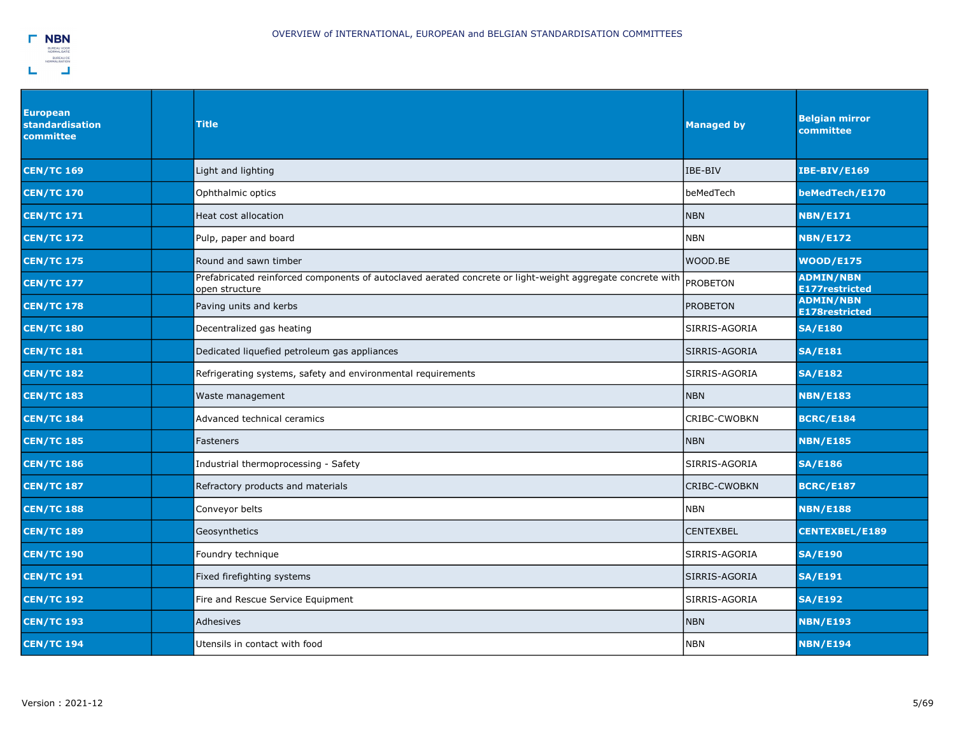| <b>European</b><br>standardisation<br><b>committee</b> | <b>Title</b>                                                                                                                 | <b>Managed by</b> | <b>Belgian mirror</b><br>committee        |
|--------------------------------------------------------|------------------------------------------------------------------------------------------------------------------------------|-------------------|-------------------------------------------|
| <b>CEN/TC 169</b>                                      | Light and lighting                                                                                                           | IBE-BIV           | <b>IBE-BIV/E169</b>                       |
| <b>CEN/TC 170</b>                                      | Ophthalmic optics                                                                                                            | beMedTech         | beMedTech/E170                            |
| <b>CEN/TC 171</b>                                      | Heat cost allocation                                                                                                         | <b>NBN</b>        | <b>NBN/E171</b>                           |
| <b>CEN/TC 172</b>                                      | Pulp, paper and board                                                                                                        | NBN               | <b>NBN/E172</b>                           |
| <b>CEN/TC 175</b>                                      | Round and sawn timber                                                                                                        | WOOD.BE           | <b>WOOD/E175</b>                          |
| <b>CEN/TC 177</b>                                      | Prefabricated reinforced components of autoclaved aerated concrete or light-weight aggregate concrete with<br>open structure | <b>PROBETON</b>   | <b>ADMIN/NBN</b><br><b>E177restricted</b> |
| <b>CEN/TC 178</b>                                      | Paving units and kerbs                                                                                                       | <b>PROBETON</b>   | <b>ADMIN/NBN</b><br><b>E178restricted</b> |
| <b>CEN/TC 180</b>                                      | Decentralized gas heating                                                                                                    | SIRRIS-AGORIA     | <b>SA/E180</b>                            |
| <b>CEN/TC 181</b>                                      | Dedicated liquefied petroleum gas appliances                                                                                 | SIRRIS-AGORIA     | <b>SA/E181</b>                            |
| <b>CEN/TC 182</b>                                      | Refrigerating systems, safety and environmental requirements                                                                 | SIRRIS-AGORIA     | <b>SA/E182</b>                            |
| <b>CEN/TC 183</b>                                      | Waste management                                                                                                             | <b>NBN</b>        | <b>NBN/E183</b>                           |
| <b>CEN/TC 184</b>                                      | Advanced technical ceramics                                                                                                  | CRIBC-CWOBKN      | <b>BCRC/E184</b>                          |
| <b>CEN/TC 185</b>                                      | Fasteners                                                                                                                    | <b>NBN</b>        | <b>NBN/E185</b>                           |
| <b>CEN/TC 186</b>                                      | Industrial thermoprocessing - Safety                                                                                         | SIRRIS-AGORIA     | <b>SA/E186</b>                            |
| <b>CEN/TC 187</b>                                      | Refractory products and materials                                                                                            | CRIBC-CWOBKN      | <b>BCRC/E187</b>                          |
| <b>CEN/TC 188</b>                                      | Conveyor belts                                                                                                               | <b>NBN</b>        | <b>NBN/E188</b>                           |
| <b>CEN/TC 189</b>                                      | Geosynthetics                                                                                                                | <b>CENTEXBEL</b>  | <b>CENTEXBEL/E189</b>                     |
| <b>CEN/TC 190</b>                                      | Foundry technique                                                                                                            | SIRRIS-AGORIA     | <b>SA/E190</b>                            |
| <b>CEN/TC 191</b>                                      | Fixed firefighting systems                                                                                                   | SIRRIS-AGORIA     | <b>SA/E191</b>                            |
| <b>CEN/TC 192</b>                                      | Fire and Rescue Service Equipment                                                                                            | SIRRIS-AGORIA     | <b>SA/E192</b>                            |
| <b>CEN/TC 193</b>                                      | Adhesives                                                                                                                    | <b>NBN</b>        | <b>NBN/E193</b>                           |
| <b>CEN/TC 194</b>                                      | Utensils in contact with food                                                                                                | <b>NBN</b>        | <b>NBN/E194</b>                           |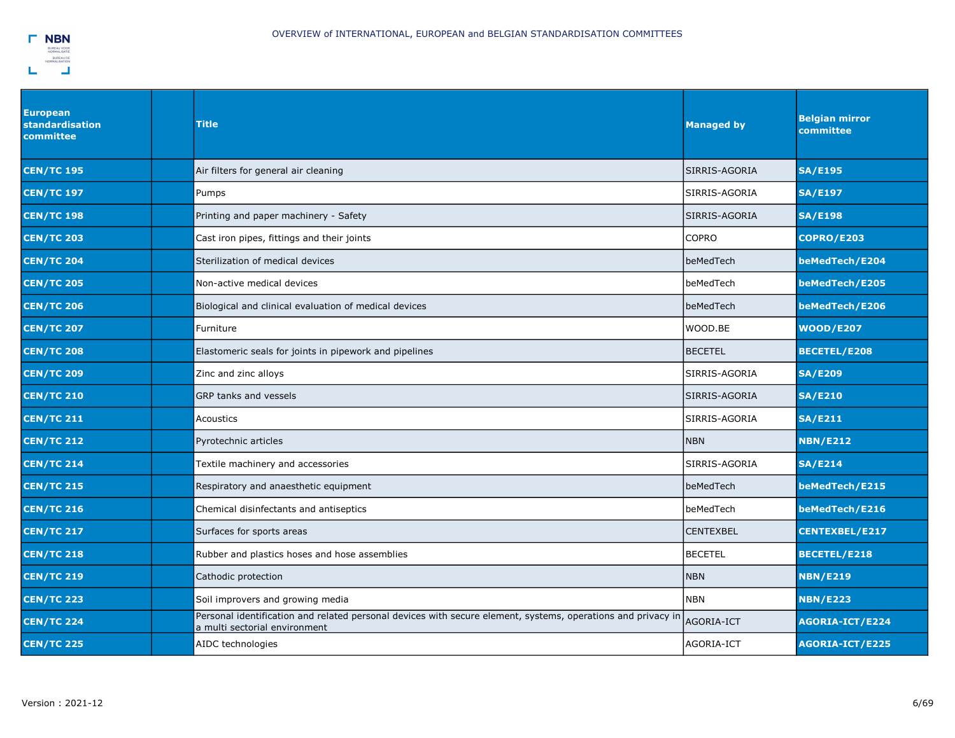

| <b>European</b><br>standardisation<br>committee | <b>Title</b>                                                                                                                                  | <b>Managed by</b> | <b>Belgian mirror</b><br>committee |
|-------------------------------------------------|-----------------------------------------------------------------------------------------------------------------------------------------------|-------------------|------------------------------------|
| <b>CEN/TC 195</b>                               | Air filters for general air cleaning                                                                                                          | SIRRIS-AGORIA     | <b>SA/E195</b>                     |
| <b>CEN/TC 197</b>                               | Pumps                                                                                                                                         | SIRRIS-AGORIA     | <b>SA/E197</b>                     |
| <b>CEN/TC 198</b>                               | Printing and paper machinery - Safety                                                                                                         | SIRRIS-AGORIA     | <b>SA/E198</b>                     |
| <b>CEN/TC 203</b>                               | Cast iron pipes, fittings and their joints                                                                                                    | <b>COPRO</b>      | <b>COPRO/E203</b>                  |
| <b>CEN/TC 204</b>                               | Sterilization of medical devices                                                                                                              | beMedTech         | beMedTech/E204                     |
| <b>CEN/TC 205</b>                               | Non-active medical devices                                                                                                                    | beMedTech         | beMedTech/E205                     |
| <b>CEN/TC 206</b>                               | Biological and clinical evaluation of medical devices                                                                                         | beMedTech         | beMedTech/E206                     |
| <b>CEN/TC 207</b>                               | Furniture                                                                                                                                     | WOOD.BE           | <b>WOOD/E207</b>                   |
| <b>CEN/TC 208</b>                               | Elastomeric seals for joints in pipework and pipelines                                                                                        | <b>BECETEL</b>    | <b>BECETEL/E208</b>                |
| <b>CEN/TC 209</b>                               | Zinc and zinc alloys                                                                                                                          | SIRRIS-AGORIA     | <b>SA/E209</b>                     |
| <b>CEN/TC 210</b>                               | GRP tanks and vessels                                                                                                                         | SIRRIS-AGORIA     | <b>SA/E210</b>                     |
| <b>CEN/TC 211</b>                               | Acoustics                                                                                                                                     | SIRRIS-AGORIA     | <b>SA/E211</b>                     |
| <b>CEN/TC 212</b>                               | Pyrotechnic articles                                                                                                                          | <b>NBN</b>        | <b>NBN/E212</b>                    |
| <b>CEN/TC 214</b>                               | Textile machinery and accessories                                                                                                             | SIRRIS-AGORIA     | SA/E214                            |
| <b>CEN/TC 215</b>                               | Respiratory and anaesthetic equipment                                                                                                         | beMedTech         | beMedTech/E215                     |
| <b>CEN/TC 216</b>                               | Chemical disinfectants and antiseptics                                                                                                        | beMedTech         | beMedTech/E216                     |
| <b>CEN/TC 217</b>                               | Surfaces for sports areas                                                                                                                     | <b>CENTEXBEL</b>  | <b>CENTEXBEL/E217</b>              |
| <b>CEN/TC 218</b>                               | Rubber and plastics hoses and hose assemblies                                                                                                 | <b>BECETEL</b>    | <b>BECETEL/E218</b>                |
| <b>CEN/TC 219</b>                               | Cathodic protection                                                                                                                           | <b>NBN</b>        | <b>NBN/E219</b>                    |
| <b>CEN/TC 223</b>                               | Soil improvers and growing media                                                                                                              | NBN               | <b>NBN/E223</b>                    |
| <b>CEN/TC 224</b>                               | Personal identification and related personal devices with secure element, systems, operations and privacy in<br>a multi sectorial environment | AGORIA-ICT        | <b>AGORIA-ICT/E224</b>             |
| <b>CEN/TC 225</b>                               | AIDC technologies                                                                                                                             | AGORIA-ICT        | <b>AGORIA-ICT/E225</b>             |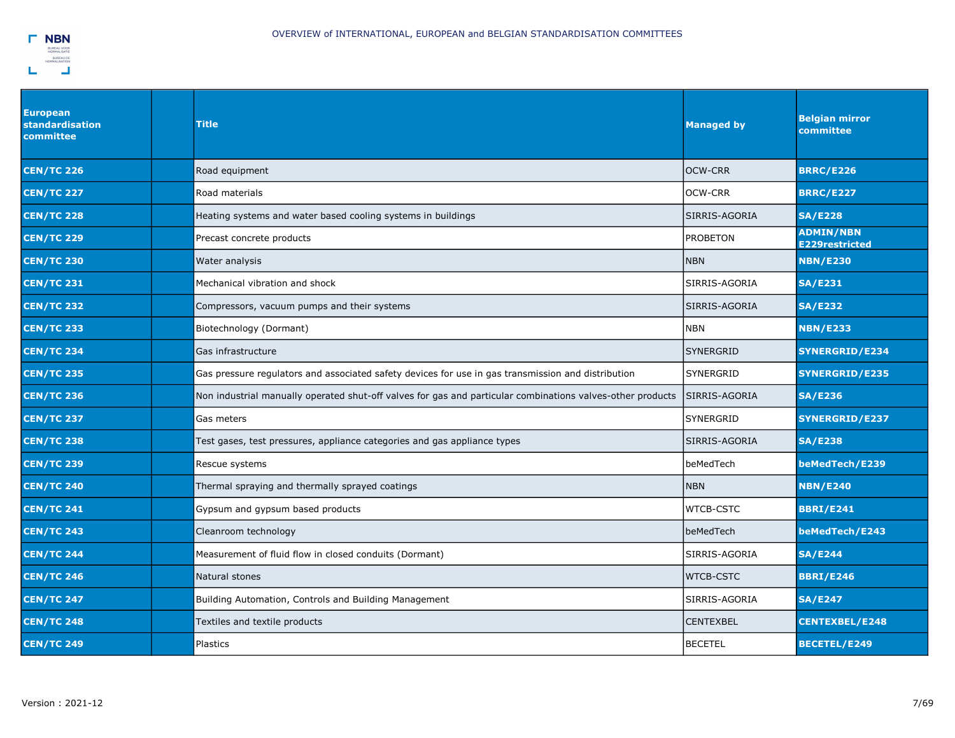

| <b>European</b><br><b>standardisation</b><br>committee | Title                                                                                                      | <b>Managed by</b> | <b>Belgian mirror</b><br>committee        |
|--------------------------------------------------------|------------------------------------------------------------------------------------------------------------|-------------------|-------------------------------------------|
| <b>CEN/TC 226</b>                                      | Road equipment                                                                                             | <b>OCW-CRR</b>    | <b>BRRC/E226</b>                          |
| <b>CEN/TC 227</b>                                      | Road materials                                                                                             | <b>OCW-CRR</b>    | <b>BRRC/E227</b>                          |
| <b>CEN/TC 228</b>                                      | Heating systems and water based cooling systems in buildings                                               | SIRRIS-AGORIA     | <b>SA/E228</b>                            |
| <b>CEN/TC 229</b>                                      | Precast concrete products                                                                                  | <b>PROBETON</b>   | <b>ADMIN/NBN</b><br><b>E229restricted</b> |
| <b>CEN/TC 230</b>                                      | Water analysis                                                                                             | <b>NBN</b>        | <b>NBN/E230</b>                           |
| <b>CEN/TC 231</b>                                      | Mechanical vibration and shock                                                                             | SIRRIS-AGORIA     | <b>SA/E231</b>                            |
| <b>CEN/TC 232</b>                                      | Compressors, vacuum pumps and their systems                                                                | SIRRIS-AGORIA     | <b>SA/E232</b>                            |
| <b>CEN/TC 233</b>                                      | Biotechnology (Dormant)                                                                                    | NBN               | <b>NBN/E233</b>                           |
| <b>CEN/TC 234</b>                                      | Gas infrastructure                                                                                         | <b>SYNERGRID</b>  | <b>SYNERGRID/E234</b>                     |
| <b>CEN/TC 235</b>                                      | Gas pressure regulators and associated safety devices for use in gas transmission and distribution         | SYNERGRID         | <b>SYNERGRID/E235</b>                     |
| <b>CEN/TC 236</b>                                      | Non industrial manually operated shut-off valves for gas and particular combinations valves-other products | SIRRIS-AGORIA     | <b>SA/E236</b>                            |
| <b>CEN/TC 237</b>                                      | Gas meters                                                                                                 | <b>SYNERGRID</b>  | SYNERGRID/E237                            |
| <b>CEN/TC 238</b>                                      | Test gases, test pressures, appliance categories and gas appliance types                                   | SIRRIS-AGORIA     | <b>SA/E238</b>                            |
| <b>CEN/TC 239</b>                                      | Rescue systems                                                                                             | beMedTech         | beMedTech/E239                            |
| <b>CEN/TC 240</b>                                      | Thermal spraying and thermally sprayed coatings                                                            | <b>NBN</b>        | <b>NBN/E240</b>                           |
| <b>CEN/TC 241</b>                                      | Gypsum and gypsum based products                                                                           | <b>WTCB-CSTC</b>  | <b>BBRI/E241</b>                          |
| <b>CEN/TC 243</b>                                      | Cleanroom technology                                                                                       | beMedTech         | beMedTech/E243                            |
| <b>CEN/TC 244</b>                                      | Measurement of fluid flow in closed conduits (Dormant)                                                     | SIRRIS-AGORIA     | <b>SA/E244</b>                            |
| <b>CEN/TC 246</b>                                      | Natural stones                                                                                             | <b>WTCB-CSTC</b>  | <b>BBRI/E246</b>                          |
| <b>CEN/TC 247</b>                                      | Building Automation, Controls and Building Management                                                      | SIRRIS-AGORIA     | <b>SA/E247</b>                            |
| <b>CEN/TC 248</b>                                      | Textiles and textile products                                                                              | <b>CENTEXBEL</b>  | <b>CENTEXBEL/E248</b>                     |
| <b>CEN/TC 249</b>                                      | Plastics                                                                                                   | <b>BECETEL</b>    | BECETEL/E249                              |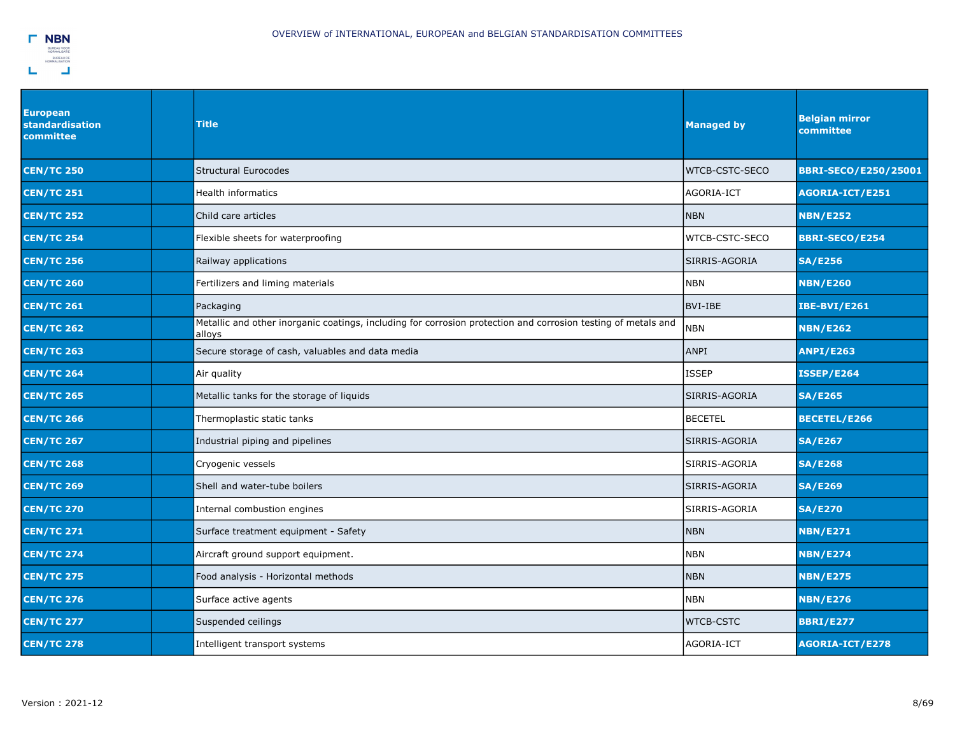| <b>European</b><br>standardisation<br>committee | <b>Title</b>                                                                                                            | <b>Managed by</b>     | <b>Belgian mirror</b><br>committee |
|-------------------------------------------------|-------------------------------------------------------------------------------------------------------------------------|-----------------------|------------------------------------|
| <b>CEN/TC 250</b>                               | <b>Structural Eurocodes</b>                                                                                             | <b>WTCB-CSTC-SECO</b> | <b>BBRI-SECO/E250/25001</b>        |
| <b>CEN/TC 251</b>                               | <b>Health informatics</b>                                                                                               | AGORIA-ICT            | <b>AGORIA-ICT/E251</b>             |
| <b>CEN/TC 252</b>                               | Child care articles                                                                                                     | <b>NBN</b>            | <b>NBN/E252</b>                    |
| <b>CEN/TC 254</b>                               | Flexible sheets for waterproofing                                                                                       | WTCB-CSTC-SECO        | <b>BBRI-SECO/E254</b>              |
| <b>CEN/TC 256</b>                               | Railway applications                                                                                                    | SIRRIS-AGORIA         | <b>SA/E256</b>                     |
| <b>CEN/TC 260</b>                               | Fertilizers and liming materials                                                                                        | <b>NBN</b>            | <b>NBN/E260</b>                    |
| <b>CEN/TC 261</b>                               | Packaging                                                                                                               | BVI-IBE               | <b>IBE-BVI/E261</b>                |
| <b>CEN/TC 262</b>                               | Metallic and other inorganic coatings, including for corrosion protection and corrosion testing of metals and<br>alloys | <b>NBN</b>            | <b>NBN/E262</b>                    |
| <b>CEN/TC 263</b>                               | Secure storage of cash, valuables and data media                                                                        | <b>ANPI</b>           | <b>ANPI/E263</b>                   |
| <b>CEN/TC 264</b>                               | Air quality                                                                                                             | ISSEP                 | <b>ISSEP/E264</b>                  |
| <b>CEN/TC 265</b>                               | Metallic tanks for the storage of liquids                                                                               | SIRRIS-AGORIA         | <b>SA/E265</b>                     |
| <b>CEN/TC 266</b>                               | Thermoplastic static tanks                                                                                              | <b>BECETEL</b>        | <b>BECETEL/E266</b>                |
| <b>CEN/TC 267</b>                               | Industrial piping and pipelines                                                                                         | SIRRIS-AGORIA         | <b>SA/E267</b>                     |
| <b>CEN/TC 268</b>                               | Cryogenic vessels                                                                                                       | SIRRIS-AGORIA         | <b>SA/E268</b>                     |
| <b>CEN/TC 269</b>                               | Shell and water-tube boilers                                                                                            | SIRRIS-AGORIA         | <b>SA/E269</b>                     |
| <b>CEN/TC 270</b>                               | Internal combustion engines                                                                                             | SIRRIS-AGORIA         | <b>SA/E270</b>                     |
| <b>CEN/TC 271</b>                               | Surface treatment equipment - Safety                                                                                    | <b>NBN</b>            | <b>NBN/E271</b>                    |
| <b>CEN/TC 274</b>                               | Aircraft ground support equipment.                                                                                      | <b>NBN</b>            | <b>NBN/E274</b>                    |
| <b>CEN/TC 275</b>                               | Food analysis - Horizontal methods                                                                                      | <b>NBN</b>            | <b>NBN/E275</b>                    |
| <b>CEN/TC 276</b>                               | Surface active agents                                                                                                   | <b>NBN</b>            | <b>NBN/E276</b>                    |
| <b>CEN/TC 277</b>                               | Suspended ceilings                                                                                                      | <b>WTCB-CSTC</b>      | <b>BBRI/E277</b>                   |
| <b>CEN/TC 278</b>                               | Intelligent transport systems                                                                                           | AGORIA-ICT            | <b>AGORIA-ICT/E278</b>             |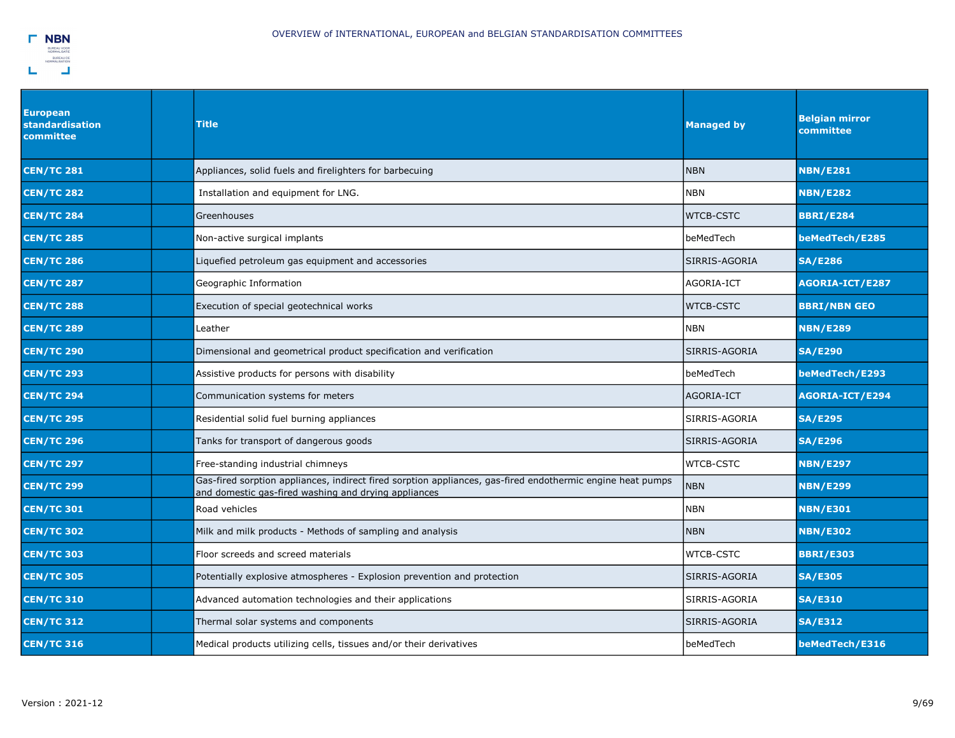

| <b>European</b><br>standardisation<br>committee | <b>Title</b>                                                                                                                                                       | <b>Managed by</b> | <b>Belgian mirror</b><br>committee |
|-------------------------------------------------|--------------------------------------------------------------------------------------------------------------------------------------------------------------------|-------------------|------------------------------------|
| <b>CEN/TC 281</b>                               | Appliances, solid fuels and firelighters for barbecuing                                                                                                            | <b>NBN</b>        | <b>NBN/E281</b>                    |
| <b>CEN/TC 282</b>                               | Installation and equipment for LNG.                                                                                                                                | <b>NBN</b>        | <b>NBN/E282</b>                    |
| <b>CEN/TC 284</b>                               | Greenhouses                                                                                                                                                        | <b>WTCB-CSTC</b>  | <b>BBRI/E284</b>                   |
| <b>CEN/TC 285</b>                               | Non-active surgical implants                                                                                                                                       | beMedTech         | beMedTech/E285                     |
| <b>CEN/TC 286</b>                               | iquefied petroleum gas equipment and accessories                                                                                                                   | SIRRIS-AGORIA     | <b>SA/E286</b>                     |
| <b>CEN/TC 287</b>                               | Geographic Information                                                                                                                                             | AGORIA-ICT        | AGORIA-ICT/E287                    |
| <b>CEN/TC 288</b>                               | Execution of special geotechnical works                                                                                                                            | <b>WTCB-CSTC</b>  | <b>BBRI/NBN GEO</b>                |
| <b>CEN/TC 289</b>                               | Leather                                                                                                                                                            | <b>NBN</b>        | <b>NBN/E289</b>                    |
| <b>CEN/TC 290</b>                               | Dimensional and geometrical product specification and verification                                                                                                 | SIRRIS-AGORIA     | <b>SA/E290</b>                     |
| <b>CEN/TC 293</b>                               | Assistive products for persons with disability                                                                                                                     | beMedTech         | beMedTech/E293                     |
| <b>CEN/TC 294</b>                               | Communication systems for meters                                                                                                                                   | AGORIA-ICT        | AGORIA-ICT/E294                    |
| <b>CEN/TC 295</b>                               | Residential solid fuel burning appliances                                                                                                                          | SIRRIS-AGORIA     | <b>SA/E295</b>                     |
| <b>CEN/TC 296</b>                               | Tanks for transport of dangerous goods                                                                                                                             | SIRRIS-AGORIA     | <b>SA/E296</b>                     |
| <b>CEN/TC 297</b>                               | Free-standing industrial chimneys                                                                                                                                  | <b>WTCB-CSTC</b>  | <b>NBN/E297</b>                    |
| <b>CEN/TC 299</b>                               | Gas-fired sorption appliances, indirect fired sorption appliances, gas-fired endothermic engine heat pumps<br>and domestic gas-fired washing and drying appliances | <b>NBN</b>        | <b>NBN/E299</b>                    |
| <b>CEN/TC 301</b>                               | Road vehicles                                                                                                                                                      | <b>NBN</b>        | <b>NBN/E301</b>                    |
| <b>CEN/TC 302</b>                               | Milk and milk products - Methods of sampling and analysis                                                                                                          | <b>NBN</b>        | <b>NBN/E302</b>                    |
| <b>CEN/TC 303</b>                               | Floor screeds and screed materials                                                                                                                                 | <b>WTCB-CSTC</b>  | <b>BBRI/E303</b>                   |
| <b>CEN/TC 305</b>                               | Potentially explosive atmospheres - Explosion prevention and protection                                                                                            | SIRRIS-AGORIA     | <b>SA/E305</b>                     |
| <b>CEN/TC 310</b>                               | Advanced automation technologies and their applications                                                                                                            | SIRRIS-AGORIA     | <b>SA/E310</b>                     |
| <b>CEN/TC 312</b>                               | Thermal solar systems and components                                                                                                                               | SIRRIS-AGORIA     | <b>SA/E312</b>                     |
| <b>CEN/TC 316</b>                               | Medical products utilizing cells, tissues and/or their derivatives                                                                                                 | beMedTech         | beMedTech/E316                     |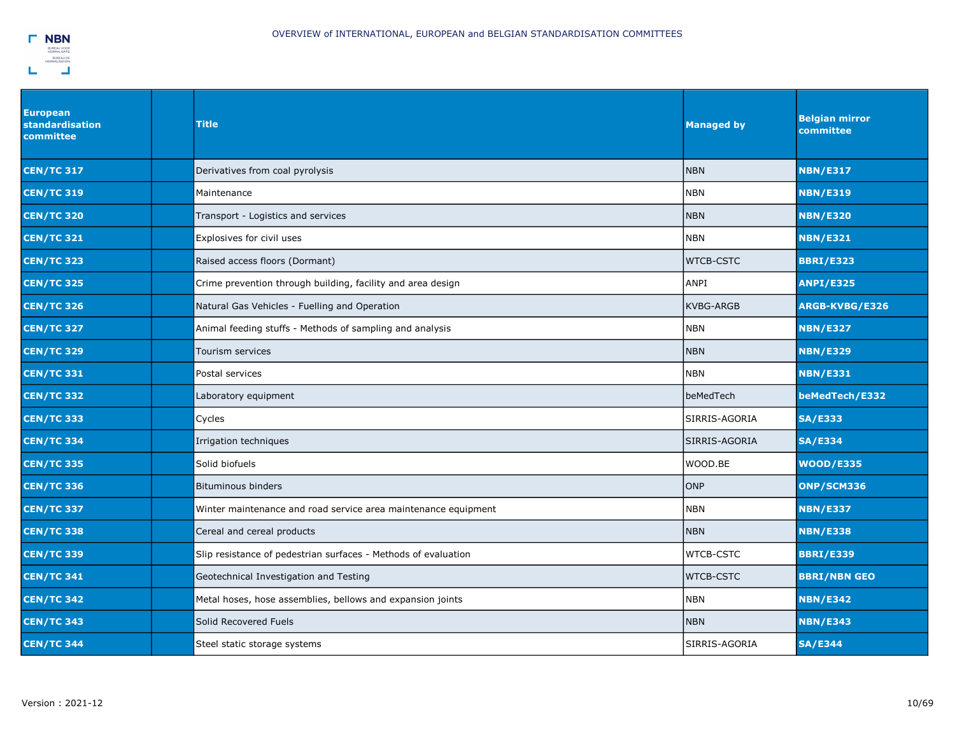

| <b>European</b><br>standardisation<br>committee | <b>Title</b>                                                   | <b>Managed by</b> | <b>Belgian mirror</b><br>committee |
|-------------------------------------------------|----------------------------------------------------------------|-------------------|------------------------------------|
| <b>CEN/TC 317</b>                               | Derivatives from coal pyrolysis                                | <b>NBN</b>        | <b>NBN/E317</b>                    |
| <b>CEN/TC 319</b>                               | Maintenance                                                    | <b>NBN</b>        | <b>NBN/E319</b>                    |
| <b>CEN/TC 320</b>                               | Transport - Logistics and services                             | <b>NBN</b>        | <b>NBN/E320</b>                    |
| <b>CEN/TC 321</b>                               | Explosives for civil uses                                      | <b>NBN</b>        | <b>NBN/E321</b>                    |
| <b>CEN/TC 323</b>                               | Raised access floors (Dormant)                                 | <b>WTCB-CSTC</b>  | <b>BBRI/E323</b>                   |
| <b>CEN/TC 325</b>                               | Crime prevention through building, facility and area design    | ANPI              | <b>ANPI/E325</b>                   |
| <b>CEN/TC 326</b>                               | Natural Gas Vehicles - Fuelling and Operation                  | <b>KVBG-ARGB</b>  | ARGB-KVBG/E326                     |
| <b>CEN/TC 327</b>                               | Animal feeding stuffs - Methods of sampling and analysis       | <b>NBN</b>        | <b>NBN/E327</b>                    |
| <b>CEN/TC 329</b>                               | Tourism services                                               | <b>NBN</b>        | <b>NBN/E329</b>                    |
| <b>CEN/TC 331</b>                               | Postal services                                                | <b>NBN</b>        | <b>NBN/E331</b>                    |
| <b>CEN/TC 332</b>                               | Laboratory equipment                                           | beMedTech         | beMedTech/E332                     |
| <b>CEN/TC 333</b>                               | Cycles                                                         | SIRRIS-AGORIA     | <b>SA/E333</b>                     |
| <b>CEN/TC 334</b>                               | Irrigation techniques                                          | SIRRIS-AGORIA     | <b>SA/E334</b>                     |
| <b>CEN/TC 335</b>                               | Solid biofuels                                                 | WOOD.BE           | <b>WOOD/E335</b>                   |
| <b>CEN/TC 336</b>                               | <b>Bituminous binders</b>                                      | ONP               | ONP/SCM336                         |
| <b>CEN/TC 337</b>                               | Winter maintenance and road service area maintenance equipment | <b>NBN</b>        | <b>NBN/E337</b>                    |
| <b>CEN/TC 338</b>                               | Cereal and cereal products                                     | <b>NBN</b>        | <b>NBN/E338</b>                    |
| <b>CEN/TC 339</b>                               | Slip resistance of pedestrian surfaces - Methods of evaluation | <b>WTCB-CSTC</b>  | <b>BBRI/E339</b>                   |
| <b>CEN/TC 341</b>                               | Geotechnical Investigation and Testing                         | <b>WTCB-CSTC</b>  | <b>BBRI/NBN GEO</b>                |
| <b>CEN/TC 342</b>                               | Metal hoses, hose assemblies, bellows and expansion joints     | <b>NBN</b>        | <b>NBN/E342</b>                    |
| <b>CEN/TC 343</b>                               | Solid Recovered Fuels                                          | <b>NBN</b>        | <b>NBN/E343</b>                    |
| <b>CEN/TC 344</b>                               | Steel static storage systems                                   | SIRRIS-AGORIA     | <b>SA/E344</b>                     |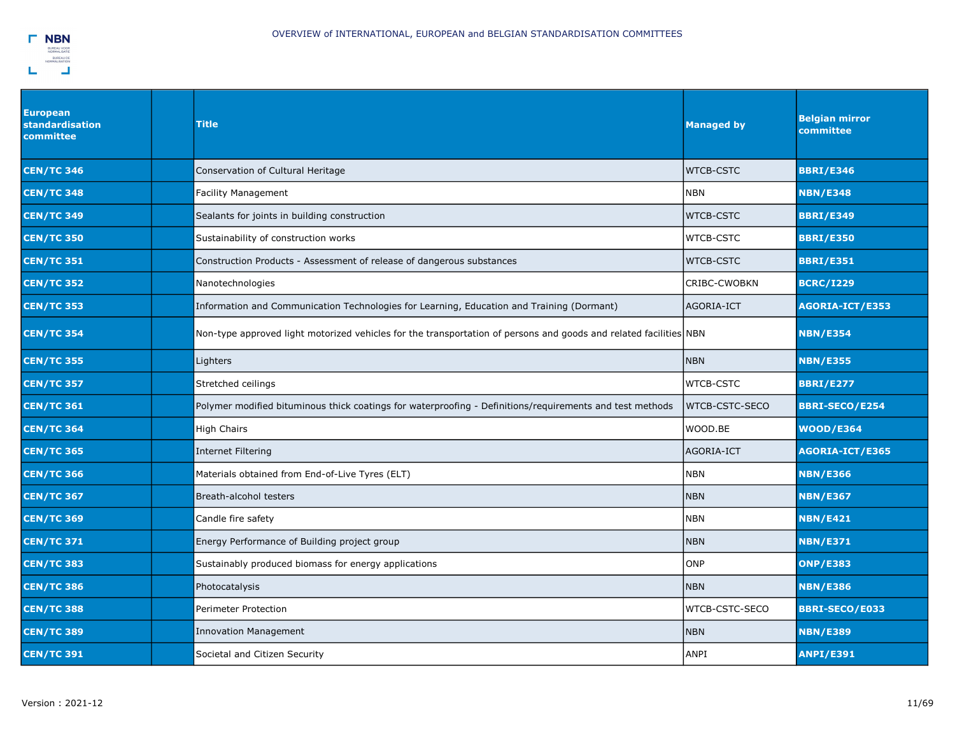

| <b>European</b><br><b>standardisation</b><br>committee | Title                                                                                                             | <b>Managed by</b> | <b>Belgian mirror</b><br>committee |
|--------------------------------------------------------|-------------------------------------------------------------------------------------------------------------------|-------------------|------------------------------------|
| <b>CEN/TC 346</b>                                      | Conservation of Cultural Heritage                                                                                 | <b>WTCB-CSTC</b>  | <b>BBRI/E346</b>                   |
| <b>CEN/TC 348</b>                                      | Facility Management                                                                                               | NBN               | <b>NBN/E348</b>                    |
| <b>CEN/TC 349</b>                                      | Sealants for joints in building construction                                                                      | <b>WTCB-CSTC</b>  | <b>BBRI/E349</b>                   |
| <b>CEN/TC 350</b>                                      | Sustainability of construction works                                                                              | <b>WTCB-CSTC</b>  | <b>BBRI/E350</b>                   |
| <b>CEN/TC 351</b>                                      | Construction Products - Assessment of release of dangerous substances                                             | <b>WTCB-CSTC</b>  | <b>BBRI/E351</b>                   |
| <b>CEN/TC 352</b>                                      | Nanotechnologies                                                                                                  | CRIBC-CWOBKN      | <b>BCRC/I229</b>                   |
| <b>CEN/TC 353</b>                                      | Information and Communication Technologies for Learning, Education and Training (Dormant)                         | AGORIA-ICT        | AGORIA-ICT/E353                    |
| <b>CEN/TC 354</b>                                      | Non-type approved light motorized vehicles for the transportation of persons and goods and related facilities NBN |                   | <b>NBN/E354</b>                    |
| <b>CEN/TC 355</b>                                      | Lighters                                                                                                          | <b>NBN</b>        | <b>NBN/E355</b>                    |
| <b>CEN/TC 357</b>                                      | Stretched ceilings                                                                                                | <b>WTCB-CSTC</b>  | <b>BBRI/E277</b>                   |
| <b>CEN/TC 361</b>                                      | Polymer modified bituminous thick coatings for waterproofing - Definitions/requirements and test methods          | WTCB-CSTC-SECO    | <b>BBRI-SECO/E254</b>              |
| <b>CEN/TC 364</b>                                      | High Chairs                                                                                                       | WOOD.BE           | <b>WOOD/E364</b>                   |
| <b>CEN/TC 365</b>                                      | Internet Filtering                                                                                                | AGORIA-ICT        | AGORIA-ICT/E365                    |
| <b>CEN/TC 366</b>                                      | Materials obtained from End-of-Live Tyres (ELT)                                                                   | <b>NBN</b>        | <b>NBN/E366</b>                    |
| <b>CEN/TC 367</b>                                      | Breath-alcohol testers                                                                                            | <b>NBN</b>        | <b>NBN/E367</b>                    |
| <b>CEN/TC 369</b>                                      | Candle fire safety                                                                                                | <b>NBN</b>        | <b>NBN/E421</b>                    |
| <b>CEN/TC 371</b>                                      | Energy Performance of Building project group                                                                      | <b>NBN</b>        | <b>NBN/E371</b>                    |
| <b>CEN/TC 383</b>                                      | Sustainably produced biomass for energy applications                                                              | <b>ONP</b>        | <b>ONP/E383</b>                    |
| <b>CEN/TC 386</b>                                      | Photocatalysis                                                                                                    | <b>NBN</b>        | <b>NBN/E386</b>                    |
| <b>CEN/TC 388</b>                                      | Perimeter Protection                                                                                              | WTCB-CSTC-SECO    | <b>BBRI-SECO/E033</b>              |
| <b>CEN/TC 389</b>                                      | <b>Innovation Management</b>                                                                                      | <b>NBN</b>        | <b>NBN/E389</b>                    |
| <b>CEN/TC 391</b>                                      | Societal and Citizen Security                                                                                     | <b>ANPI</b>       | <b>ANPI/E391</b>                   |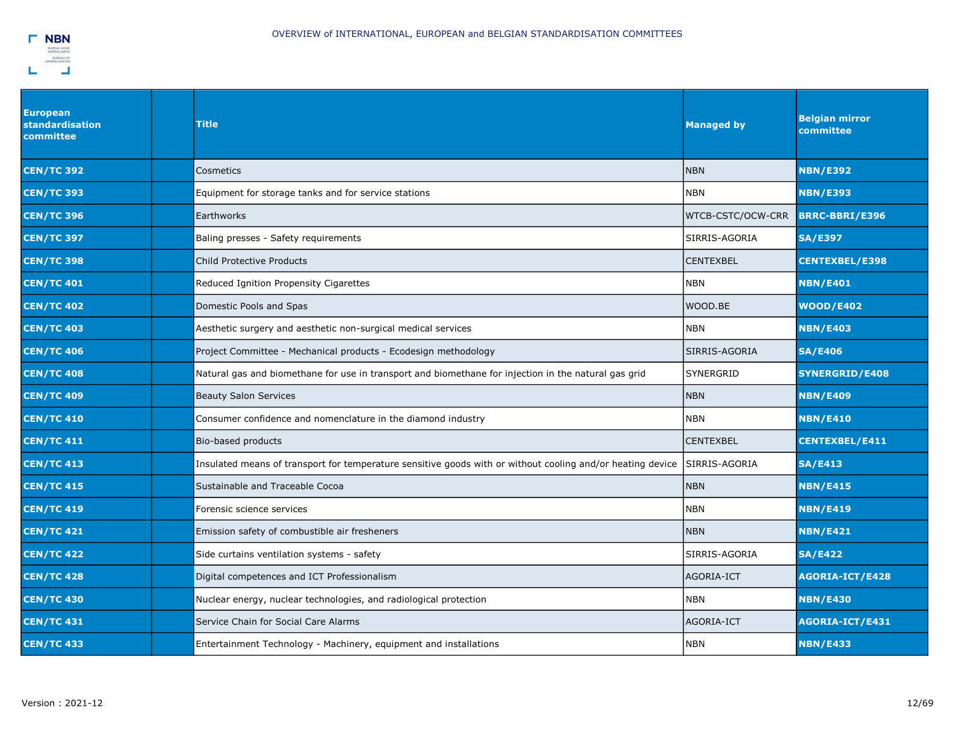

| <b>European</b><br>standardisation<br>committee | Title                                                                                                      | <b>Managed by</b> | <b>Belgian mirror</b><br>committee |
|-------------------------------------------------|------------------------------------------------------------------------------------------------------------|-------------------|------------------------------------|
| <b>CEN/TC 392</b>                               | Cosmetics                                                                                                  | <b>NBN</b>        | <b>NBN/E392</b>                    |
| <b>CEN/TC 393</b>                               | Equipment for storage tanks and for service stations                                                       | <b>NBN</b>        | <b>NBN/E393</b>                    |
| <b>CEN/TC 396</b>                               | <b>Earthworks</b>                                                                                          | WTCB-CSTC/OCW-CRR | <b>BRRC-BBRI/E396</b>              |
| <b>CEN/TC 397</b>                               | Baling presses - Safety requirements                                                                       | SIRRIS-AGORIA     | <b>SA/E397</b>                     |
| <b>CEN/TC 398</b>                               | Child Protective Products                                                                                  | <b>CENTEXBEL</b>  | <b>CENTEXBEL/E398</b>              |
| <b>CEN/TC 401</b>                               | Reduced Ignition Propensity Cigarettes                                                                     | <b>NBN</b>        | <b>NBN/E401</b>                    |
| <b>CEN/TC 402</b>                               | Domestic Pools and Spas                                                                                    | WOOD.BE           | <b>WOOD/E402</b>                   |
| <b>CEN/TC 403</b>                               | Aesthetic surgery and aesthetic non-surgical medical services                                              | <b>NBN</b>        | <b>NBN/E403</b>                    |
| <b>CEN/TC 406</b>                               | Project Committee - Mechanical products - Ecodesign methodology                                            | SIRRIS-AGORIA     | <b>SA/E406</b>                     |
| <b>CEN/TC 408</b>                               | Natural gas and biomethane for use in transport and biomethane for injection in the natural gas grid       | <b>SYNERGRID</b>  | <b>SYNERGRID/E408</b>              |
| <b>CEN/TC 409</b>                               | <b>Beauty Salon Services</b>                                                                               | <b>NBN</b>        | <b>NBN/E409</b>                    |
| <b>CEN/TC 410</b>                               | Consumer confidence and nomenclature in the diamond industry                                               | NBN               | <b>NBN/E410</b>                    |
| <b>CEN/TC 411</b>                               | Bio-based products                                                                                         | <b>CENTEXBEL</b>  | <b>CENTEXBEL/E411</b>              |
| <b>CEN/TC 413</b>                               | Insulated means of transport for temperature sensitive goods with or without cooling and/or heating device | SIRRIS-AGORIA     | <b>SA/E413</b>                     |
| <b>CEN/TC 415</b>                               | Sustainable and Traceable Cocoa                                                                            | <b>NBN</b>        | <b>NBN/E415</b>                    |
| <b>CEN/TC 419</b>                               | Forensic science services                                                                                  | <b>NBN</b>        | <b>NBN/E419</b>                    |
| <b>CEN/TC 421</b>                               | Emission safety of combustible air fresheners                                                              | <b>NBN</b>        | <b>NBN/E421</b>                    |
| <b>CEN/TC 422</b>                               | Side curtains ventilation systems - safety                                                                 | SIRRIS-AGORIA     | <b>SA/E422</b>                     |
| <b>CEN/TC 428</b>                               | Digital competences and ICT Professionalism                                                                | AGORIA-ICT        | AGORIA-ICT/E428                    |
| <b>CEN/TC 430</b>                               | Nuclear energy, nuclear technologies, and radiological protection                                          | <b>NBN</b>        | <b>NBN/E430</b>                    |
| <b>CEN/TC 431</b>                               | Service Chain for Social Care Alarms                                                                       | AGORIA-ICT        | AGORIA-ICT/E431                    |
| <b>CEN/TC 433</b>                               | Entertainment Technology - Machinery, equipment and installations                                          | <b>NBN</b>        | <b>NBN/E433</b>                    |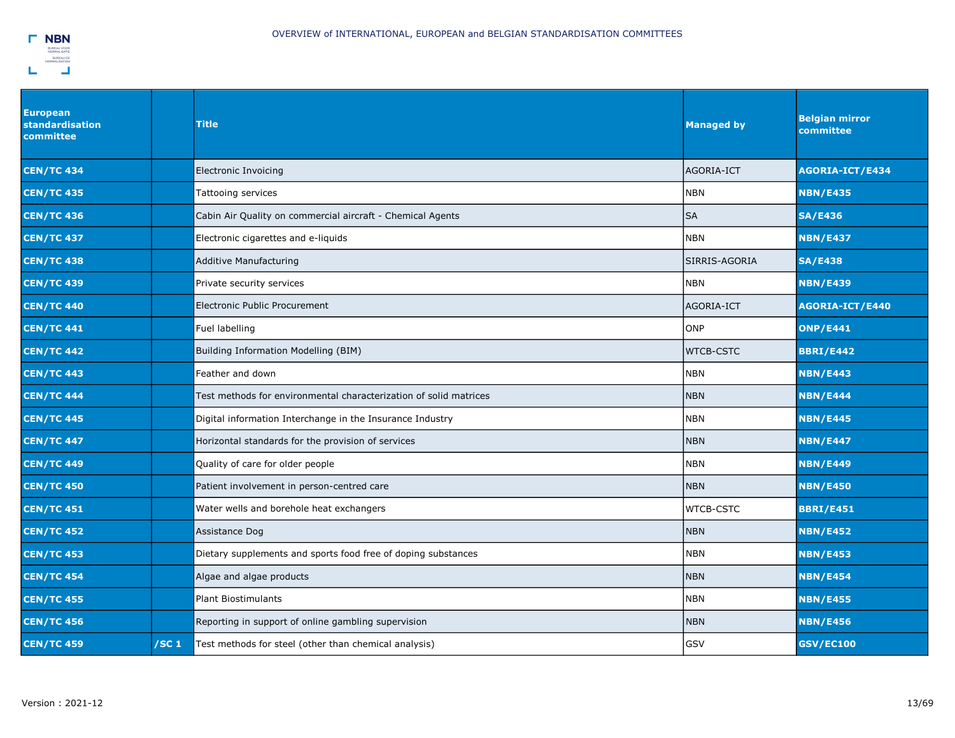| <b>European</b><br>standardisation<br>committee |                  | <b>Title</b>                                                      | <b>Managed by</b> | <b>Belgian mirror</b><br>committee |
|-------------------------------------------------|------------------|-------------------------------------------------------------------|-------------------|------------------------------------|
| <b>CEN/TC 434</b>                               |                  | Electronic Invoicing                                              | AGORIA-ICT        | AGORIA-ICT/E434                    |
| <b>CEN/TC 435</b>                               |                  | Tattooing services                                                | <b>NBN</b>        | <b>NBN/E435</b>                    |
| <b>CEN/TC 436</b>                               |                  | Cabin Air Quality on commercial aircraft - Chemical Agents        | <b>SA</b>         | <b>SA/E436</b>                     |
| <b>CEN/TC 437</b>                               |                  | Electronic cigarettes and e-liquids                               | <b>NBN</b>        | <b>NBN/E437</b>                    |
| <b>CEN/TC 438</b>                               |                  | <b>Additive Manufacturing</b>                                     | SIRRIS-AGORIA     | <b>SA/E438</b>                     |
| <b>CEN/TC 439</b>                               |                  | Private security services                                         | <b>NBN</b>        | <b>NBN/E439</b>                    |
| <b>CEN/TC 440</b>                               |                  | <b>Electronic Public Procurement</b>                              | AGORIA-ICT        | AGORIA-ICT/E440                    |
| <b>CEN/TC 441</b>                               |                  | Fuel labelling                                                    | ONP               | <b>ONP/E441</b>                    |
| <b>CEN/TC 442</b>                               |                  | Building Information Modelling (BIM)                              | <b>WTCB-CSTC</b>  | <b>BBRI/E442</b>                   |
| <b>CEN/TC 443</b>                               |                  | Feather and down                                                  | <b>NBN</b>        | <b>NBN/E443</b>                    |
| <b>CEN/TC 444</b>                               |                  | Test methods for environmental characterization of solid matrices | <b>NBN</b>        | <b>NBN/E444</b>                    |
| <b>CEN/TC 445</b>                               |                  | Digital information Interchange in the Insurance Industry         | <b>NBN</b>        | <b>NBN/E445</b>                    |
| <b>CEN/TC 447</b>                               |                  | Horizontal standards for the provision of services                | <b>NBN</b>        | <b>NBN/E447</b>                    |
| <b>CEN/TC 449</b>                               |                  | Quality of care for older people                                  | <b>NBN</b>        | <b>NBN/E449</b>                    |
| <b>CEN/TC 450</b>                               |                  | Patient involvement in person-centred care                        | <b>NBN</b>        | <b>NBN/E450</b>                    |
| <b>CEN/TC 451</b>                               |                  | Water wells and borehole heat exchangers                          | <b>WTCB-CSTC</b>  | <b>BBRI/E451</b>                   |
| <b>CEN/TC 452</b>                               |                  | Assistance Dog                                                    | <b>NBN</b>        | <b>NBN/E452</b>                    |
| <b>CEN/TC 453</b>                               |                  | Dietary supplements and sports food free of doping substances     | <b>NBN</b>        | <b>NBN/E453</b>                    |
| <b>CEN/TC 454</b>                               |                  | Algae and algae products                                          | <b>NBN</b>        | <b>NBN/E454</b>                    |
| <b>CEN/TC 455</b>                               |                  | <b>Plant Biostimulants</b>                                        | <b>NBN</b>        | <b>NBN/E455</b>                    |
| <b>CEN/TC 456</b>                               |                  | Reporting in support of online gambling supervision               | <b>NBN</b>        | <b>NBN/E456</b>                    |
| <b>CEN/TC 459</b>                               | /SC <sub>1</sub> | Test methods for steel (other than chemical analysis)             | GSV               | <b>GSV/EC100</b>                   |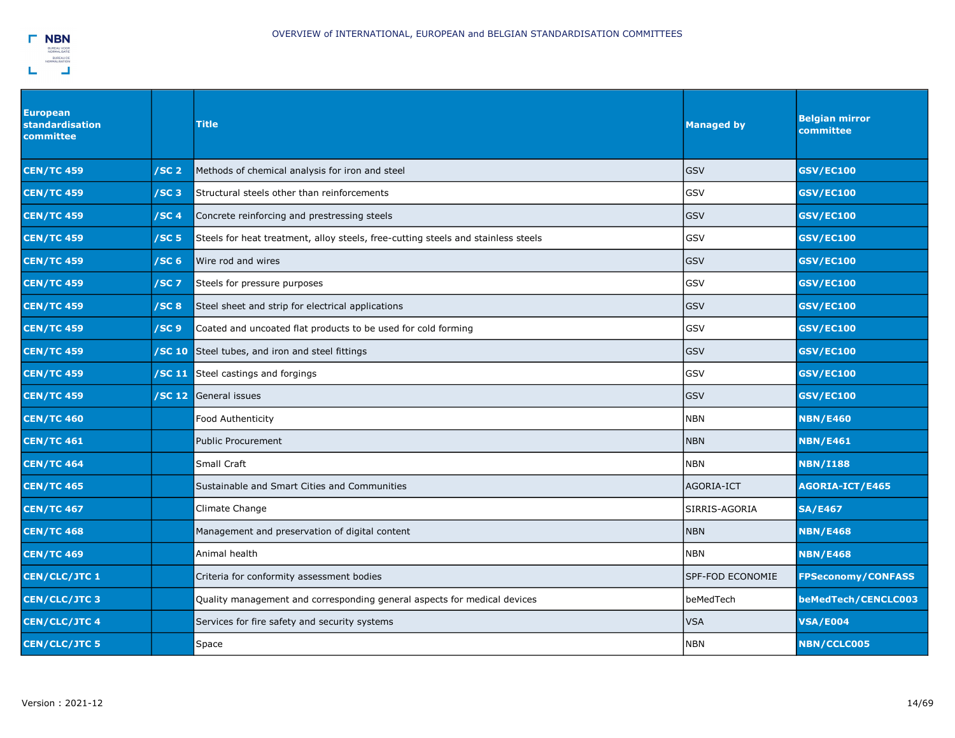

| <b>European</b><br><b>standardisation</b><br>committee |                  | <b>Title</b>                                                                      | <b>Managed by</b> | <b>Belgian mirror</b><br>committee |
|--------------------------------------------------------|------------------|-----------------------------------------------------------------------------------|-------------------|------------------------------------|
| <b>CEN/TC 459</b>                                      | /SC <sub>2</sub> | Methods of chemical analysis for iron and steel                                   | <b>GSV</b>        | <b>GSV/EC100</b>                   |
| <b>CEN/TC 459</b>                                      | /SC <sub>3</sub> | Structural steels other than reinforcements                                       | <b>GSV</b>        | <b>GSV/EC100</b>                   |
| <b>CEN/TC 459</b>                                      | /SC4             | Concrete reinforcing and prestressing steels                                      | <b>GSV</b>        | <b>GSV/EC100</b>                   |
| <b>CEN/TC 459</b>                                      | /SC <sub>5</sub> | Steels for heat treatment, alloy steels, free-cutting steels and stainless steels | GSV               | <b>GSV/EC100</b>                   |
| <b>CEN/TC 459</b>                                      | /SC <sub>6</sub> | Wire rod and wires                                                                | <b>GSV</b>        | <b>GSV/EC100</b>                   |
| <b>CEN/TC 459</b>                                      | /SC <sub>7</sub> | Steels for pressure purposes                                                      | <b>GSV</b>        | <b>GSV/EC100</b>                   |
| <b>CEN/TC 459</b>                                      | /SC <sub>8</sub> | Steel sheet and strip for electrical applications                                 | <b>GSV</b>        | <b>GSV/EC100</b>                   |
| <b>CEN/TC 459</b>                                      | /SC <sub>9</sub> | Coated and uncoated flat products to be used for cold forming                     | GSV               | <b>GSV/EC100</b>                   |
| <b>CEN/TC 459</b>                                      | /SC 10           | Steel tubes, and iron and steel fittings                                          | <b>GSV</b>        | <b>GSV/EC100</b>                   |
| <b>CEN/TC 459</b>                                      |                  | <b>SC 11</b> Steel castings and forgings                                          | <b>GSV</b>        | <b>GSV/EC100</b>                   |
| <b>CEN/TC 459</b>                                      |                  | <b>SC 12</b> General issues                                                       | <b>GSV</b>        | <b>GSV/EC100</b>                   |
| <b>CEN/TC 460</b>                                      |                  | <b>Food Authenticity</b>                                                          | <b>NBN</b>        | <b>NBN/E460</b>                    |
| <b>CEN/TC 461</b>                                      |                  | <b>Public Procurement</b>                                                         | <b>NBN</b>        | <b>NBN/E461</b>                    |
| <b>CEN/TC 464</b>                                      |                  | Small Craft                                                                       | <b>NBN</b>        | <b>NBN/I188</b>                    |
| <b>CEN/TC 465</b>                                      |                  | Sustainable and Smart Cities and Communities                                      | <b>AGORIA-ICT</b> | AGORIA-ICT/E465                    |
| <b>CEN/TC 467</b>                                      |                  | Climate Change                                                                    | SIRRIS-AGORIA     | <b>SA/E467</b>                     |
| <b>CEN/TC 468</b>                                      |                  | Management and preservation of digital content                                    | <b>NBN</b>        | <b>NBN/E468</b>                    |
| <b>CEN/TC 469</b>                                      |                  | Animal health                                                                     | <b>NBN</b>        | <b>NBN/E468</b>                    |
| <b>CEN/CLC/JTC 1</b>                                   |                  | Criteria for conformity assessment bodies                                         | SPF-FOD ECONOMIE  | <b>FPSeconomy/CONFASS</b>          |
| <b>CEN/CLC/JTC3</b>                                    |                  | Quality management and corresponding general aspects for medical devices          | beMedTech         | beMedTech/CENCLC003                |
| <b>CEN/CLC/JTC4</b>                                    |                  | Services for fire safety and security systems                                     | <b>VSA</b>        | <b>VSA/E004</b>                    |
| <b>CEN/CLC/JTC 5</b>                                   |                  | Space                                                                             | <b>NBN</b>        | <b>NBN/CCLC005</b>                 |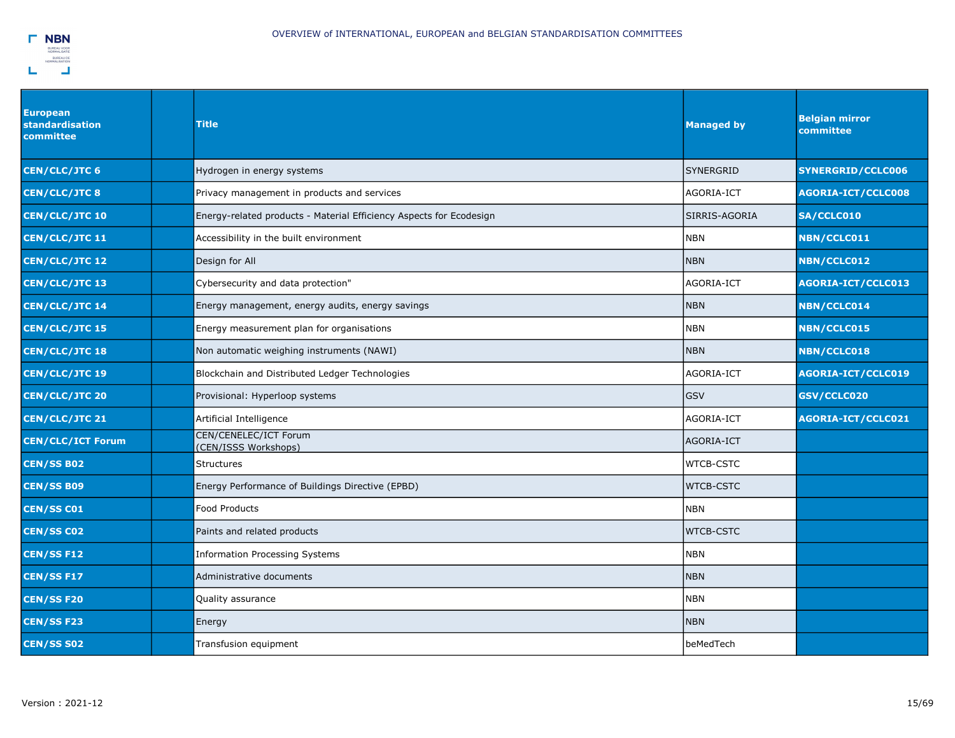

| <b>European</b><br><b>standardisation</b><br>committee | Title                                                               | <b>Managed by</b> | <b>Belgian mirror</b><br>committee |
|--------------------------------------------------------|---------------------------------------------------------------------|-------------------|------------------------------------|
| <b>CEN/CLC/JTC 6</b>                                   | Hydrogen in energy systems                                          | <b>SYNERGRID</b>  | <b>SYNERGRID/CCLC006</b>           |
| <b>CEN/CLC/JTC8</b>                                    | Privacy management in products and services                         | AGORIA-ICT        | <b>AGORIA-ICT/CCLC008</b>          |
| <b>CEN/CLC/JTC 10</b>                                  | Energy-related products - Material Efficiency Aspects for Ecodesign | SIRRIS-AGORIA     | SA/CCLC010                         |
| <b>CEN/CLC/JTC 11</b>                                  | Accessibility in the built environment                              | <b>NBN</b>        | NBN/CCLC011                        |
| <b>CEN/CLC/JTC 12</b>                                  | Design for All                                                      | <b>NBN</b>        | <b>NBN/CCLC012</b>                 |
| <b>CEN/CLC/JTC 13</b>                                  | Cybersecurity and data protection"                                  | AGORIA-ICT        | AGORIA-ICT/CCLC013                 |
| <b>CEN/CLC/JTC 14</b>                                  | Energy management, energy audits, energy savings                    | <b>NBN</b>        | <b>NBN/CCLC014</b>                 |
| <b>CEN/CLC/JTC 15</b>                                  | Energy measurement plan for organisations                           | <b>NBN</b>        | <b>NBN/CCLC015</b>                 |
| <b>CEN/CLC/JTC 18</b>                                  | Non automatic weighing instruments (NAWI)                           | <b>NBN</b>        | <b>NBN/CCLC018</b>                 |
| CEN/CLC/JTC 19                                         | Blockchain and Distributed Ledger Technologies                      | AGORIA-ICT        | <b>AGORIA-ICT/CCLC019</b>          |
| <b>CEN/CLC/JTC 20</b>                                  | Provisional: Hyperloop systems                                      | GSV               | GSV/CCLC020                        |
| <b>CEN/CLC/JTC 21</b>                                  | Artificial Intelligence                                             | AGORIA-ICT        | AGORIA-ICT/CCLC021                 |
| <b>CEN/CLC/ICT Forum</b>                               | CEN/CENELEC/ICT Forum<br>(CEN/ISSS Workshops)                       | AGORIA-ICT        |                                    |
| <b>CEN/SS B02</b>                                      | <b>Structures</b>                                                   | <b>WTCB-CSTC</b>  |                                    |
| <b>CEN/SS B09</b>                                      | Energy Performance of Buildings Directive (EPBD)                    | <b>WTCB-CSTC</b>  |                                    |
| <b>CEN/SS CO1</b>                                      | <b>Food Products</b>                                                | <b>NBN</b>        |                                    |
| <b>CEN/SS C02</b>                                      | Paints and related products                                         | <b>WTCB-CSTC</b>  |                                    |
| <b>CEN/SS F12</b>                                      | <b>Information Processing Systems</b>                               | <b>NBN</b>        |                                    |
| <b>CEN/SS F17</b>                                      | Administrative documents                                            | <b>NBN</b>        |                                    |
| <b>CEN/SS F20</b>                                      | Quality assurance                                                   | <b>NBN</b>        |                                    |
| <b>CEN/SS F23</b>                                      | Energy                                                              | <b>NBN</b>        |                                    |
| <b>CEN/SS S02</b>                                      | Transfusion equipment                                               | lbeMedTech        |                                    |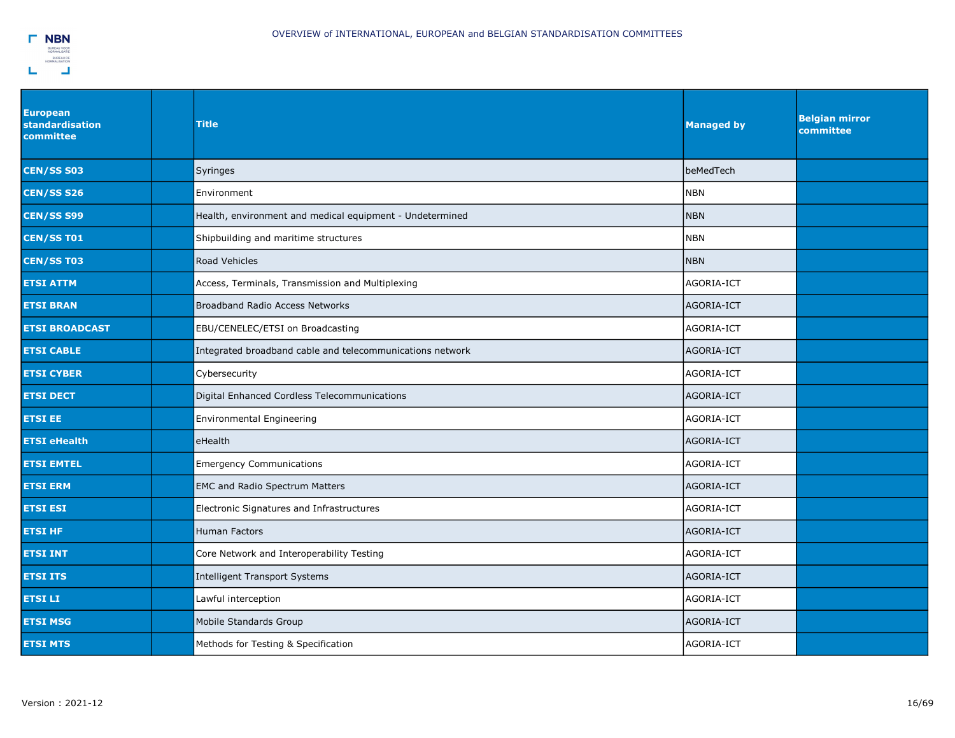

| <b>European</b><br><b>standardisation</b><br>committee | <b>Title</b>                                              | <b>Managed by</b> | <b>Belgian mirror</b><br>committee |
|--------------------------------------------------------|-----------------------------------------------------------|-------------------|------------------------------------|
| <b>CEN/SS S03</b>                                      | Syringes                                                  | beMedTech         |                                    |
| <b>CEN/SS S26</b>                                      | Environment                                               | <b>NBN</b>        |                                    |
| <b>CEN/SS S99</b>                                      | Health, environment and medical equipment - Undetermined  | <b>NBN</b>        |                                    |
| <b>CEN/SS T01</b>                                      | Shipbuilding and maritime structures                      | <b>NBN</b>        |                                    |
| <b>CEN/SS T03</b>                                      | <b>Road Vehicles</b>                                      | <b>NBN</b>        |                                    |
| <b>ETSI ATTM</b>                                       | Access, Terminals, Transmission and Multiplexing          | AGORIA-ICT        |                                    |
| <b>ETSI BRAN</b>                                       | <b>Broadband Radio Access Networks</b>                    | AGORIA-ICT        |                                    |
| <b>ETSI BROADCAST</b>                                  | EBU/CENELEC/ETSI on Broadcasting                          | AGORIA-ICT        |                                    |
| <b>ETSI CABLE</b>                                      | Integrated broadband cable and telecommunications network | AGORIA-ICT        |                                    |
| <b>ETSI CYBER</b>                                      | Cybersecurity                                             | AGORIA-ICT        |                                    |
| <b>ETSI DECT</b>                                       | Digital Enhanced Cordless Telecommunications              | AGORIA-ICT        |                                    |
| <b>ETSI EE</b>                                         | Environmental Engineering                                 | AGORIA-ICT        |                                    |
| <b>ETSI eHealth</b>                                    | eHealth                                                   | AGORIA-ICT        |                                    |
| <b>ETSI EMTEL</b>                                      | <b>Emergency Communications</b>                           | AGORIA-ICT        |                                    |
| <b>ETSI ERM</b>                                        | <b>EMC and Radio Spectrum Matters</b>                     | AGORIA-ICT        |                                    |
| <b>ETSI ESI</b>                                        | Electronic Signatures and Infrastructures                 | AGORIA-ICT        |                                    |
| <b>ETSI HF</b>                                         | Human Factors                                             | AGORIA-ICT        |                                    |
| <b>ETSI INT</b>                                        | Core Network and Interoperability Testing                 | AGORIA-ICT        |                                    |
| <b>ETSI ITS</b>                                        | <b>Intelligent Transport Systems</b>                      | AGORIA-ICT        |                                    |
| <b>ETSILI</b>                                          | Lawful interception                                       | AGORIA-ICT        |                                    |
| <b>ETSI MSG</b>                                        | Mobile Standards Group                                    | AGORIA-ICT        |                                    |
| <b>ETSI MTS</b>                                        | Methods for Testing & Specification                       | AGORIA-ICT        |                                    |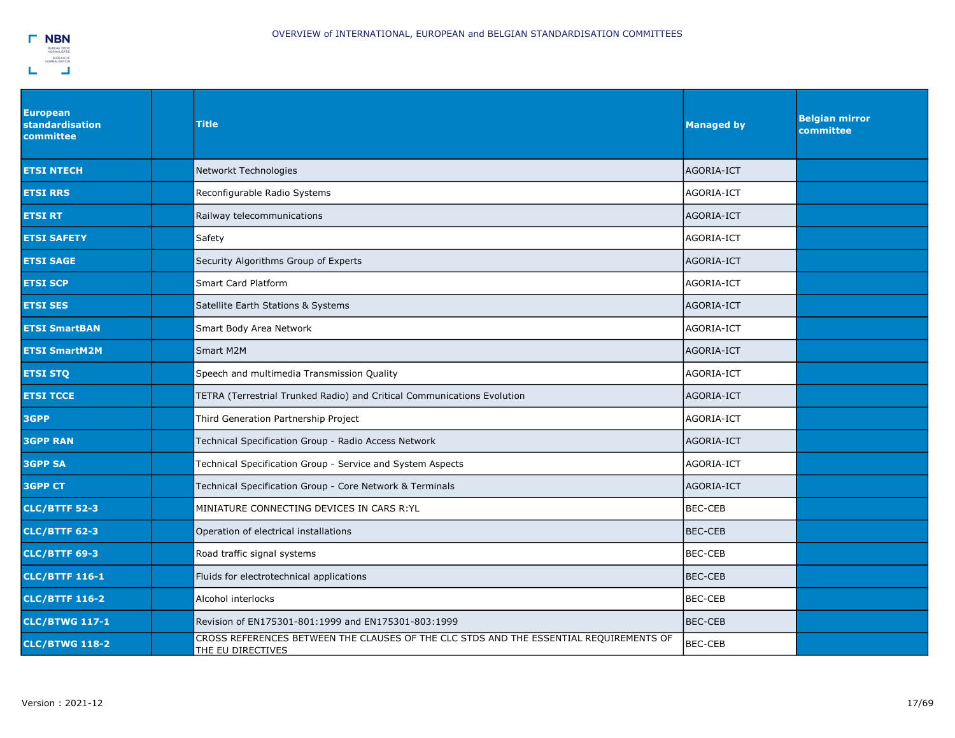| <b>European</b><br>standardisation<br>committee | <b>Title</b>                                                                                                | <b>Managed by</b> | <b>Belgian mirror</b><br>committee |
|-------------------------------------------------|-------------------------------------------------------------------------------------------------------------|-------------------|------------------------------------|
| <b>ETSI NTECH</b>                               | Networkt Technologies                                                                                       | AGORIA-ICT        |                                    |
| <b>ETSI RRS</b>                                 | Reconfigurable Radio Systems                                                                                | AGORIA-ICT        |                                    |
| <b>ETSI RT</b>                                  | Railway telecommunications                                                                                  | AGORIA-ICT        |                                    |
| ETSI SAFETY                                     | Safety                                                                                                      | AGORIA-ICT        |                                    |
| <b>ETSI SAGE</b>                                | Security Algorithms Group of Experts                                                                        | AGORIA-ICT        |                                    |
| <b>ETSI SCP</b>                                 | Smart Card Platform                                                                                         | AGORIA-ICT        |                                    |
| <b>ETSI SES</b>                                 | Satellite Earth Stations & Systems                                                                          | AGORIA-ICT        |                                    |
| <b>ETSI SmartBAN</b>                            | Smart Body Area Network                                                                                     | AGORIA-ICT        |                                    |
| <b>ETSI SmartM2M</b>                            | Smart M2M                                                                                                   | AGORIA-ICT        |                                    |
| <b>ETSI STQ</b>                                 | Speech and multimedia Transmission Quality                                                                  | AGORIA-ICT        |                                    |
| <b>ETSI TCCE</b>                                | TETRA (Terrestrial Trunked Radio) and Critical Communications Evolution                                     | AGORIA-ICT        |                                    |
| 3GPP                                            | Third Generation Partnership Project                                                                        | AGORIA-ICT        |                                    |
| <b>3GPP RAN</b>                                 | Technical Specification Group - Radio Access Network                                                        | AGORIA-ICT        |                                    |
| <b>3GPP SA</b>                                  | Technical Specification Group - Service and System Aspects                                                  | AGORIA-ICT        |                                    |
| <b>3GPP CT</b>                                  | Technical Specification Group - Core Network & Terminals                                                    | AGORIA-ICT        |                                    |
| <b>CLC/BTTF 52-3</b>                            | MINIATURE CONNECTING DEVICES IN CARS R: YL                                                                  | BEC-CEB           |                                    |
| <b>CLC/BTTF 62-3</b>                            | Operation of electrical installations                                                                       | <b>BEC-CEB</b>    |                                    |
| <b>CLC/BTTF 69-3</b>                            | Road traffic signal systems                                                                                 | <b>BEC-CEB</b>    |                                    |
| <b>CLC/BTTF 116-1</b>                           | Fluids for electrotechnical applications                                                                    | <b>BEC-CEB</b>    |                                    |
| <b>CLC/BTTF 116-2</b>                           | Alcohol interlocks                                                                                          | <b>BEC-CEB</b>    |                                    |
| <b>CLC/BTWG 117-1</b>                           | Revision of EN175301-801:1999 and EN175301-803:1999                                                         | <b>BEC-CEB</b>    |                                    |
| <b>CLC/BTWG 118-2</b>                           | CROSS REFERENCES BETWEEN THE CLAUSES OF THE CLC STDS AND THE ESSENTIAL REQUIREMENTS OF<br>THE EU DIRECTIVES | <b>BEC-CEB</b>    |                                    |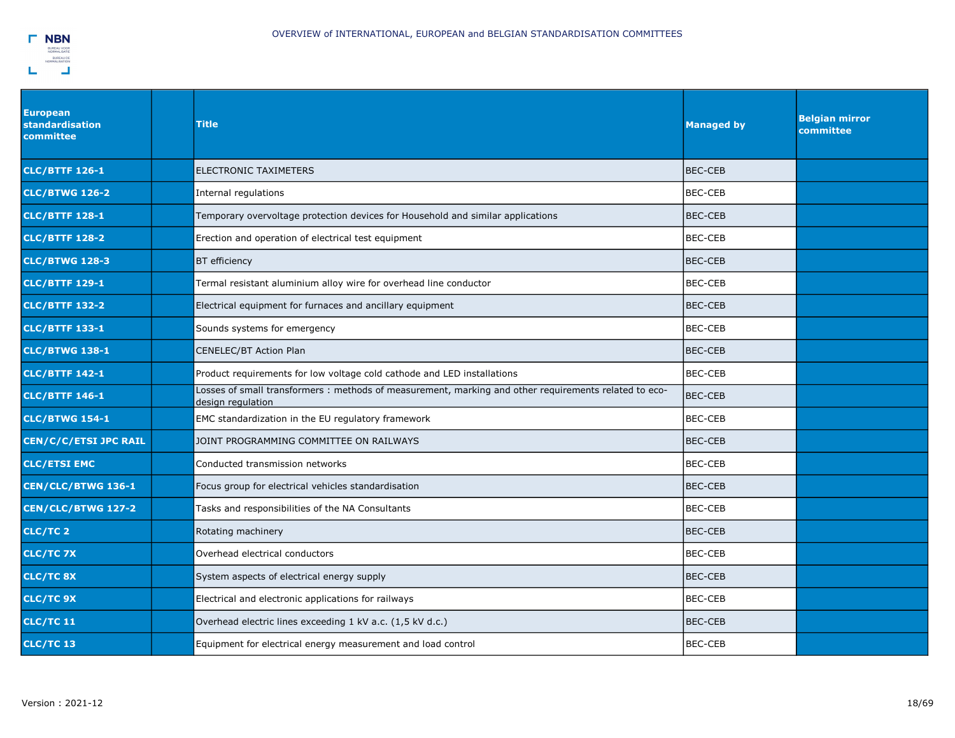

| <b>European</b><br><b>standardisation</b><br>committee | <b>Title</b>                                                                                                              | <b>Managed by</b> | <b>Belgian mirror</b><br>committee |
|--------------------------------------------------------|---------------------------------------------------------------------------------------------------------------------------|-------------------|------------------------------------|
| <b>CLC/BTTF 126-1</b>                                  | ELECTRONIC TAXIMETERS                                                                                                     | <b>BEC-CEB</b>    |                                    |
| <b>CLC/BTWG 126-2</b>                                  | Internal regulations                                                                                                      | <b>BEC-CEB</b>    |                                    |
| <b>CLC/BTTF 128-1</b>                                  | Temporary overvoltage protection devices for Household and similar applications                                           | <b>BEC-CEB</b>    |                                    |
| <b>CLC/BTTF 128-2</b>                                  | Erection and operation of electrical test equipment                                                                       | <b>BEC-CEB</b>    |                                    |
| <b>CLC/BTWG 128-3</b>                                  | <b>BT</b> efficiency                                                                                                      | <b>BEC-CEB</b>    |                                    |
| <b>CLC/BTTF 129-1</b>                                  | Termal resistant aluminium alloy wire for overhead line conductor                                                         | <b>BEC-CEB</b>    |                                    |
| <b>CLC/BTTF 132-2</b>                                  | Electrical equipment for furnaces and ancillary equipment                                                                 | <b>BEC-CEB</b>    |                                    |
| <b>CLC/BTTF 133-1</b>                                  | Sounds systems for emergency                                                                                              | <b>BEC-CEB</b>    |                                    |
| <b>CLC/BTWG 138-1</b>                                  | CENELEC/BT Action Plan                                                                                                    | <b>BEC-CEB</b>    |                                    |
| <b>CLC/BTTF 142-1</b>                                  | Product requirements for low voltage cold cathode and LED installations                                                   | <b>BEC-CEB</b>    |                                    |
| <b>CLC/BTTF 146-1</b>                                  | Losses of small transformers: methods of measurement, marking and other requirements related to eco-<br>design regulation | <b>BEC-CEB</b>    |                                    |
| <b>CLC/BTWG 154-1</b>                                  | EMC standardization in the EU regulatory framework                                                                        | <b>BEC-CEB</b>    |                                    |
| <b>CEN/C/C/ETSI JPC RAIL</b>                           | JOINT PROGRAMMING COMMITTEE ON RAILWAYS                                                                                   | <b>BEC-CEB</b>    |                                    |
| <b>CLC/ETSI EMC</b>                                    | Conducted transmission networks                                                                                           | <b>BEC-CEB</b>    |                                    |
| CEN/CLC/BTWG 136-1                                     | Focus group for electrical vehicles standardisation                                                                       | <b>BEC-CEB</b>    |                                    |
| CEN/CLC/BTWG 127-2                                     | Tasks and responsibilities of the NA Consultants                                                                          | <b>BEC-CEB</b>    |                                    |
| CLC/TC <sub>2</sub>                                    | Rotating machinery                                                                                                        | <b>BEC-CEB</b>    |                                    |
| CLC/TC 7X                                              | Overhead electrical conductors                                                                                            | <b>BEC-CEB</b>    |                                    |
| <b>CLC/TC 8X</b>                                       | System aspects of electrical energy supply                                                                                | <b>BEC-CEB</b>    |                                    |
| <b>CLC/TC 9X</b>                                       | Electrical and electronic applications for railways                                                                       | <b>BEC-CEB</b>    |                                    |
| <b>CLC/TC11</b>                                        | Overhead electric lines exceeding 1 kV a.c. (1,5 kV d.c.)                                                                 | <b>BEC-CEB</b>    |                                    |
| <b>CLC/TC13</b>                                        | Equipment for electrical energy measurement and load control                                                              | <b>BEC-CEB</b>    |                                    |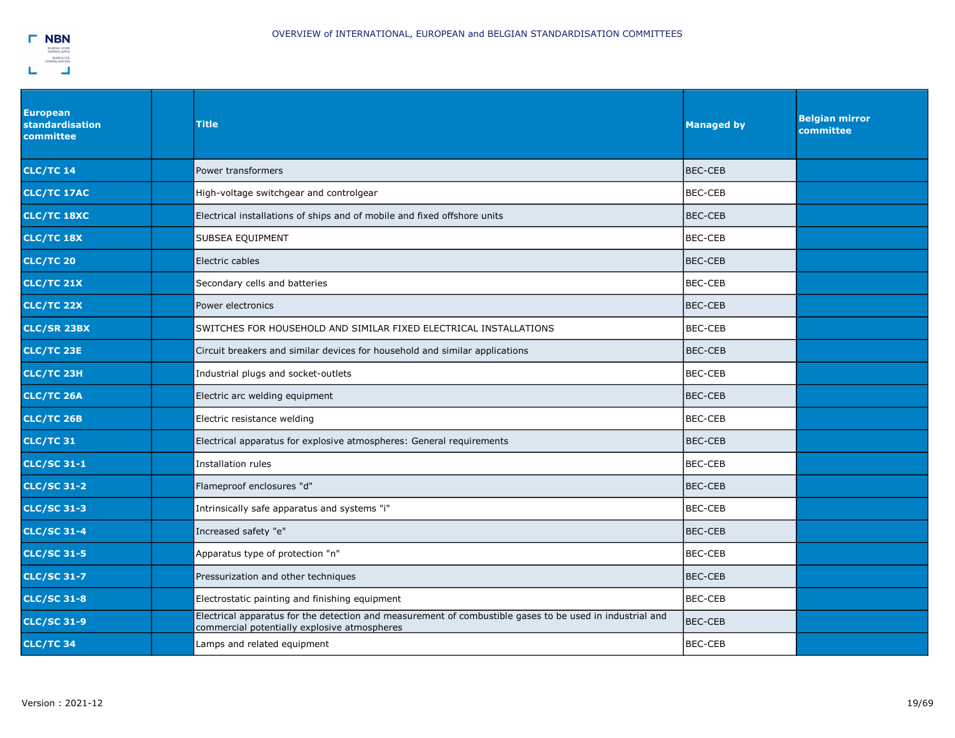

| <b>European</b><br><b>standardisation</b><br>committee | <b>Title</b>                                                                                                                                             | <b>Managed by</b> | <b>Belgian mirror</b><br>committee |
|--------------------------------------------------------|----------------------------------------------------------------------------------------------------------------------------------------------------------|-------------------|------------------------------------|
| <b>CLC/TC 14</b>                                       | Power transformers                                                                                                                                       | <b>BEC-CEB</b>    |                                    |
| <b>CLC/TC 17AC</b>                                     | High-voltage switchgear and controlgear                                                                                                                  | <b>BEC-CEB</b>    |                                    |
| CLC/TC 18XC                                            | Electrical installations of ships and of mobile and fixed offshore units                                                                                 | <b>BEC-CEB</b>    |                                    |
| CLC/TC 18X                                             | SUBSEA EQUIPMENT                                                                                                                                         | <b>BEC-CEB</b>    |                                    |
| <b>CLC/TC 20</b>                                       | Electric cables                                                                                                                                          | <b>BEC-CEB</b>    |                                    |
| <b>CLC/TC 21X</b>                                      | Secondary cells and batteries                                                                                                                            | BEC-CEB           |                                    |
| <b>CLC/TC 22X</b>                                      | Power electronics                                                                                                                                        | <b>BEC-CEB</b>    |                                    |
| <b>CLC/SR 23BX</b>                                     | SWITCHES FOR HOUSEHOLD AND SIMILAR FIXED ELECTRICAL INSTALLATIONS                                                                                        | BEC-CEB           |                                    |
| <b>CLC/TC 23E</b>                                      | Circuit breakers and similar devices for household and similar applications                                                                              | BEC-CEB           |                                    |
| <b>CLC/TC 23H</b>                                      | Industrial plugs and socket-outlets                                                                                                                      | BEC-CEB           |                                    |
| CLC/TC 26A                                             | Electric arc welding equipment                                                                                                                           | <b>BEC-CEB</b>    |                                    |
| <b>CLC/TC 26B</b>                                      | Electric resistance welding                                                                                                                              | <b>BEC-CEB</b>    |                                    |
| <b>CLC/TC31</b>                                        | Electrical apparatus for explosive atmospheres: General requirements                                                                                     | <b>BEC-CEB</b>    |                                    |
| <b>CLC/SC 31-1</b>                                     | Installation rules                                                                                                                                       | <b>BEC-CEB</b>    |                                    |
| <b>CLC/SC 31-2</b>                                     | Flameproof enclosures "d"                                                                                                                                | <b>BEC-CEB</b>    |                                    |
| <b>CLC/SC 31-3</b>                                     | Intrinsically safe apparatus and systems "i"                                                                                                             | <b>BEC-CEB</b>    |                                    |
| <b>CLC/SC 31-4</b>                                     | Increased safety "e"                                                                                                                                     | <b>BEC-CEB</b>    |                                    |
| <b>CLC/SC 31-5</b>                                     | Apparatus type of protection "n"                                                                                                                         | <b>BEC-CEB</b>    |                                    |
| <b>CLC/SC 31-7</b>                                     | Pressurization and other techniques                                                                                                                      | <b>BEC-CEB</b>    |                                    |
| <b>CLC/SC 31-8</b>                                     | Electrostatic painting and finishing equipment                                                                                                           | <b>BEC-CEB</b>    |                                    |
| <b>CLC/SC 31-9</b>                                     | Electrical apparatus for the detection and measurement of combustible gases to be used in industrial and<br>commercial potentially explosive atmospheres | <b>BEC-CEB</b>    |                                    |
| <b>CLC/TC34</b>                                        | Lamps and related equipment                                                                                                                              | <b>BEC-CEB</b>    |                                    |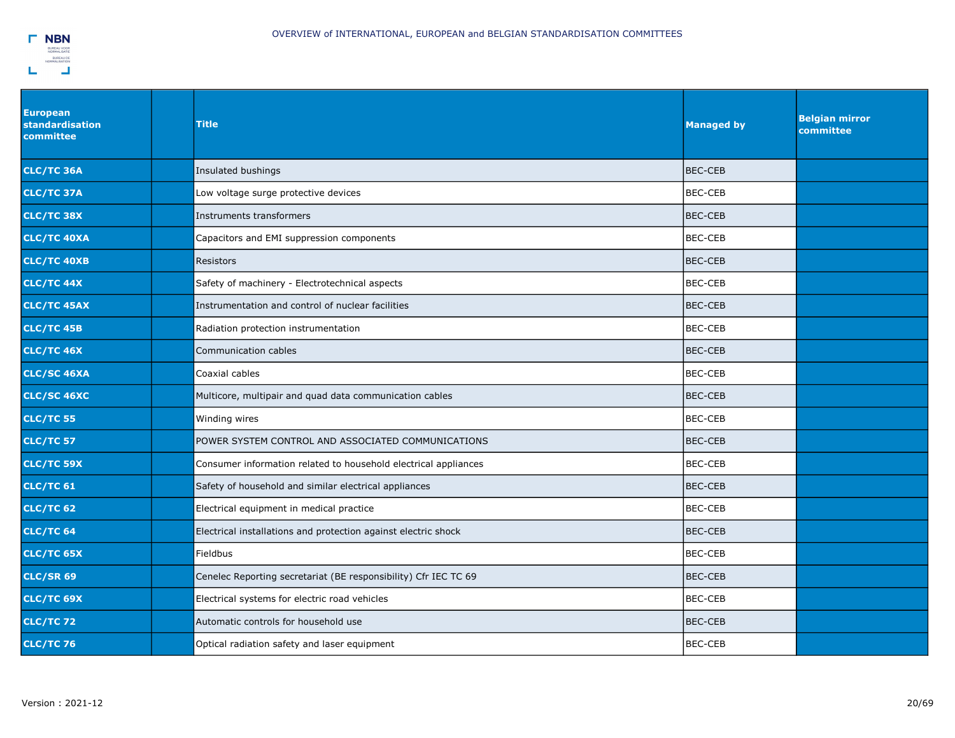

| <b>European</b><br><b>standardisation</b><br>committee | <b>Title</b>                                                    | <b>Managed by</b> | <b>Belgian mirror</b><br>committee |
|--------------------------------------------------------|-----------------------------------------------------------------|-------------------|------------------------------------|
| CLC/TC 36A                                             | Insulated bushings                                              | <b>BEC-CEB</b>    |                                    |
| <b>CLC/TC 37A</b>                                      | Low voltage surge protective devices                            | BEC-CEB           |                                    |
| CLC/TC 38X                                             | Instruments transformers                                        | <b>BEC-CEB</b>    |                                    |
| <b>CLC/TC 40XA</b>                                     | Capacitors and EMI suppression components                       | <b>BEC-CEB</b>    |                                    |
| <b>CLC/TC 40XB</b>                                     | Resistors                                                       | <b>BEC-CEB</b>    |                                    |
| CLC/TC 44X                                             | Safety of machinery - Electrotechnical aspects                  | <b>BEC-CEB</b>    |                                    |
| CLC/TC 45AX                                            | Instrumentation and control of nuclear facilities               | <b>BEC-CEB</b>    |                                    |
| <b>CLC/TC 45B</b>                                      | Radiation protection instrumentation                            | <b>BEC-CEB</b>    |                                    |
| <b>CLC/TC 46X</b>                                      | Communication cables                                            | <b>BEC-CEB</b>    |                                    |
| <b>CLC/SC 46XA</b>                                     | Coaxial cables                                                  | <b>BEC-CEB</b>    |                                    |
| <b>CLC/SC 46XC</b>                                     | Multicore, multipair and quad data communication cables         | <b>BEC-CEB</b>    |                                    |
| <b>CLC/TC 55</b>                                       | Winding wires                                                   | <b>BEC-CEB</b>    |                                    |
| <b>CLC/TC 57</b>                                       | POWER SYSTEM CONTROL AND ASSOCIATED COMMUNICATIONS              | <b>BEC-CEB</b>    |                                    |
| CLC/TC 59X                                             | Consumer information related to household electrical appliances | <b>BEC-CEB</b>    |                                    |
| <b>CLC/TC 61</b>                                       | Safety of household and similar electrical appliances           | <b>BEC-CEB</b>    |                                    |
| <b>CLC/TC 62</b>                                       | Electrical equipment in medical practice                        | <b>BEC-CEB</b>    |                                    |
| <b>CLC/TC 64</b>                                       | Electrical installations and protection against electric shock  | <b>BEC-CEB</b>    |                                    |
| <b>CLC/TC 65X</b>                                      | Fieldbus                                                        | <b>BEC-CEB</b>    |                                    |
| <b>CLC/SR 69</b>                                       | Cenelec Reporting secretariat (BE responsibility) Cfr IEC TC 69 | <b>BEC-CEB</b>    |                                    |
| CLC/TC 69X                                             | Electrical systems for electric road vehicles                   | <b>BEC-CEB</b>    |                                    |
| <b>CLC/TC72</b>                                        | Automatic controls for household use                            | <b>BEC-CEB</b>    |                                    |
| <b>CLC/TC76</b>                                        | Optical radiation safety and laser equipment                    | <b>BEC-CEB</b>    |                                    |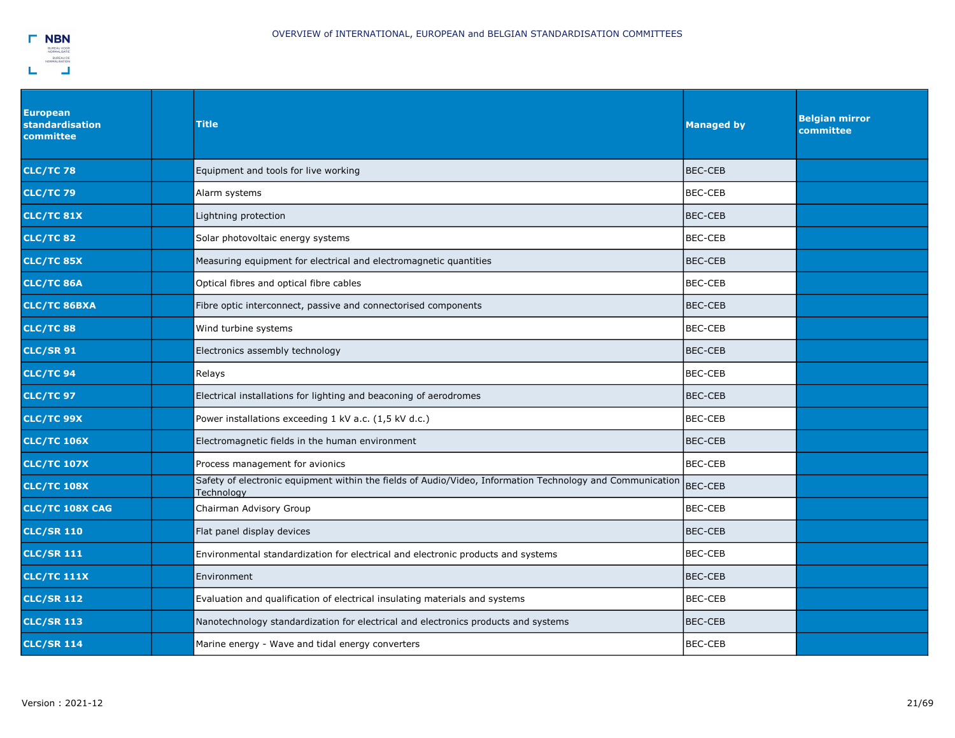

| <b>European</b><br>standardisation<br>committee | Title                                                                                                                   | <b>Managed by</b> | <b>Belgian mirror</b><br>committee |
|-------------------------------------------------|-------------------------------------------------------------------------------------------------------------------------|-------------------|------------------------------------|
| <b>CLC/TC78</b>                                 | Equipment and tools for live working                                                                                    | <b>BEC-CEB</b>    |                                    |
| <b>CLC/TC79</b>                                 | Alarm systems                                                                                                           | <b>BEC-CEB</b>    |                                    |
| <b>CLC/TC 81X</b>                               | Lightning protection                                                                                                    | BEC-CEB           |                                    |
| <b>CLC/TC82</b>                                 | Solar photovoltaic energy systems                                                                                       | <b>BEC-CEB</b>    |                                    |
| <b>CLC/TC 85X</b>                               | Measuring equipment for electrical and electromagnetic quantities                                                       | <b>BEC-CEB</b>    |                                    |
| <b>CLC/TC 86A</b>                               | Optical fibres and optical fibre cables                                                                                 | <b>BEC-CEB</b>    |                                    |
| <b>CLC/TC 86BXA</b>                             | Fibre optic interconnect, passive and connectorised components                                                          | <b>BEC-CEB</b>    |                                    |
| <b>CLC/TC 88</b>                                | Wind turbine systems                                                                                                    | <b>BEC-CEB</b>    |                                    |
| <b>CLC/SR 91</b>                                | Electronics assembly technology                                                                                         | <b>BEC-CEB</b>    |                                    |
| <b>CLC/TC 94</b>                                | Relays                                                                                                                  | <b>BEC-CEB</b>    |                                    |
| <b>CLC/TC 97</b>                                | Electrical installations for lighting and beaconing of aerodromes                                                       | <b>BEC-CEB</b>    |                                    |
| <b>CLC/TC 99X</b>                               | Power installations exceeding 1 kV a.c. (1,5 kV d.c.)                                                                   | BEC-CEB           |                                    |
| <b>CLC/TC 106X</b>                              | Electromagnetic fields in the human environment                                                                         | <b>BEC-CEB</b>    |                                    |
| <b>CLC/TC 107X</b>                              | Process management for avionics                                                                                         | BEC-CEB           |                                    |
| <b>CLC/TC 108X</b>                              | Safety of electronic equipment within the fields of Audio/Video, Information Technology and Communication<br>Technology | <b>BEC-CEB</b>    |                                    |
| <b>CLC/TC 108X CAG</b>                          | Chairman Advisory Group                                                                                                 | <b>BEC-CEB</b>    |                                    |
| <b>CLC/SR 110</b>                               | Flat panel display devices                                                                                              | <b>BEC-CEB</b>    |                                    |
| <b>CLC/SR 111</b>                               | Environmental standardization for electrical and electronic products and systems                                        | <b>BEC-CEB</b>    |                                    |
| <b>CLC/TC 111X</b>                              | Environment                                                                                                             | BEC-CEB           |                                    |
| <b>CLC/SR 112</b>                               | Evaluation and qualification of electrical insulating materials and systems                                             | <b>BEC-CEB</b>    |                                    |
| <b>CLC/SR 113</b>                               | Nanotechnology standardization for electrical and electronics products and systems                                      | <b>BEC-CEB</b>    |                                    |
| <b>CLC/SR 114</b>                               | Marine energy - Wave and tidal energy converters                                                                        | BEC-CEB           |                                    |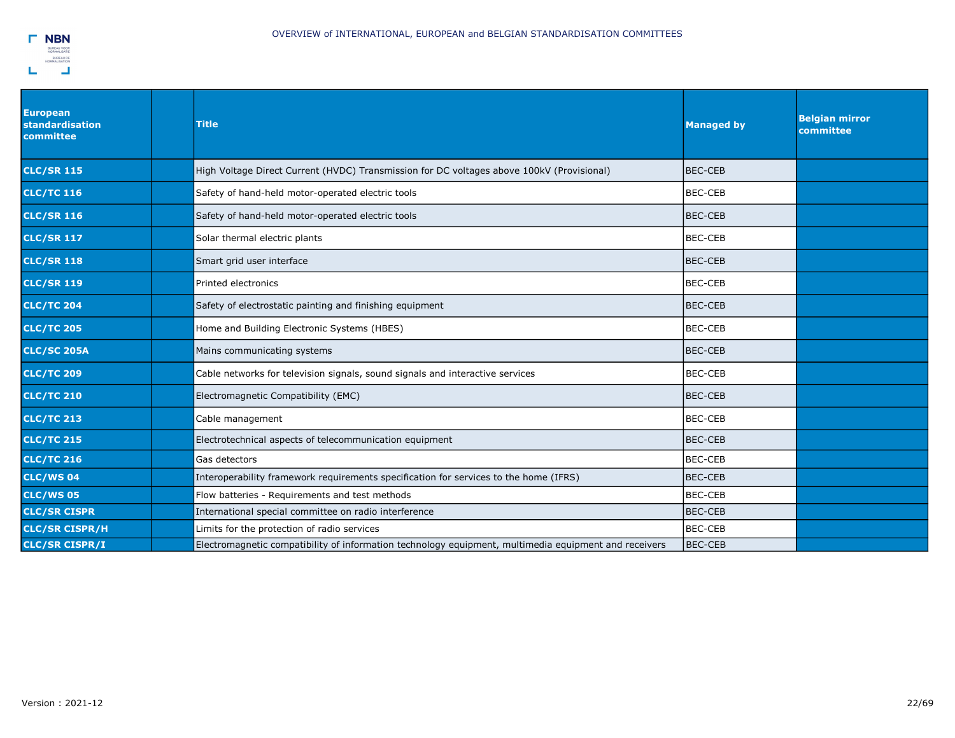

| <b>European</b><br>standardisation<br>committee | <b>Title</b>                                                                                          | <b>Managed by</b> | <b>Belgian mirror</b><br>committee |
|-------------------------------------------------|-------------------------------------------------------------------------------------------------------|-------------------|------------------------------------|
| <b>CLC/SR 115</b>                               | High Voltage Direct Current (HVDC) Transmission for DC voltages above 100kV (Provisional)             | BEC-CEB           |                                    |
| <b>CLC/TC 116</b>                               | Safety of hand-held motor-operated electric tools                                                     | <b>BEC-CEB</b>    |                                    |
| <b>CLC/SR 116</b>                               | Safety of hand-held motor-operated electric tools                                                     | <b>BEC-CEB</b>    |                                    |
| <b>CLC/SR 117</b>                               | Solar thermal electric plants                                                                         | <b>BEC-CEB</b>    |                                    |
| <b>CLC/SR 118</b>                               | Smart grid user interface                                                                             | BEC-CEB           |                                    |
| <b>CLC/SR 119</b>                               | Printed electronics                                                                                   | <b>BEC-CEB</b>    |                                    |
| <b>CLC/TC 204</b>                               | Safety of electrostatic painting and finishing equipment                                              | <b>BEC-CEB</b>    |                                    |
| <b>CLC/TC 205</b>                               | Home and Building Electronic Systems (HBES)                                                           | BEC-CEB           |                                    |
| <b>CLC/SC 205A</b>                              | Mains communicating systems                                                                           | BEC-CEB           |                                    |
| <b>CLC/TC 209</b>                               | Cable networks for television signals, sound signals and interactive services                         | <b>BEC-CEB</b>    |                                    |
| <b>CLC/TC 210</b>                               | Electromagnetic Compatibility (EMC)                                                                   | <b>BEC-CEB</b>    |                                    |
| <b>CLC/TC 213</b>                               | Cable management                                                                                      | <b>BEC-CEB</b>    |                                    |
| <b>CLC/TC 215</b>                               | Electrotechnical aspects of telecommunication equipment                                               | <b>BEC-CEB</b>    |                                    |
| <b>CLC/TC 216</b>                               | Gas detectors                                                                                         | <b>BEC-CEB</b>    |                                    |
| <b>CLC/WS04</b>                                 | Interoperability framework requirements specification for services to the home (IFRS)                 | <b>BEC-CEB</b>    |                                    |
| <b>CLC/WS 05</b>                                | Flow batteries - Requirements and test methods                                                        | <b>BEC-CEB</b>    |                                    |
| <b>CLC/SR CISPR</b>                             | International special committee on radio interference                                                 | <b>BEC-CEB</b>    |                                    |
| <b>CLC/SR CISPR/H</b>                           | Limits for the protection of radio services                                                           | <b>BEC-CEB</b>    |                                    |
| <b>CLC/SR CISPR/I</b>                           | Electromagnetic compatibility of information technology equipment, multimedia equipment and receivers | <b>BEC-CEB</b>    |                                    |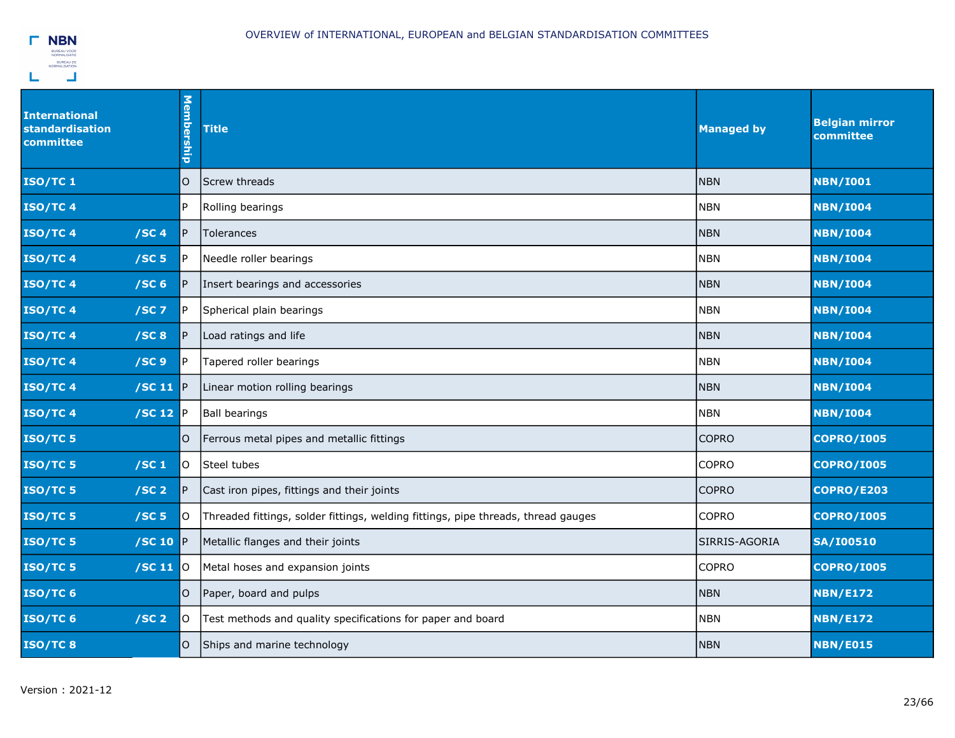| <b>International</b><br><b>standardisation</b><br>committee | Membership   | <b>Title</b>                                                                      | <b>Managed by</b> | <b>Belgian mirror</b><br>committee |
|-------------------------------------------------------------|--------------|-----------------------------------------------------------------------------------|-------------------|------------------------------------|
| <b>ISO/TC1</b>                                              | 0            | lScrew threads                                                                    | <b>NBN</b>        | <b>NBN/I001</b>                    |
| <b>ISO/TC4</b>                                              | P            | Rolling bearings                                                                  | <b>NBN</b>        | <b>NBN/I004</b>                    |
| <b>ISO/TC4</b><br>/SC4                                      | $\mathsf{P}$ | <b>Tolerances</b>                                                                 | <b>NBN</b>        | <b>NBN/I004</b>                    |
| <b>ISO/TC4</b><br>/SC <sub>5</sub>                          | P            | Needle roller bearings                                                            | <b>NBN</b>        | <b>NBN/I004</b>                    |
| <b>ISO/TC4</b><br>/SC <sub>6</sub>                          | P            | Insert bearings and accessories                                                   | <b>NBN</b>        | <b>NBN/I004</b>                    |
| <b>ISO/TC4</b><br>$/SC$ 7                                   | P            | Spherical plain bearings                                                          | <b>NBN</b>        | <b>NBN/I004</b>                    |
| <b>ISO/TC4</b><br>/SC8                                      | P            | Load ratings and life                                                             | <b>NBN</b>        | <b>NBN/I004</b>                    |
| /SC <sub>9</sub><br><b>ISO/TC4</b>                          | ΙP           | Tapered roller bearings                                                           | <b>NBN</b>        | <b>NBN/I004</b>                    |
| <b>ISO/TC4</b><br>$/SC$ 11                                  | <b>IP</b>    | Linear motion rolling bearings                                                    | <b>NBN</b>        | <b>NBN/I004</b>                    |
| <b>ISO/TC4</b><br>$/SC$ 12                                  | <b>IP</b>    | <b>Ball bearings</b>                                                              | <b>NBN</b>        | <b>NBN/I004</b>                    |
| $ISO/TC$ 5                                                  | O            | Ferrous metal pipes and metallic fittings                                         | <b>COPRO</b>      | <b>COPRO/I005</b>                  |
| <b>ISO/TC 5</b><br>/SC <sub>1</sub>                         | lO.          | Steel tubes                                                                       | <b>COPRO</b>      | <b>COPRO/I005</b>                  |
| $ISO/TC$ 5<br>/SC <sub>2</sub>                              | P            | Cast iron pipes, fittings and their joints                                        | <b>COPRO</b>      | COPRO/E203                         |
| ISO/TC 5<br>/SC <sub>5</sub>                                | O            | Threaded fittings, solder fittings, welding fittings, pipe threads, thread gauges | <b>COPRO</b>      | <b>COPRO/I005</b>                  |
| ISO/TC 5<br>/SC 10                                          | IP.          | Metallic flanges and their joints                                                 | SIRRIS-AGORIA     | <b>SA/I00510</b>                   |
| $ISO/TC$ 5<br>$/$ SC 11 $ $ 0                               |              | Metal hoses and expansion joints                                                  | <b>COPRO</b>      | <b>COPRO/I005</b>                  |
| $ISO/TC$ 6                                                  | O            | Paper, board and pulps                                                            | <b>NBN</b>        | <b>NBN/E172</b>                    |
| ISO/TC 6<br>/SC <sub>2</sub>                                | O            | Test methods and quality specifications for paper and board                       | <b>NBN</b>        | <b>NBN/E172</b>                    |
| ISO/TC8                                                     | 0            | Ships and marine technology                                                       | <b>NBN</b>        | <b>NBN/E015</b>                    |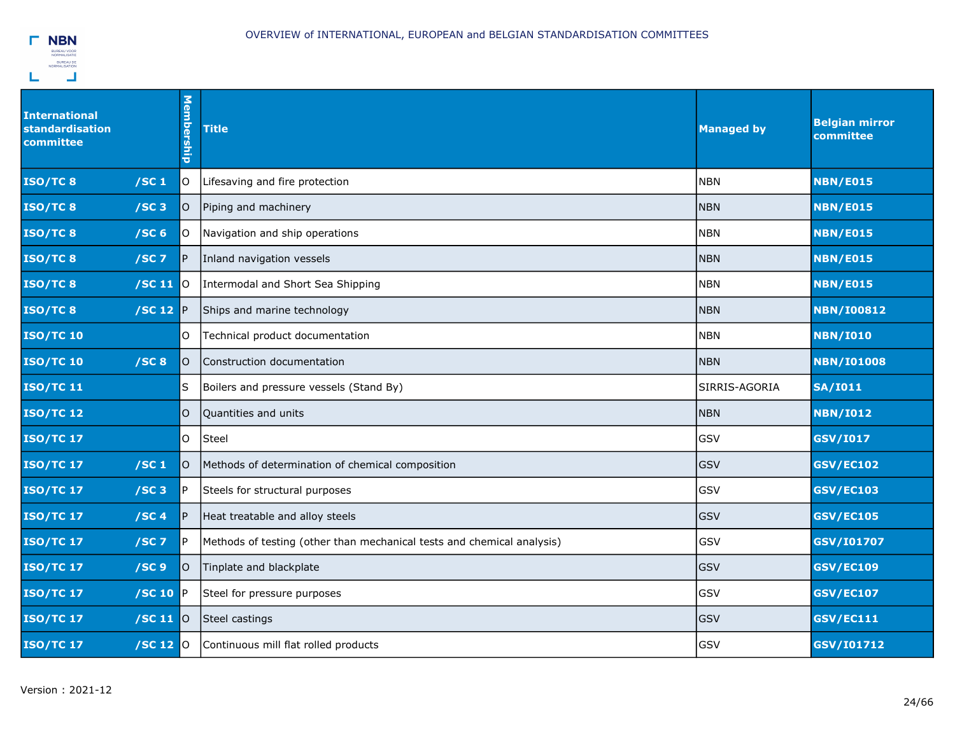

| <b>International</b><br><b>standardisation</b><br>committee |                     | Membership     | <b>Title</b>                                                           | <b>Managed by</b> | <b>Belgian mirror</b><br>committee |
|-------------------------------------------------------------|---------------------|----------------|------------------------------------------------------------------------|-------------------|------------------------------------|
| ISO/TC8<br>/SC <sub>1</sub>                                 |                     | lO.            | Lifesaving and fire protection                                         | <b>NBN</b>        | <b>NBN/E015</b>                    |
| /SC3<br>ISO/TC8                                             |                     | O              | Piping and machinery                                                   | <b>NBN</b>        | <b>NBN/E015</b>                    |
| ISO/TC8<br>/SC <sub>6</sub>                                 |                     | lO.            | Navigation and ship operations                                         | <b>NBN</b>        | <b>NBN/E015</b>                    |
| ISO/TC8<br>$/SC$ 7                                          |                     | $\mathsf{P}$   | Inland navigation vessels                                              | <b>NBN</b>        | <b>NBN/E015</b>                    |
| ISO/TC8                                                     | /SC 11              | $\overline{)}$ | Intermodal and Short Sea Shipping                                      | <b>NBN</b>        | <b>NBN/E015</b>                    |
| ISO/TC8                                                     | /SC 12 $\mathbb{P}$ |                | Ships and marine technology                                            | <b>NBN</b>        | <b>NBN/I00812</b>                  |
| <b>ISO/TC 10</b>                                            |                     | O              | Technical product documentation                                        | <b>NBN</b>        | <b>NBN/I010</b>                    |
| <b>ISO/TC 10</b><br>/SC8                                    |                     | lO.            | Construction documentation                                             | <b>NBN</b>        | <b>NBN/I01008</b>                  |
| <b>ISO/TC 11</b>                                            |                     | ls.            | Boilers and pressure vessels (Stand By)                                | SIRRIS-AGORIA     | <b>SA/I011</b>                     |
| <b>ISO/TC 12</b>                                            |                     | lO.            | Quantities and units                                                   | <b>NBN</b>        | <b>NBN/I012</b>                    |
| <b>ISO/TC 17</b>                                            |                     | O              | Steel                                                                  | GSV               | <b>GSV/I017</b>                    |
| <b>ISO/TC 17</b><br>/SC <sub>1</sub>                        |                     | O              | Methods of determination of chemical composition                       | <b>GSV</b>        | <b>GSV/EC102</b>                   |
| <b>ISO/TC 17</b><br>/SC <sub>3</sub>                        |                     | P              | Steels for structural purposes                                         | GSV               | <b>GSV/EC103</b>                   |
| <b>ISO/TC 17</b><br>/SC4                                    |                     | $\mathsf{P}$   | Heat treatable and alloy steels                                        | <b>GSV</b>        | <b>GSV/EC105</b>                   |
| <b>ISO/TC 17</b><br>$/SC$ 7                                 |                     | P              | Methods of testing (other than mechanical tests and chemical analysis) | GSV               | GSV/I01707                         |
| <b>ISO/TC 17</b><br>/SC <sub>9</sub>                        |                     | lO.            | Tinplate and blackplate                                                | <b>GSV</b>        | <b>GSV/EC109</b>                   |
| <b>ISO/TC 17</b>                                            | /SC 10              | IP.            | Steel for pressure purposes                                            | GSV               | <b>GSV/EC107</b>                   |
| <b>ISO/TC 17</b>                                            | /SC 11              | $ 0\rangle$    | Steel castings                                                         | GSV               | <b>GSV/EC111</b>                   |
| <b>ISO/TC 17</b>                                            | $/$ SC 12O          |                | Continuous mill flat rolled products                                   | GSV               | GSV/I01712                         |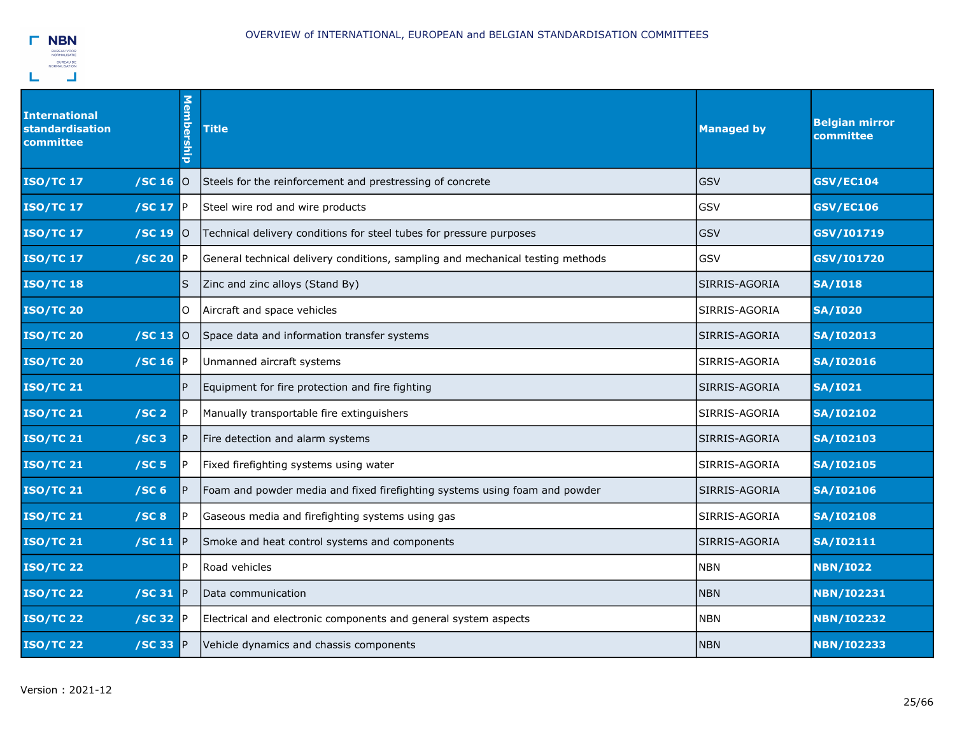

| <b>International</b><br><b>standardisation</b><br>committee | <b>Membership</b>       | <b>Title</b>                                                                   | <b>Managed by</b> | <b>Belgian mirror</b><br>committee |
|-------------------------------------------------------------|-------------------------|--------------------------------------------------------------------------------|-------------------|------------------------------------|
| <b>ISO/TC 17</b><br>/SC <sub>16</sub>                       | $\overline{O}$          | Steels for the reinforcement and prestressing of concrete                      | <b>GSV</b>        | <b>GSV/EC104</b>                   |
| $\sqrt{SC}$ 17 P<br><b>ISO/TC 17</b>                        |                         | Steel wire rod and wire products                                               | GSV               | <b>GSV/EC106</b>                   |
| <b>ISO/TC 17</b><br>/SC 19                                  | <b>O</b>                | Technical delivery conditions for steel tubes for pressure purposes            | GSV               | GSV/I01719                         |
| <b>ISO/TC 17</b><br>$/SC$ 20 $P$                            |                         | General technical delivery conditions, sampling and mechanical testing methods | GSV               | GSV/I01720                         |
| <b>ISO/TC 18</b>                                            | $\overline{\mathsf{s}}$ | Zinc and zinc alloys (Stand By)                                                | SIRRIS-AGORIA     | <b>SA/I018</b>                     |
| <b>ISO/TC 20</b>                                            | $\circ$                 | Aircraft and space vehicles                                                    | SIRRIS-AGORIA     | <b>SA/I020</b>                     |
| <b>ISO/TC 20</b><br>/SC 13                                  | <b>IO</b>               | Space data and information transfer systems                                    | SIRRIS-AGORIA     | <b>SA/I02013</b>                   |
| <b>ISO/TC 20</b><br>/SC 16 $\mathbb P$                      |                         | Unmanned aircraft systems                                                      | SIRRIS-AGORIA     | <b>SA/I02016</b>                   |
| <b>ISO/TC 21</b>                                            | $\overline{P}$          | Equipment for fire protection and fire fighting                                | SIRRIS-AGORIA     | <b>SA/I021</b>                     |
| <b>ISO/TC 21</b><br>/SC <sub>2</sub>                        | $\mathsf{P}$            | Manually transportable fire extinguishers                                      | SIRRIS-AGORIA     | <b>SA/I02102</b>                   |
| <b>ISO/TC 21</b><br>$/SC$ 3                                 | $\mathsf{P}$            | Fire detection and alarm systems                                               | SIRRIS-AGORIA     | <b>SA/I02103</b>                   |
| /SC <sub>5</sub><br><b>ISO/TC 21</b>                        | P.                      | Fixed firefighting systems using water                                         | SIRRIS-AGORIA     | <b>SA/I02105</b>                   |
| /SC <sub>6</sub><br><b>ISO/TC 21</b>                        | $\mathsf{P}$            | Foam and powder media and fixed firefighting systems using foam and powder     | SIRRIS-AGORIA     | <b>SA/I02106</b>                   |
| <b>ISO/TC 21</b><br>/SC8                                    | $\mathsf{P}$            | Gaseous media and firefighting systems using gas                               | SIRRIS-AGORIA     | <b>SA/I02108</b>                   |
| <b>ISO/TC 21</b><br>/SC 11 $\vert$ P                        |                         | Smoke and heat control systems and components                                  | SIRRIS-AGORIA     | <b>SA/I02111</b>                   |
| <b>ISO/TC 22</b>                                            | $\mathsf{P}$            | Road vehicles                                                                  | <b>NBN</b>        | <b>NBN/I022</b>                    |
| <b>ISO/TC 22</b><br>$/SC 31$ P                              |                         | Data communication                                                             | <b>NBN</b>        | <b>NBN/I02231</b>                  |
| $/SC$ 32 $P$<br><b>ISO/TC 22</b>                            |                         | Electrical and electronic components and general system aspects                | <b>NBN</b>        | <b>NBN/I02232</b>                  |
| <b>ISO/TC 22</b><br>$/$ SC 33 $P$                           |                         | Vehicle dynamics and chassis components                                        | <b>NBN</b>        | <b>NBN/I02233</b>                  |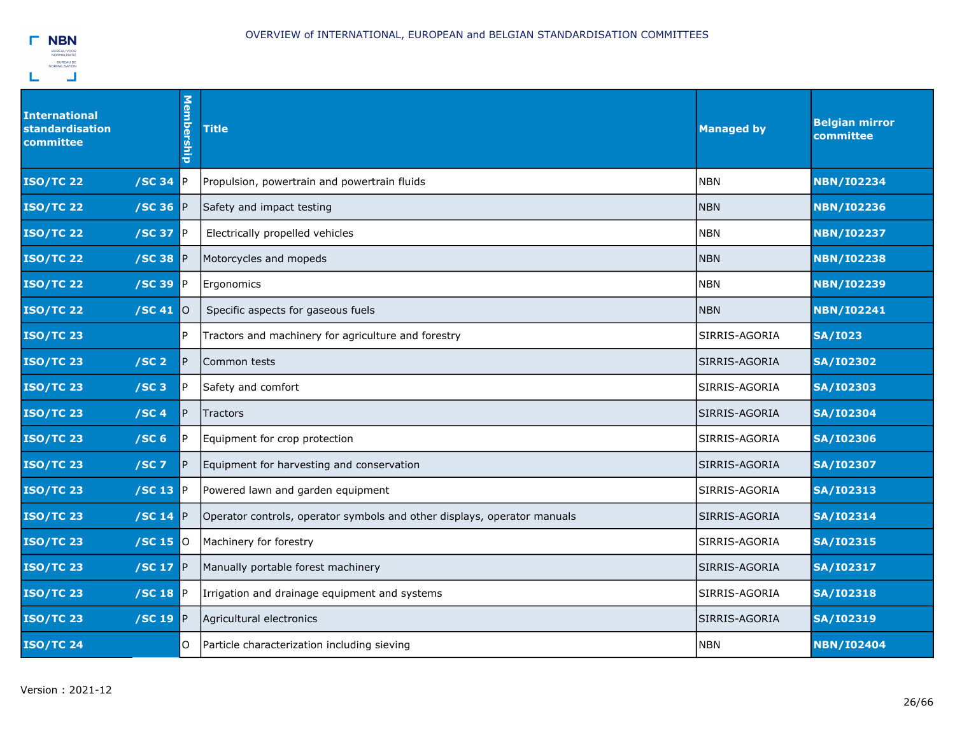

| International<br>standardisation<br>committee | Membership | <b>Title</b>                                                             | <b>Managed by</b> | <b>Belgian mirror</b><br>committee |
|-----------------------------------------------|------------|--------------------------------------------------------------------------|-------------------|------------------------------------|
| <b>ISO/TC 22</b><br>/SC 34                    | <b>IP</b>  | Propulsion, powertrain and powertrain fluids                             | <b>NBN</b>        | <b>NBN/I02234</b>                  |
| $/SC$ 36 $P$<br><b>ISO/TC 22</b>              |            | Safety and impact testing                                                | <b>NBN</b>        | <b>NBN/I02236</b>                  |
| <b>ISO/TC 22</b><br>/SC 37                    | P          | Electrically propelled vehicles                                          | <b>NBN</b>        | <b>NBN/I02237</b>                  |
| <b>ISO/TC 22</b><br>$/SC$ 38 P                |            | Motorcycles and mopeds                                                   | <b>NBN</b>        | <b>NBN/I02238</b>                  |
| /SC 39<br><b>ISO/TC 22</b>                    | P          | Ergonomics                                                               | <b>NBN</b>        | <b>NBN/I02239</b>                  |
| <b>ISO/TC 22</b><br>$/$ SC 41 $ $ 0           |            | Specific aspects for gaseous fuels                                       | <b>NBN</b>        | <b>NBN/I02241</b>                  |
| <b>ISO/TC 23</b>                              | IP.        | Tractors and machinery for agriculture and forestry                      | SIRRIS-AGORIA     | <b>SA/I023</b>                     |
| /SC <sub>2</sub><br><b>ISO/TC 23</b>          | IP.        | Common tests                                                             | SIRRIS-AGORIA     | <b>SA/I02302</b>                   |
| <b>ISO/TC 23</b><br>/SC3                      | IP.        | Safety and comfort                                                       | SIRRIS-AGORIA     | <b>SA/I02303</b>                   |
| <b>ISO/TC 23</b><br>/SC <sub>4</sub>          | IP.        | Tractors                                                                 | SIRRIS-AGORIA     | <b>SA/I02304</b>                   |
| /SC <sub>6</sub><br><b>ISO/TC 23</b>          | IP.        | Equipment for crop protection                                            | SIRRIS-AGORIA     | <b>SA/I02306</b>                   |
| <b>ISO/TC 23</b><br>$/SC$ 7                   | IP.        | Equipment for harvesting and conservation                                | SIRRIS-AGORIA     | <b>SA/I02307</b>                   |
| $/$ SC 13 P<br><b>ISO/TC 23</b>               |            | Powered lawn and garden equipment                                        | SIRRIS-AGORIA     | <b>SA/I02313</b>                   |
| <b>ISO/TC 23</b><br>/SC 14 $\mathbb P$        |            | Operator controls, operator symbols and other displays, operator manuals | SIRRIS-AGORIA     | <b>SA/I02314</b>                   |
| <b>ISO/TC 23</b><br>$/SC$ 15 $O$              |            | Machinery for forestry                                                   | SIRRIS-AGORIA     | <b>SA/I02315</b>                   |
| /SC 17 $\mathbb{P}$<br><b>ISO/TC 23</b>       |            | Manually portable forest machinery                                       | SIRRIS-AGORIA     | <b>SA/I02317</b>                   |
| <b>ISO/TC 23</b><br>$/SC$ 18 $P$              |            | Irrigation and drainage equipment and systems                            | SIRRIS-AGORIA     | <b>SA/I02318</b>                   |
| /SC 19 $P$<br><b>ISO/TC 23</b>                |            | Agricultural electronics                                                 | SIRRIS-AGORIA     | <b>SA/I02319</b>                   |
| <b>ISO/TC 24</b>                              | O          | Particle characterization including sieving                              | <b>NBN</b>        | <b>NBN/I02404</b>                  |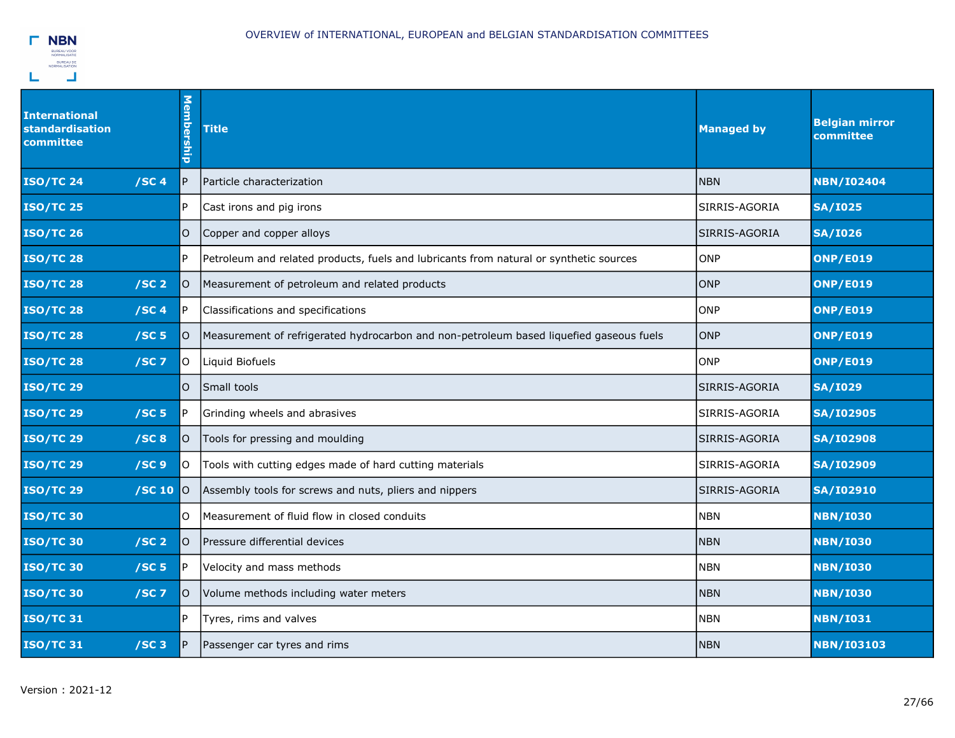

| International<br>standardisation<br>committee | Membership | <b>Title</b>                                                                            | <b>Managed by</b> | <b>Belgian mirror</b><br>committee |
|-----------------------------------------------|------------|-----------------------------------------------------------------------------------------|-------------------|------------------------------------|
| /SC4<br><b>ISO/TC 24</b>                      | P          | Particle characterization                                                               | <b>NBN</b>        | <b>NBN/I02404</b>                  |
| <b>ISO/TC 25</b>                              | P.         | Cast irons and pig irons                                                                | SIRRIS-AGORIA     | <b>SA/I025</b>                     |
| <b>ISO/TC 26</b>                              | O          | Copper and copper alloys                                                                | SIRRIS-AGORIA     | <b>SA/I026</b>                     |
| <b>ISO/TC 28</b>                              | P.         | Petroleum and related products, fuels and lubricants from natural or synthetic sources  | <b>ONP</b>        | <b>ONP/E019</b>                    |
| /SC <sub>2</sub><br><b>ISO/TC 28</b>          | lO.        | Measurement of petroleum and related products                                           | ONP               | <b>ONP/E019</b>                    |
| /SC4<br><b>ISO/TC 28</b>                      | IP.        | Classifications and specifications                                                      | <b>ONP</b>        | <b>ONP/E019</b>                    |
| /SC <sub>5</sub><br><b>ISO/TC 28</b>          | O          | Measurement of refrigerated hydrocarbon and non-petroleum based liquefied gaseous fuels | <b>ONP</b>        | <b>ONP/E019</b>                    |
| <b>ISO/TC 28</b><br>$/SC$ 7                   | lo.        | Liquid Biofuels                                                                         | ONP               | <b>ONP/E019</b>                    |
| <b>ISO/TC 29</b>                              | lO.        | Small tools                                                                             | SIRRIS-AGORIA     | <b>SA/I029</b>                     |
| <b>ISO/TC 29</b><br>/SC <sub>5</sub>          | IP.        | Grinding wheels and abrasives                                                           | SIRRIS-AGORIA     | <b>SA/I02905</b>                   |
| <b>ISO/TC 29</b><br>/SC8                      | lO.        | Tools for pressing and moulding                                                         | SIRRIS-AGORIA     | <b>SA/I02908</b>                   |
| /SC9<br><b>ISO/TC 29</b>                      | O          | Tools with cutting edges made of hard cutting materials                                 | SIRRIS-AGORIA     | <b>SA/I02909</b>                   |
| <b>ISO/TC 29</b><br>/SC 10                    | 0          | Assembly tools for screws and nuts, pliers and nippers                                  | SIRRIS-AGORIA     | <b>SA/I02910</b>                   |
| <b>ISO/TC 30</b>                              | O          | Measurement of fluid flow in closed conduits                                            | <b>NBN</b>        | <b>NBN/I030</b>                    |
| /SC <sub>2</sub><br><b>ISO/TC 30</b>          | O          | Pressure differential devices                                                           | <b>NBN</b>        | <b>NBN/I030</b>                    |
| <b>ISO/TC 30</b><br>/SC <sub>5</sub>          | P          | Velocity and mass methods                                                               | <b>NBN</b>        | <b>NBN/I030</b>                    |
| <b>ISO/TC 30</b><br>$/SC$ 7                   | O          | Volume methods including water meters                                                   | <b>NBN</b>        | <b>NBN/I030</b>                    |
| <b>ISO/TC31</b>                               | IP.        | Tyres, rims and valves                                                                  | <b>NBN</b>        | <b>NBN/I031</b>                    |
| <b>ISO/TC 31</b><br>/SC3                      | P          | Passenger car tyres and rims                                                            | <b>NBN</b>        | <b>NBN/I03103</b>                  |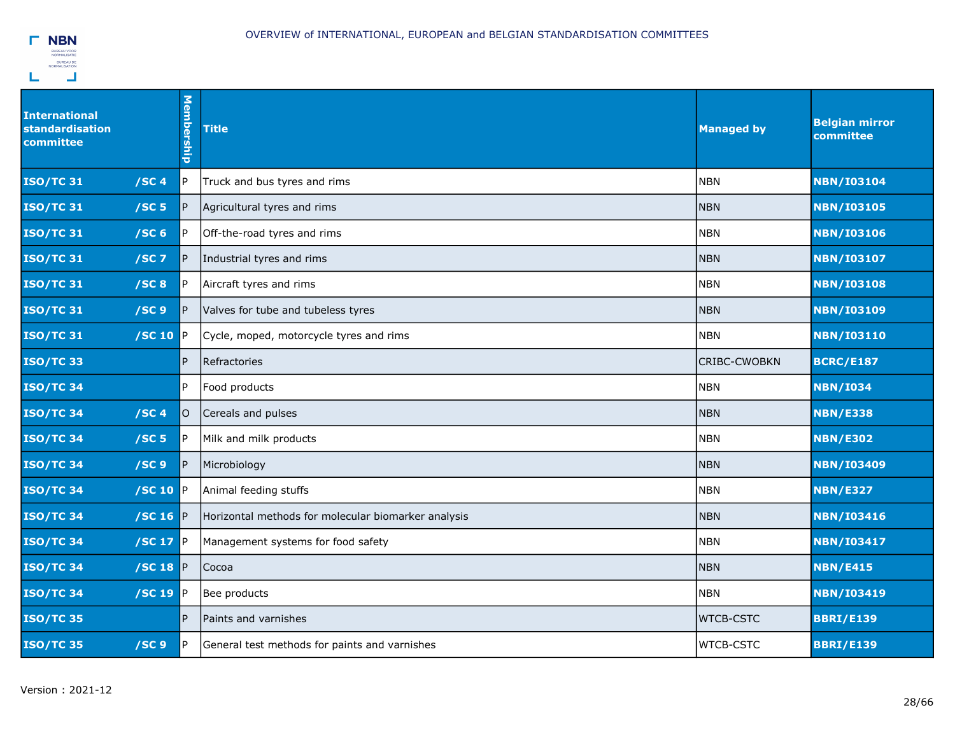

| International<br><b>standardisation</b><br>committee | <b>Membership</b> | <b>Title</b>                                        | <b>Managed by</b>   | <b>Belgian mirror</b><br>committee |
|------------------------------------------------------|-------------------|-----------------------------------------------------|---------------------|------------------------------------|
| <b>ISO/TC 31</b><br>/SC4                             | P                 | Truck and bus tyres and rims                        | <b>NBN</b>          | <b>NBN/I03104</b>                  |
| /SC <sub>5</sub><br><b>ISO/TC 31</b>                 | P                 | Agricultural tyres and rims                         | <b>NBN</b>          | <b>NBN/I03105</b>                  |
| <b>ISO/TC31</b><br>/SC <sub>6</sub>                  | IP.               | Off-the-road tyres and rims                         | <b>NBN</b>          | <b>NBN/I03106</b>                  |
| <b>ISO/TC 31</b><br>$/SC$ 7                          | IP.               | Industrial tyres and rims                           | <b>NBN</b>          | <b>NBN/I03107</b>                  |
| /SC8<br><b>ISO/TC 31</b>                             | P.                | Aircraft tyres and rims                             | <b>NBN</b>          | <b>NBN/I03108</b>                  |
| <b>ISO/TC 31</b><br>/SC <sub>9</sub>                 | P                 | Valves for tube and tubeless tyres                  | <b>NBN</b>          | <b>NBN/I03109</b>                  |
| $ $ /SC 10 $ P $<br><b>ISO/TC 31</b>                 |                   | Cycle, moped, motorcycle tyres and rims             | <b>NBN</b>          | <b>NBN/I03110</b>                  |
| <b>ISO/TC33</b>                                      | P                 | Refractories                                        | <b>CRIBC-CWOBKN</b> | <b>BCRC/E187</b>                   |
| <b>ISO/TC34</b>                                      | IP.               | Food products                                       | <b>NBN</b>          | <b>NBN/I034</b>                    |
| /SC4<br><b>ISO/TC 34</b>                             | O                 | Cereals and pulses                                  | <b>NBN</b>          | <b>NBN/E338</b>                    |
| <b>ISO/TC 34</b><br>/SC <sub>5</sub>                 | IP.               | Milk and milk products                              | <b>NBN</b>          | <b>NBN/E302</b>                    |
| <b>ISO/TC 34</b><br>/SC <sub>9</sub>                 | P                 | Microbiology                                        | <b>NBN</b>          | <b>NBN/I03409</b>                  |
| /SC 10 $\mathbb P$<br><b>ISO/TC 34</b>               |                   | Animal feeding stuffs                               | <b>NBN</b>          | <b>NBN/E327</b>                    |
| <b>ISO/TC34</b><br>/SC 16 $\mathbb{P}$               |                   | Horizontal methods for molecular biomarker analysis | <b>NBN</b>          | <b>NBN/I03416</b>                  |
| $/SC$ 17 $P$<br><b>ISO/TC 34</b>                     |                   | Management systems for food safety                  | <b>NBN</b>          | <b>NBN/I03417</b>                  |
| /SC 18 $\mathbb{P}$<br><b>ISO/TC34</b>               |                   | Cocoa                                               | <b>NBN</b>          | <b>NBN/E415</b>                    |
| <b>ISO/TC34</b><br>$/$ SC 19 P                       |                   | Bee products                                        | <b>NBN</b>          | <b>NBN/I03419</b>                  |
| <b>ISO/TC 35</b>                                     | P.                | Paints and varnishes                                | <b>WTCB-CSTC</b>    | <b>BBRI/E139</b>                   |
| <b>ISO/TC 35</b><br>/SC <sub>9</sub>                 | P.                | General test methods for paints and varnishes       | <b>WTCB-CSTC</b>    | <b>BBRI/E139</b>                   |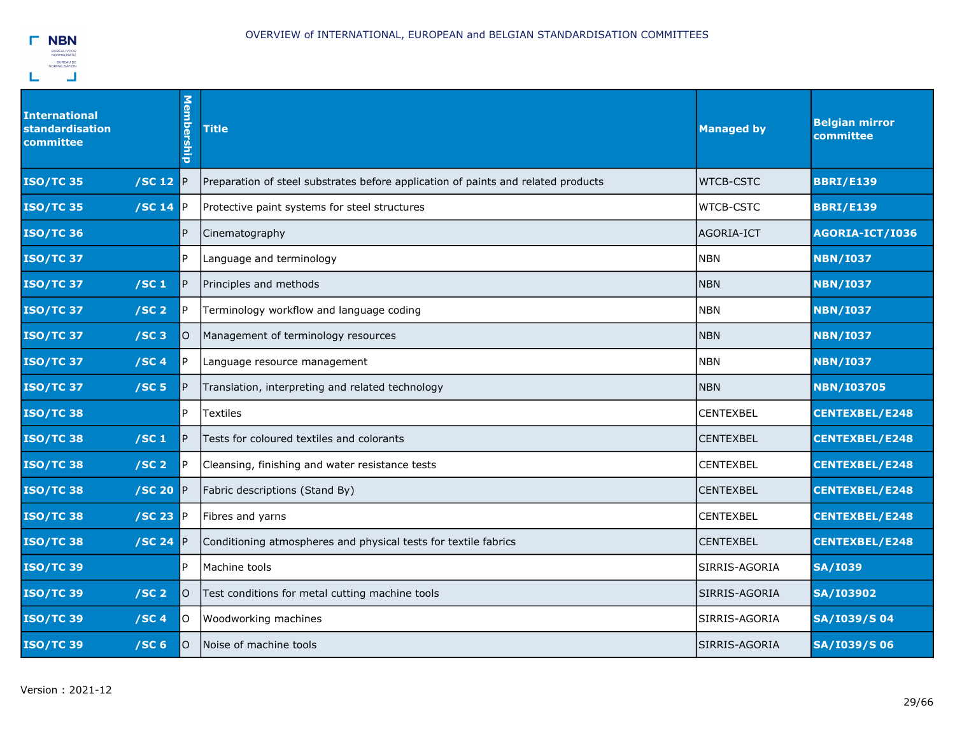

| <b>International</b><br>standardisation<br>committee | Membership | <b>Title</b>                                                                      | <b>Managed by</b> | <b>Belgian mirror</b><br>committee |
|------------------------------------------------------|------------|-----------------------------------------------------------------------------------|-------------------|------------------------------------|
| <b>ISO/TC 35</b><br>/SC 12 $\mathbb{P}$              |            | Preparation of steel substrates before application of paints and related products | <b>WTCB-CSTC</b>  | <b>BBRI/E139</b>                   |
| /SC 14<br><b>ISO/TC 35</b>                           | IP.        | Protective paint systems for steel structures                                     | <b>WTCB-CSTC</b>  | <b>BBRI/E139</b>                   |
| <b>ISO/TC 36</b>                                     | P          | Cinematography                                                                    | AGORIA-ICT        | AGORIA-ICT/I036                    |
| <b>ISO/TC 37</b>                                     | IP.        | Language and terminology                                                          | <b>NBN</b>        | <b>NBN/I037</b>                    |
| /SC <sub>1</sub><br><b>ISO/TC 37</b>                 | IP.        | Principles and methods                                                            | <b>NBN</b>        | <b>NBN/I037</b>                    |
| <b>ISO/TC 37</b><br>/SC <sub>2</sub>                 | IP.        | Terminology workflow and language coding                                          | <b>NBN</b>        | <b>NBN/I037</b>                    |
| /SC3<br><b>ISO/TC 37</b>                             | lO.        | Management of terminology resources                                               | NBN               | <b>NBN/I037</b>                    |
| /SC <sub>4</sub><br><b>ISO/TC 37</b>                 | IP.        | Language resource management                                                      | NBN               | <b>NBN/I037</b>                    |
| <b>ISO/TC 37</b><br>/SC <sub>5</sub>                 | P          | Translation, interpreting and related technology                                  | <b>NBN</b>        | <b>NBN/I03705</b>                  |
| <b>ISO/TC38</b>                                      | IP.        | <b>Textiles</b>                                                                   | <b>CENTEXBEL</b>  | <b>CENTEXBEL/E248</b>              |
| <b>ISO/TC 38</b><br>/SC <sub>1</sub>                 | IP.        | Tests for coloured textiles and colorants                                         | <b>CENTEXBEL</b>  | <b>CENTEXBEL/E248</b>              |
| /SC <sub>2</sub><br><b>ISO/TC 38</b>                 | P.         | Cleansing, finishing and water resistance tests                                   | <b>CENTEXBEL</b>  | <b>CENTEXBEL/E248</b>              |
| $/SC$ 20 P<br><b>ISO/TC38</b>                        |            | Fabric descriptions (Stand By)                                                    | <b>CENTEXBEL</b>  | <b>CENTEXBEL/E248</b>              |
| <b>ISO/TC 38</b><br>$/SC$ 23 $P$                     |            | Fibres and yarns                                                                  | <b>CENTEXBEL</b>  | <b>CENTEXBEL/E248</b>              |
| <b>ISO/TC 38</b><br>/SC 24                           | <b>IP</b>  | Conditioning atmospheres and physical tests for textile fabrics                   | <b>CENTEXBEL</b>  | <b>CENTEXBEL/E248</b>              |
| <b>ISO/TC 39</b>                                     | IP.        | Machine tools                                                                     | SIRRIS-AGORIA     | <b>SA/I039</b>                     |
| <b>ISO/TC 39</b><br>/SC <sub>2</sub>                 | O          | Test conditions for metal cutting machine tools                                   | SIRRIS-AGORIA     | <b>SA/I03902</b>                   |
| <b>ISO/TC 39</b><br>/SC <sub>4</sub>                 | lO.        | Woodworking machines                                                              | SIRRIS-AGORIA     | <b>SA/I039/S04</b>                 |
| <b>ISO/TC 39</b><br>/SC <sub>6</sub>                 | lO.        | Noise of machine tools                                                            | SIRRIS-AGORIA     | <b>SA/I039/S06</b>                 |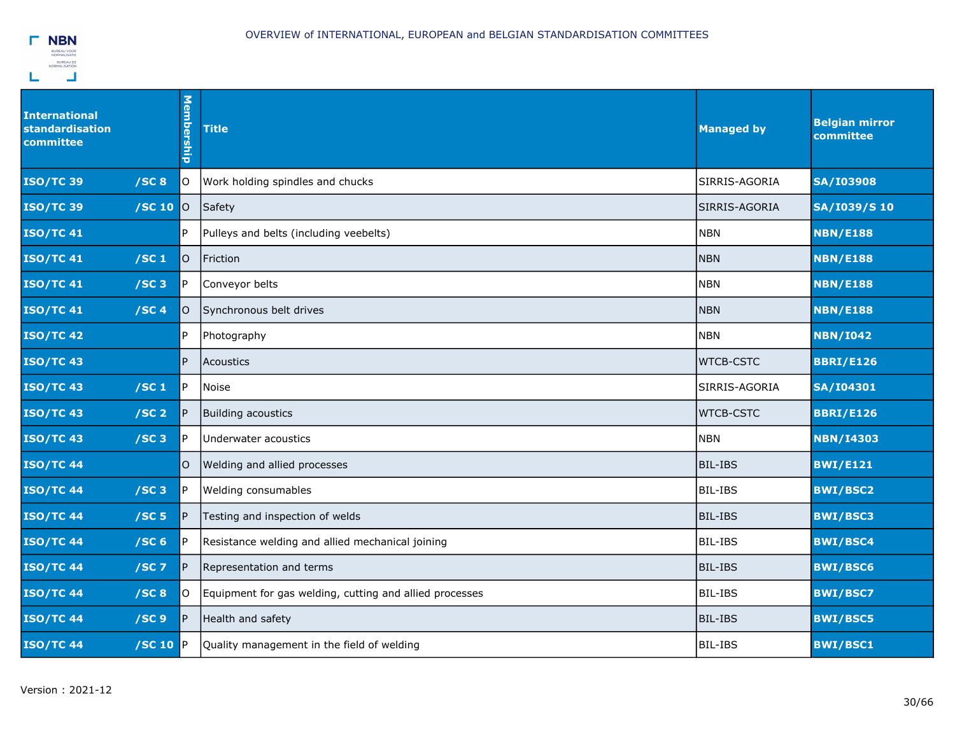

| International<br>standardisation<br>committee | Membership | <b>Title</b>                                            | <b>Managed by</b> | <b>Belgian mirror</b><br>committee |
|-----------------------------------------------|------------|---------------------------------------------------------|-------------------|------------------------------------|
| <b>ISO/TC 39</b><br>/SC8                      | lo.        | Work holding spindles and chucks                        | SIRRIS-AGORIA     | <b>SA/I03908</b>                   |
| <b>ISO/TC 39</b><br>/SC 10                    | 0          | Safety                                                  | SIRRIS-AGORIA     | SA/I039/S 10                       |
| <b>ISO/TC 41</b>                              | l P        | Pulleys and belts (including veebelts)                  | <b>NBN</b>        | <b>NBN/E188</b>                    |
| <b>ISO/TC 41</b><br>/SC <sub>1</sub>          | lo.        | Friction                                                | <b>NBN</b>        | <b>NBN/E188</b>                    |
| <b>ISO/TC 41</b><br>/SC3                      | l P        | Conveyor belts                                          | <b>NBN</b>        | <b>NBN/E188</b>                    |
| /SC4<br><b>ISO/TC 41</b>                      | O          | Synchronous belt drives                                 | <b>NBN</b>        | <b>NBN/E188</b>                    |
| <b>ISO/TC 42</b>                              | P          | Photography                                             | <b>NBN</b>        | <b>NBN/I042</b>                    |
| <b>ISO/TC 43</b>                              | IP.        | Acoustics                                               | <b>WTCB-CSTC</b>  | <b>BBRI/E126</b>                   |
| <b>ISO/TC 43</b><br>/SC <sub>1</sub>          | IP.        | Noise                                                   | SIRRIS-AGORIA     | <b>SA/I04301</b>                   |
| <b>ISO/TC 43</b><br>/SC <sub>2</sub>          | IP.        | Building acoustics                                      | <b>WTCB-CSTC</b>  | <b>BBRI/E126</b>                   |
| <b>ISO/TC 43</b><br>/SC3                      | P          | Underwater acoustics                                    | <b>NBN</b>        | <b>NBN/I4303</b>                   |
| <b>ISO/TC 44</b>                              | lo.        | Welding and allied processes                            | BIL-IBS           | <b>BWI/E121</b>                    |
| /SC3<br><b>ISO/TC 44</b>                      | lP.        | Welding consumables                                     | BIL-IBS           | <b>BWI/BSC2</b>                    |
| <b>ISO/TC 44</b><br>/SC <sub>5</sub>          | P          | Testing and inspection of welds                         | <b>BIL-IBS</b>    | <b>BWI/BSC3</b>                    |
| <b>ISO/TC 44</b><br>/SC <sub>6</sub>          | P.         | Resistance welding and allied mechanical joining        | <b>BIL-IBS</b>    | <b>BWI/BSC4</b>                    |
| <b>ISO/TC 44</b><br>$/SC$ 7                   | P          | Representation and terms                                | BIL-IBS           | <b>BWI/BSC6</b>                    |
| <b>ISO/TC 44</b><br>/SC8                      | lo.        | Equipment for gas welding, cutting and allied processes | BIL-IBS           | <b>BWI/BSC7</b>                    |
| <b>ISO/TC 44</b><br>/SC <sub>9</sub>          | P          | Health and safety                                       | <b>BIL-IBS</b>    | <b>BWI/BSC5</b>                    |
| <b>ISO/TC 44</b><br>$/SC$ 10 $P$              |            | Quality management in the field of welding              | BIL-IBS           | <b>BWI/BSC1</b>                    |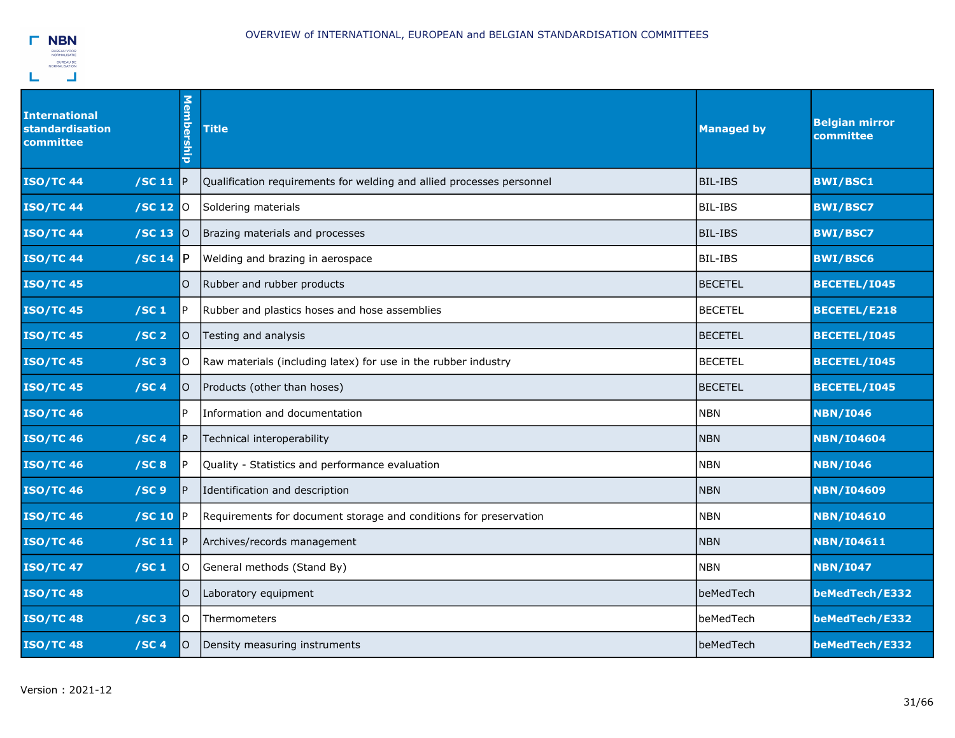

| <b>International</b><br>standardisation<br>committee | <b>Membership</b> | <b>Title</b>                                                          | <b>Managed by</b> | <b>Belgian mirror</b><br>committee |
|------------------------------------------------------|-------------------|-----------------------------------------------------------------------|-------------------|------------------------------------|
| <b>ISO/TC 44</b><br>/SC 11                           | <b>IP</b>         | Qualification requirements for welding and allied processes personnel | <b>BIL-IBS</b>    | <b>BWI/BSC1</b>                    |
| <b>ISO/TC 44</b><br>/SC 12                           | <b>O</b>          | Soldering materials                                                   | <b>BIL-IBS</b>    | <b>BWI/BSC7</b>                    |
| <b>ISO/TC 44</b><br>$/$ SC 13 $ $ O                  |                   | Brazing materials and processes                                       | <b>BIL-IBS</b>    | <b>BWI/BSC7</b>                    |
| <b>ISO/TC44</b><br>/SC 14                            | IP.               | Welding and brazing in aerospace                                      | BIL-IBS           | <b>BWI/BSC6</b>                    |
| <b>ISO/TC 45</b>                                     | O                 | Rubber and rubber products                                            | <b>BECETEL</b>    | BECETEL/I045                       |
| <b>ISO/TC 45</b><br>/SC <sub>1</sub>                 | P.                | Rubber and plastics hoses and hose assemblies                         | <b>BECETEL</b>    | <b>BECETEL/E218</b>                |
| <b>ISO/TC 45</b><br>/SC <sub>2</sub>                 | O                 | Testing and analysis                                                  | <b>BECETEL</b>    | BECETEL/I045                       |
| $/SC$ 3<br><b>ISO/TC 45</b>                          | lO.               | Raw materials (including latex) for use in the rubber industry        | <b>BECETEL</b>    | BECETEL/I045                       |
| <b>ISO/TC 45</b><br>/SC <sub>4</sub>                 | $\circ$           | Products (other than hoses)                                           | <b>BECETEL</b>    | BECETEL/I045                       |
| <b>ISO/TC 46</b>                                     | P.                | Information and documentation                                         | <b>NBN</b>        | <b>NBN/I046</b>                    |
| <b>ISO/TC 46</b><br>/SC <sub>4</sub>                 | IP.               | Technical interoperability                                            | <b>NBN</b>        | <b>NBN/I04604</b>                  |
| <b>ISO/TC 46</b><br>/SC8                             | P.                | Quality - Statistics and performance evaluation                       | <b>NBN</b>        | <b>NBN/I046</b>                    |
| <b>ISO/TC 46</b><br>/SC <sub>9</sub>                 | P                 | Identification and description                                        | <b>NBN</b>        | <b>NBN/I04609</b>                  |
| <b>ISO/TC 46</b><br>/SC 10                           | IP.               | Requirements for document storage and conditions for preservation     | <b>NBN</b>        | <b>NBN/I04610</b>                  |
| <b>ISO/TC 46</b><br>/SC 11 $\vert$ P                 |                   | Archives/records management                                           | <b>NBN</b>        | <b>NBN/I04611</b>                  |
| <b>ISO/TC 47</b><br>/SC <sub>1</sub>                 | lO.               | General methods (Stand By)                                            | <b>NBN</b>        | <b>NBN/I047</b>                    |
| <b>ISO/TC48</b>                                      | O                 | Laboratory equipment                                                  | beMedTech         | beMedTech/E332                     |
| <b>ISO/TC48</b><br>$/SC$ 3                           | ΙO                | Thermometers                                                          | beMedTech         | beMedTech/E332                     |
| <b>ISO/TC48</b><br>/SC <sub>4</sub>                  | O                 | Density measuring instruments                                         | beMedTech         | beMedTech/E332                     |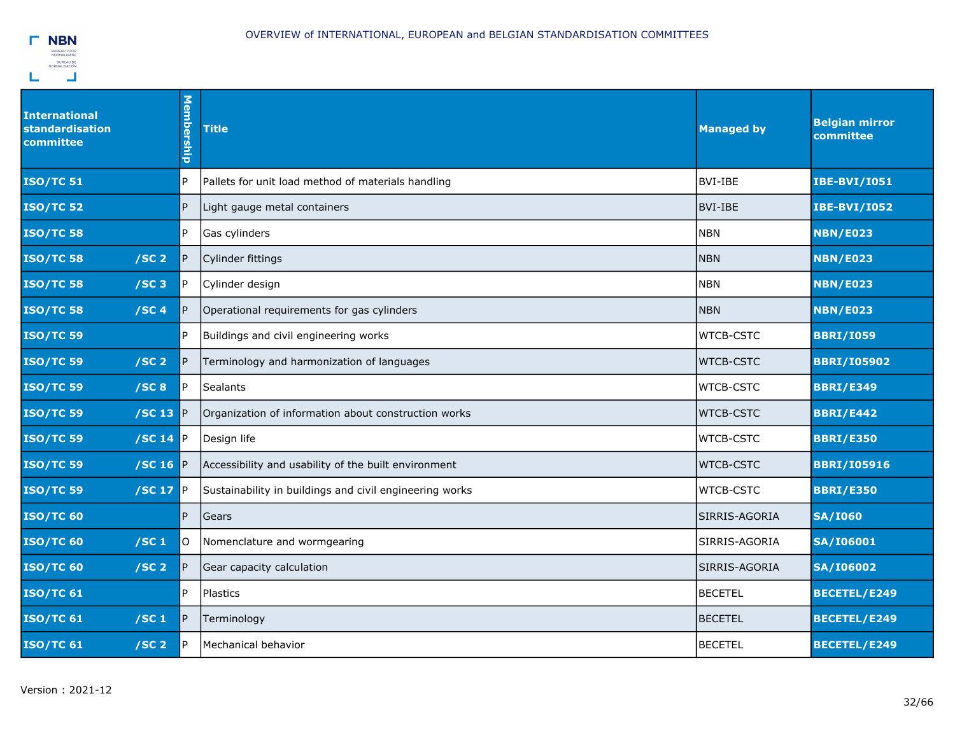

| <b>International</b><br>standardisation<br>committee | Membership | <b>Title</b>                                            | <b>Managed by</b> | <b>Belgian mirror</b><br>committee |
|------------------------------------------------------|------------|---------------------------------------------------------|-------------------|------------------------------------|
| <b>ISO/TC 51</b>                                     | P          | Pallets for unit load method of materials handling      | BVI-IBE           | <b>IBE-BVI/I051</b>                |
| <b>ISO/TC 52</b>                                     | P          | Light gauge metal containers                            | BVI-IBE           | <b>IBE-BVI/I052</b>                |
| <b>ISO/TC 58</b>                                     | P          | <b>Gas cylinders</b>                                    | <b>NBN</b>        | <b>NBN/E023</b>                    |
| <b>ISO/TC 58</b><br>/SC <sub>2</sub>                 | P          | Cylinder fittings                                       | <b>NBN</b>        | <b>NBN/E023</b>                    |
| <b>ISO/TC 58</b><br>/SC3                             | P.         | Cylinder design                                         | <b>INBN</b>       | <b>NBN/E023</b>                    |
| <b>ISO/TC 58</b><br>/SC <sub>4</sub>                 | P          | Operational requirements for gas cylinders              | <b>NBN</b>        | <b>NBN/E023</b>                    |
| <b>ISO/TC 59</b>                                     | P          | Buildings and civil engineering works                   | <b>WTCB-CSTC</b>  | <b>BBRI/I059</b>                   |
| /SC <sub>2</sub><br><b>ISO/TC 59</b>                 | P          | Terminology and harmonization of languages              | <b>WTCB-CSTC</b>  | <b>BBRI/I05902</b>                 |
| <b>ISO/TC 59</b><br>/SC8                             | P.         | Sealants                                                | <b>WTCB-CSTC</b>  | <b>BBRI/E349</b>                   |
| <b>ISO/TC 59</b><br>/SC 13                           | IP.        | Organization of information about construction works    | <b>WTCB-CSTC</b>  | <b>BBRI/E442</b>                   |
| <b>ISO/TC 59</b><br>/SC 14                           | IP.        | Design life                                             | <b>WTCB-CSTC</b>  | <b>BBRI/E350</b>                   |
| <b>ISO/TC 59</b><br>/SC 16                           | P          | Accessibility and usability of the built environment    | <b>WTCB-CSTC</b>  | <b>BBRI/I05916</b>                 |
| <b>ISO/TC 59</b><br>/SC 17                           | P          | Sustainability in buildings and civil engineering works | <b>WTCB-CSTC</b>  | <b>BBRI/E350</b>                   |
| <b>ISO/TC 60</b>                                     | P          | Gears                                                   | SIRRIS-AGORIA     | <b>SA/I060</b>                     |
| <b>ISO/TC 60</b><br>/SC <sub>1</sub>                 | lO.        | Nomenclature and wormgearing                            | SIRRIS-AGORIA     | <b>SA/I06001</b>                   |
| /SC <sub>2</sub><br><b>ISO/TC 60</b>                 | IP.        | Gear capacity calculation                               | SIRRIS-AGORIA     | <b>SA/I06002</b>                   |
| <b>ISO/TC 61</b>                                     | P          | Plastics                                                | <b>BECETEL</b>    | BECETEL/E249                       |
| /SC <sub>1</sub><br><b>ISO/TC 61</b>                 | P          | Terminology                                             | <b>BECETEL</b>    | <b>BECETEL/E249</b>                |
| <b>ISO/TC 61</b><br>/SC <sub>2</sub>                 | P          | Mechanical behavior                                     | <b>BECETEL</b>    | <b>BECETEL/E249</b>                |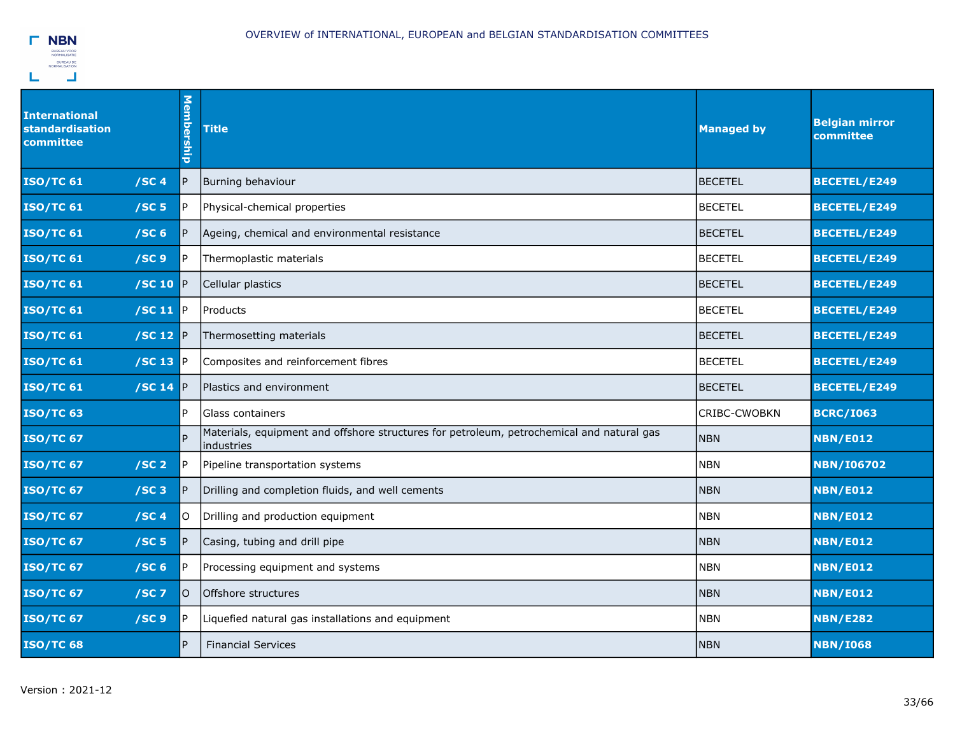

| <b>International</b><br><b>standardisation</b><br>committee |                           | <b>Membership</b> | <b>Title</b>                                                                                            | <b>Managed by</b>   | <b>Belgian mirror</b><br>committee |
|-------------------------------------------------------------|---------------------------|-------------------|---------------------------------------------------------------------------------------------------------|---------------------|------------------------------------|
| <b>ISO/TC 61</b>                                            | /SC <sub>4</sub>          | P                 | Burning behaviour                                                                                       | <b>BECETEL</b>      | <b>BECETEL/E249</b>                |
| <b>ISO/TC 61</b>                                            | /SC <sub>5</sub>          | P                 | Physical-chemical properties                                                                            | <b>BECETEL</b>      | <b>BECETEL/E249</b>                |
| <b>ISO/TC 61</b>                                            | /SC <sub>6</sub>          | $\mathsf{P}$      | Ageing, chemical and environmental resistance                                                           | <b>BECETEL</b>      | <b>BECETEL/E249</b>                |
| <b>ISO/TC 61</b>                                            | /SC <sub>9</sub>          | P.                | Thermoplastic materials                                                                                 | <b>BECETEL</b>      | <b>BECETEL/E249</b>                |
| <b>ISO/TC 61</b>                                            | /SC 10                    | P                 | Cellular plastics                                                                                       | <b>BECETEL</b>      | <b>BECETEL/E249</b>                |
| <b>ISO/TC 61</b>                                            | /SC 11 $\mathbb{P}$       |                   | Products                                                                                                | <b>BECETEL</b>      | <b>BECETEL/E249</b>                |
| <b>ISO/TC 61</b>                                            | $ $ /SC 12 $ P $          |                   | Thermosetting materials                                                                                 | <b>BECETEL</b>      | <b>BECETEL/E249</b>                |
| <b>ISO/TC 61</b>                                            | /SC 13 P                  |                   | Composites and reinforcement fibres                                                                     | <b>BECETEL</b>      | BECETEL/E249                       |
| <b>ISO/TC 61</b>                                            | $\sqrt{SC}$ 14 $\sqrt{P}$ |                   | Plastics and environment                                                                                | <b>BECETEL</b>      | <b>BECETEL/E249</b>                |
| <b>ISO/TC 63</b>                                            |                           | P                 | Glass containers                                                                                        | <b>CRIBC-CWOBKN</b> | <b>BCRC/I063</b>                   |
| <b>ISO/TC 67</b>                                            |                           | <b>P</b>          | Materials, equipment and offshore structures for petroleum, petrochemical and natural gas<br>industries | <b>NBN</b>          | <b>NBN/E012</b>                    |
| <b>ISO/TC 67</b>                                            | /SC <sub>2</sub>          | $\mathsf{P}$      | Pipeline transportation systems                                                                         | <b>NBN</b>          | <b>NBN/I06702</b>                  |
| <b>ISO/TC 67</b>                                            | /SC3                      | P                 | Drilling and completion fluids, and well cements                                                        | <b>NBN</b>          | <b>NBN/E012</b>                    |
| <b>ISO/TC 67</b>                                            | /SC <sub>4</sub>          | lO.               | Drilling and production equipment                                                                       | <b>NBN</b>          | <b>NBN/E012</b>                    |
| <b>ISO/TC 67</b>                                            | /SC <sub>5</sub>          | $\overline{P}$    | Casing, tubing and drill pipe                                                                           | <b>NBN</b>          | <b>NBN/E012</b>                    |
| <b>ISO/TC 67</b>                                            | /SC <sub>6</sub>          | P.                | Processing equipment and systems                                                                        | <b>NBN</b>          | <b>NBN/E012</b>                    |
| <b>ISO/TC 67</b>                                            | $/SC$ 7                   | lO.               | Offshore structures                                                                                     | <b>NBN</b>          | <b>NBN/E012</b>                    |
| <b>ISO/TC 67</b>                                            | /SC <sub>9</sub>          | P                 | Liquefied natural gas installations and equipment                                                       | <b>NBN</b>          | <b>NBN/E282</b>                    |
| <b>ISO/TC 68</b>                                            |                           | $\overline{P}$    | <b>Financial Services</b>                                                                               | <b>NBN</b>          | <b>NBN/I068</b>                    |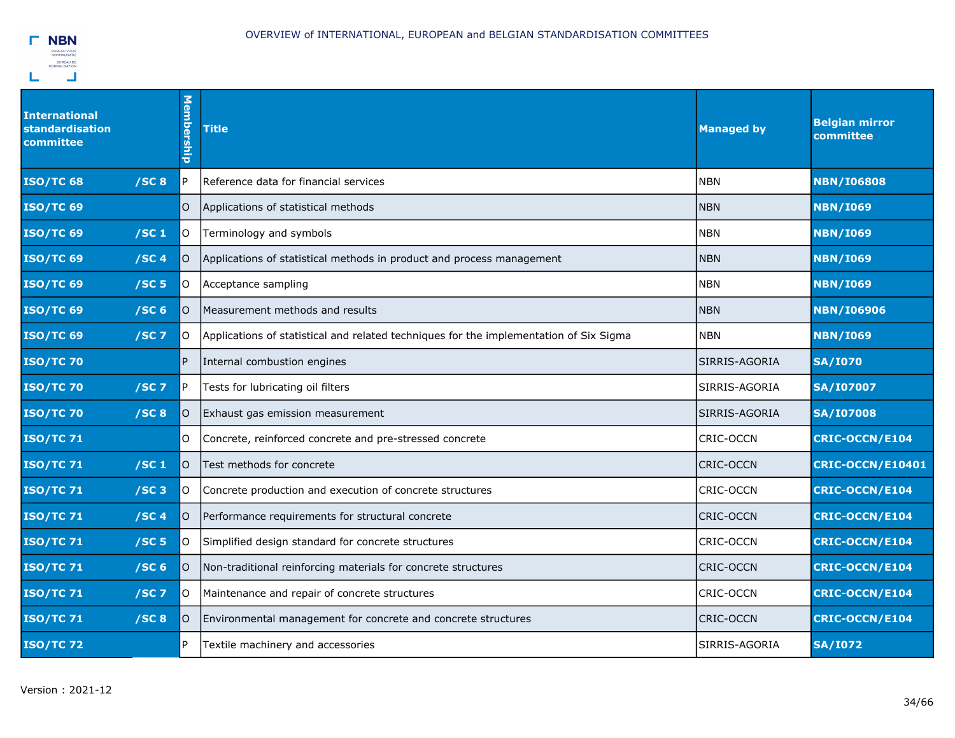

| <b>International</b><br><b>standardisation</b><br>committee | Membership | <b>Title</b>                                                                           | <b>Managed by</b> | <b>Belgian mirror</b><br>committee |
|-------------------------------------------------------------|------------|----------------------------------------------------------------------------------------|-------------------|------------------------------------|
| <b>ISO/TC 68</b><br>/SC8                                    | P.         | Reference data for financial services                                                  | <b>NBN</b>        | <b>NBN/I06808</b>                  |
| <b>ISO/TC 69</b>                                            | $\circ$    | Applications of statistical methods                                                    | <b>NBN</b>        | <b>NBN/I069</b>                    |
| <b>ISO/TC 69</b><br>/SC <sub>1</sub>                        | lO.        | Terminology and symbols                                                                | <b>NBN</b>        | <b>NBN/I069</b>                    |
| <b>ISO/TC 69</b><br>/SC4                                    | lO.        | Applications of statistical methods in product and process management                  | <b>NBN</b>        | <b>NBN/I069</b>                    |
| <b>ISO/TC 69</b><br>/SC <sub>5</sub>                        | O          | Acceptance sampling                                                                    | <b>NBN</b>        | <b>NBN/I069</b>                    |
| <b>ISO/TC 69</b><br>/SC <sub>6</sub>                        | lO.        | Measurement methods and results                                                        | <b>NBN</b>        | <b>NBN/I06906</b>                  |
| <b>ISO/TC 69</b><br>$/SC$ 7                                 | lO.        | Applications of statistical and related techniques for the implementation of Six Sigma | <b>NBN</b>        | <b>NBN/I069</b>                    |
| <b>ISO/TC 70</b>                                            | P          | Internal combustion engines                                                            | SIRRIS-AGORIA     | <b>SA/I070</b>                     |
| <b>ISO/TC 70</b><br>$/SC$ 7                                 | IP.        | Tests for lubricating oil filters                                                      | SIRRIS-AGORIA     | <b>SA/I07007</b>                   |
| <b>ISO/TC 70</b><br>/SC8                                    | lO.        | Exhaust gas emission measurement                                                       | SIRRIS-AGORIA     | <b>SA/I07008</b>                   |
| <b>ISO/TC71</b>                                             | O          | Concrete, reinforced concrete and pre-stressed concrete                                | <b>CRIC-OCCN</b>  | <b>CRIC-OCCN/E104</b>              |
| /SC <sub>1</sub><br><b>ISO/TC 71</b>                        | lo.        | Test methods for concrete                                                              | <b>CRIC-OCCN</b>  | CRIC-OCCN/E10401                   |
| <b>ISO/TC71</b><br>$/SC$ 3                                  | lO.        | Concrete production and execution of concrete structures                               | <b>CRIC-OCCN</b>  | <b>CRIC-OCCN/E104</b>              |
| <b>ISO/TC 71</b><br>/SC4                                    | O          | Performance requirements for structural concrete                                       | <b>CRIC-OCCN</b>  | <b>CRIC-OCCN/E104</b>              |
| <b>ISO/TC 71</b><br>/SC <sub>5</sub>                        | lo.        | Simplified design standard for concrete structures                                     | <b>CRIC-OCCN</b>  | <b>CRIC-OCCN/E104</b>              |
| /SC <sub>6</sub><br><b>ISO/TC71</b>                         | lO.        | Non-traditional reinforcing materials for concrete structures                          | <b>CRIC-OCCN</b>  | <b>CRIC-OCCN/E104</b>              |
| <b>ISO/TC 71</b><br>$/SC$ 7                                 | lo.        | Maintenance and repair of concrete structures                                          | <b>CRIC-OCCN</b>  | <b>CRIC-OCCN/E104</b>              |
| <b>ISO/TC 71</b><br>/SC8                                    | lO.        | Environmental management for concrete and concrete structures                          | <b>CRIC-OCCN</b>  | <b>CRIC-OCCN/E104</b>              |
| <b>ISO/TC72</b>                                             | P          | Textile machinery and accessories                                                      | SIRRIS-AGORIA     | <b>SA/I072</b>                     |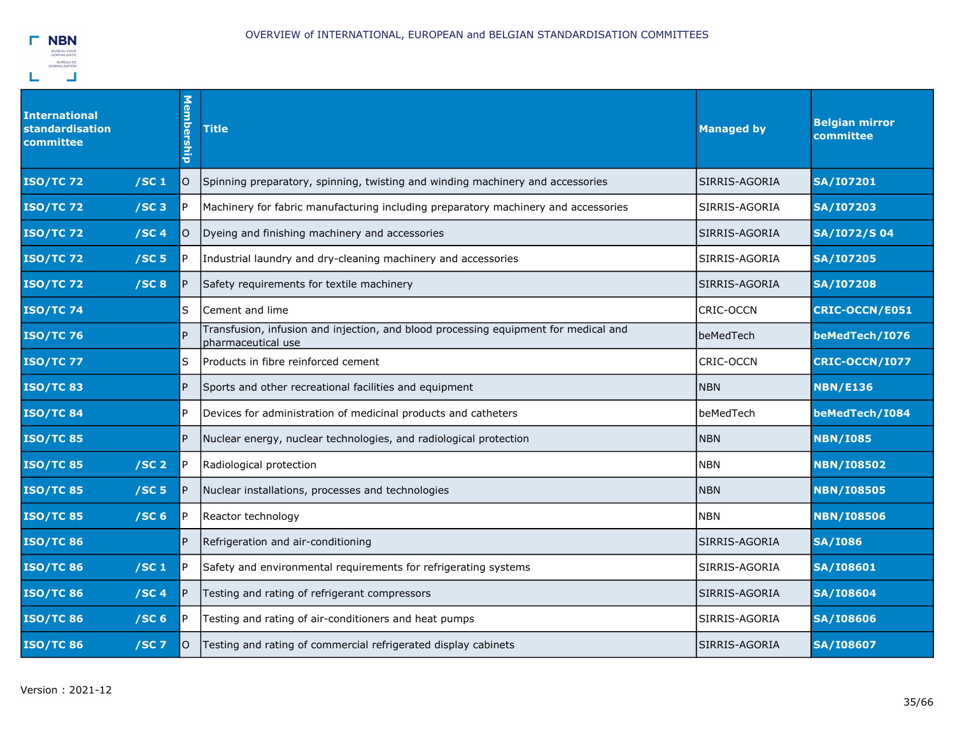

| <b>International</b><br>standardisation<br>committee | Membership     | <b>Title</b>                                                                                              | <b>Managed by</b> | <b>Belgian mirror</b><br>committee |
|------------------------------------------------------|----------------|-----------------------------------------------------------------------------------------------------------|-------------------|------------------------------------|
| /SC <sub>1</sub><br><b>ISO/TC72</b>                  | O              | Spinning preparatory, spinning, twisting and winding machinery and accessories                            | SIRRIS-AGORIA     | <b>SA/I07201</b>                   |
| /SC3<br><b>ISO/TC72</b>                              | l P            | Machinery for fabric manufacturing including preparatory machinery and accessories                        | SIRRIS-AGORIA     | <b>SA/I07203</b>                   |
| /SC4<br><b>ISO/TC72</b>                              | lO.            | Dyeing and finishing machinery and accessories                                                            | SIRRIS-AGORIA     | <b>SA/I072/S04</b>                 |
| <b>ISO/TC72</b><br>/SC <sub>5</sub>                  | IP.            | Industrial laundry and dry-cleaning machinery and accessories                                             | SIRRIS-AGORIA     | <b>SA/I07205</b>                   |
| /SC8<br><b>ISO/TC72</b>                              | IP.            | Safety requirements for textile machinery                                                                 | SIRRIS-AGORIA     | <b>SA/I07208</b>                   |
| <b>ISO/TC 74</b>                                     | lS.            | Cement and lime                                                                                           | CRIC-OCCN         | <b>CRIC-OCCN/E051</b>              |
| <b>ISO/TC 76</b>                                     |                | Transfusion, infusion and injection, and blood processing equipment for medical and<br>pharmaceutical use | beMedTech         | beMedTech/I076                     |
| <b>ISO/TC 77</b>                                     | lS             | Products in fibre reinforced cement                                                                       | CRIC-OCCN         | <b>CRIC-OCCN/I077</b>              |
| <b>ISO/TC83</b>                                      | IP.            | Sports and other recreational facilities and equipment                                                    | <b>NBN</b>        | <b>NBN/E136</b>                    |
| <b>ISO/TC84</b>                                      | P              | Devices for administration of medicinal products and catheters                                            | beMedTech         | beMedTech/I084                     |
| <b>ISO/TC 85</b>                                     | $\overline{P}$ | Nuclear energy, nuclear technologies, and radiological protection                                         | <b>NBN</b>        | <b>NBN/I085</b>                    |
| /SC <sub>2</sub><br><b>ISO/TC85</b>                  | P              | Radiological protection                                                                                   | <b>NBN</b>        | <b>NBN/I08502</b>                  |
| /SC <sub>5</sub><br><b>ISO/TC 85</b>                 | IP.            | Nuclear installations, processes and technologies                                                         | <b>NBN</b>        | <b>NBN/I08505</b>                  |
| <b>ISO/TC 85</b><br>/SC <sub>6</sub>                 | l P            | Reactor technology                                                                                        | <b>NBN</b>        | <b>NBN/I08506</b>                  |
| <b>ISO/TC 86</b>                                     | P              | Refrigeration and air-conditioning                                                                        | SIRRIS-AGORIA     | <b>SA/I086</b>                     |
| <b>ISO/TC 86</b><br>/SC <sub>1</sub>                 | lP.            | Safety and environmental requirements for refrigerating systems                                           | SIRRIS-AGORIA     | <b>SA/I08601</b>                   |
| <b>ISO/TC 86</b><br>/SC4                             | IP.            | Testing and rating of refrigerant compressors                                                             | SIRRIS-AGORIA     | <b>SA/I08604</b>                   |
| <b>ISO/TC86</b><br>/SC <sub>6</sub>                  | IP.            | Testing and rating of air-conditioners and heat pumps                                                     | SIRRIS-AGORIA     | <b>SA/I08606</b>                   |
| <b>ISO/TC86</b><br>$/SC$ 7                           | lO.            | Testing and rating of commercial refrigerated display cabinets                                            | SIRRIS-AGORIA     | <b>SA/I08607</b>                   |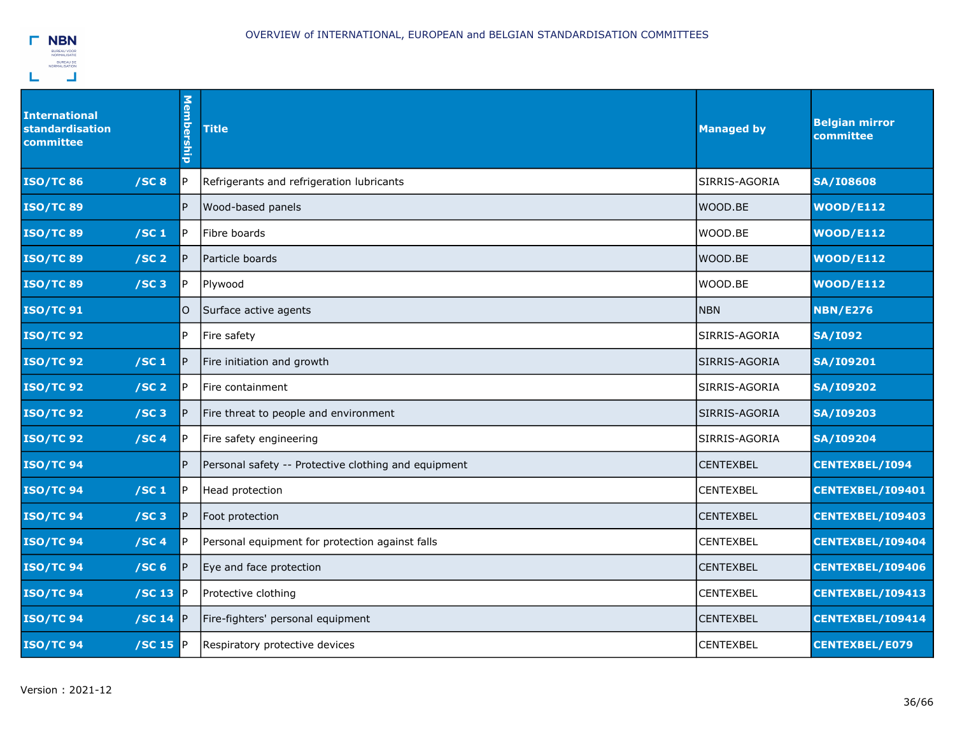

| <b>International</b><br>standardisation<br>committee | Membership     | <b>Title</b>                                         | <b>Managed by</b> | <b>Belgian mirror</b><br>committee |
|------------------------------------------------------|----------------|------------------------------------------------------|-------------------|------------------------------------|
| /SC8<br><b>ISO/TC86</b>                              | P              | Refrigerants and refrigeration lubricants            | SIRRIS-AGORIA     | <b>SA/I08608</b>                   |
| <b>ISO/TC89</b>                                      | $\overline{P}$ | Wood-based panels                                    | WOOD.BE           | <b>WOOD/E112</b>                   |
| <b>ISO/TC89</b><br>/SC <sub>1</sub>                  | IP.            | Fibre boards                                         | WOOD.BE           | <b>WOOD/E112</b>                   |
| <b>ISO/TC89</b><br>/SC <sub>2</sub>                  | $\overline{P}$ | Particle boards                                      | WOOD.BE           | <b>WOOD/E112</b>                   |
| /SC3<br><b>ISO/TC89</b>                              | P.             | Plywood                                              | WOOD.BE           | <b>WOOD/E112</b>                   |
| <b>ISO/TC 91</b>                                     | $\circ$        | Surface active agents                                | <b>NBN</b>        | <b>NBN/E276</b>                    |
| <b>ISO/TC 92</b>                                     | P.             | Fire safety                                          | SIRRIS-AGORIA     | <b>SA/I092</b>                     |
| /SC <sub>1</sub><br><b>ISO/TC 92</b>                 | $\overline{P}$ | Fire initiation and growth                           | SIRRIS-AGORIA     | <b>SA/I09201</b>                   |
| <b>ISO/TC 92</b><br>/SC <sub>2</sub>                 | $\mathsf{P}$   | Fire containment                                     | SIRRIS-AGORIA     | <b>SA/I09202</b>                   |
| /SC3<br><b>ISO/TC 92</b>                             | $\mathsf{P}$   | Fire threat to people and environment                | SIRRIS-AGORIA     | <b>SA/I09203</b>                   |
| /SC <sub>4</sub><br><b>ISO/TC 92</b>                 | $\mathsf{P}$   | Fire safety engineering                              | SIRRIS-AGORIA     | <b>SA/I09204</b>                   |
| <b>ISO/TC 94</b>                                     | P.             | Personal safety -- Protective clothing and equipment | <b>CENTEXBEL</b>  | <b>CENTEXBEL/I094</b>              |
| /SC <sub>1</sub><br><b>ISO/TC 94</b>                 | IP.            | Head protection                                      | <b>CENTEXBEL</b>  | CENTEXBEL/I09401                   |
| <b>ISO/TC 94</b><br>/SC3                             | P              | Foot protection                                      | <b>CENTEXBEL</b>  | <b>CENTEXBEL/109403</b>            |
| <b>ISO/TC 94</b><br>/SC <sub>4</sub>                 | P              | Personal equipment for protection against falls      | <b>CENTEXBEL</b>  | CENTEXBEL/I09404                   |
| /SC <sub>6</sub><br><b>ISO/TC 94</b>                 | P              | Eye and face protection                              | <b>CENTEXBEL</b>  | CENTEXBEL/I09406                   |
| $/$ SC 13 $P$<br><b>ISO/TC 94</b>                    |                | Protective clothing                                  | <b>CENTEXBEL</b>  | CENTEXBEL/I09413                   |
| <b>ISO/TC 94</b><br>/SC 14 $\mathbb P$               |                | Fire-fighters' personal equipment                    | <b>CENTEXBEL</b>  | CENTEXBEL/I09414                   |
| <b>ISO/TC 94</b><br>$/SC$ 15 $P$                     |                | Respiratory protective devices                       | <b>CENTEXBEL</b>  | <b>CENTEXBEL/E079</b>              |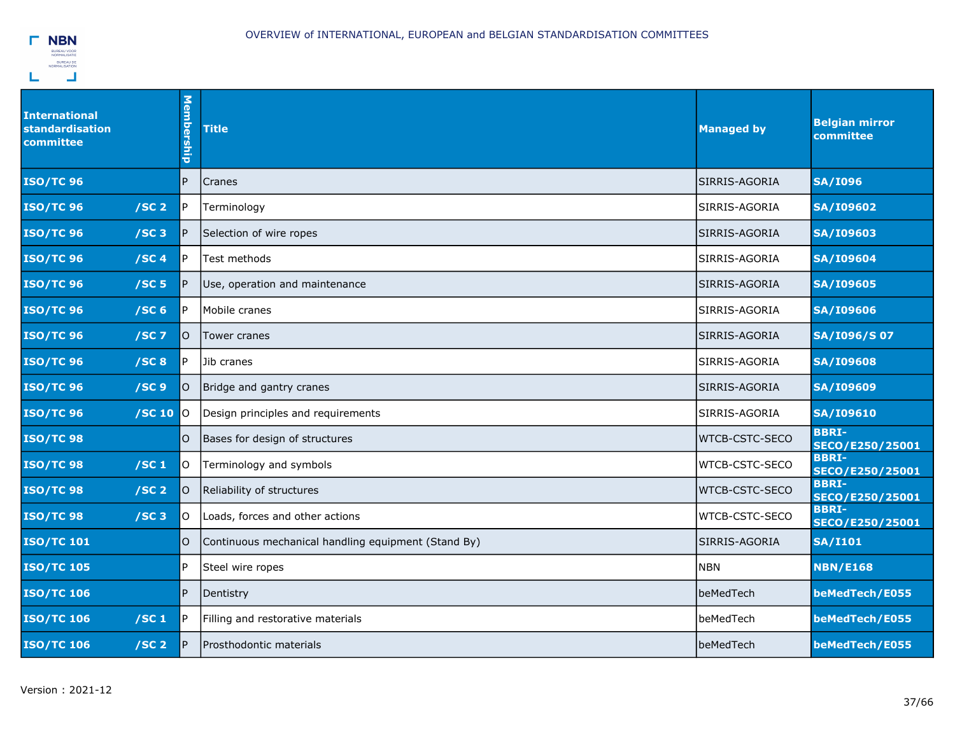| <b>International</b><br><b>standardisation</b><br>committee | <b>Membership</b> | <b>Title</b>                                        | <b>Managed by</b>     | <b>Belgian mirror</b><br>committee     |
|-------------------------------------------------------------|-------------------|-----------------------------------------------------|-----------------------|----------------------------------------|
| <b>ISO/TC 96</b>                                            | P                 | Cranes                                              | SIRRIS-AGORIA         | <b>SA/I096</b>                         |
| <b>ISO/TC 96</b><br>/SC <sub>2</sub>                        | P                 | Terminology                                         | SIRRIS-AGORIA         | <b>SA/I09602</b>                       |
| <b>ISO/TC 96</b><br>/SC3                                    | P                 | Selection of wire ropes                             | SIRRIS-AGORIA         | <b>SA/I09603</b>                       |
| <b>ISO/TC 96</b><br>/SC <sub>4</sub>                        | P                 | Test methods                                        | SIRRIS-AGORIA         | <b>SA/I09604</b>                       |
| <b>ISO/TC 96</b><br>/SC <sub>5</sub>                        | P                 | Use, operation and maintenance                      | SIRRIS-AGORIA         | <b>SA/I09605</b>                       |
| <b>ISO/TC 96</b><br>/SC <sub>6</sub>                        | P                 | Mobile cranes                                       | SIRRIS-AGORIA         | <b>SA/I09606</b>                       |
| <b>ISO/TC 96</b><br>$/SC$ 7                                 | lO.               | Tower cranes                                        | SIRRIS-AGORIA         | SA/I096/S07                            |
| <b>ISO/TC 96</b><br>/SC8                                    | P                 | Jib cranes                                          | SIRRIS-AGORIA         | <b>SA/I09608</b>                       |
| <b>ISO/TC 96</b><br>/SC <sub>9</sub>                        | O                 | Bridge and gantry cranes                            | SIRRIS-AGORIA         | <b>SA/I09609</b>                       |
| <b>ISO/TC 96</b><br>$/SC$ 10                                | <b>IO</b>         | Design principles and requirements                  | SIRRIS-AGORIA         | <b>SA/I09610</b>                       |
| <b>ISO/TC 98</b>                                            | O                 | Bases for design of structures                      | WTCB-CSTC-SECO        | <b>BBRI-</b><br>SECO/E250/25001        |
| <b>ISO/TC 98</b><br>/SC <sub>1</sub>                        | lO.               | Terminology and symbols                             | WTCB-CSTC-SECO        | <b>BBRI-</b><br>SECO/E250/25001        |
| <b>ISO/TC 98</b><br>/SC <sub>2</sub>                        | O                 | Reliability of structures                           | <b>WTCB-CSTC-SECO</b> | <b>BBRI-</b><br><b>SECO/E250/25001</b> |
| <b>ISO/TC 98</b><br>$/SC$ 3                                 | O                 | Loads, forces and other actions                     | WTCB-CSTC-SECO        | <b>BBRI-</b><br>SECO/E250/25001        |
| <b>ISO/TC 101</b>                                           | O                 | Continuous mechanical handling equipment (Stand By) | SIRRIS-AGORIA         | <b>SA/I101</b>                         |
| <b>ISO/TC 105</b>                                           | P                 | Steel wire ropes                                    | <b>NBN</b>            | <b>NBN/E168</b>                        |
| <b>ISO/TC 106</b>                                           | P.                | Dentistry                                           | beMedTech             | beMedTech/E055                         |
| <b>ISO/TC 106</b><br>/SC <sub>1</sub>                       | P                 | Filling and restorative materials                   | beMedTech             | beMedTech/E055                         |
| <b>ISO/TC 106</b><br>/SC <sub>2</sub>                       | P                 | Prosthodontic materials                             | beMedTech             | beMedTech/E055                         |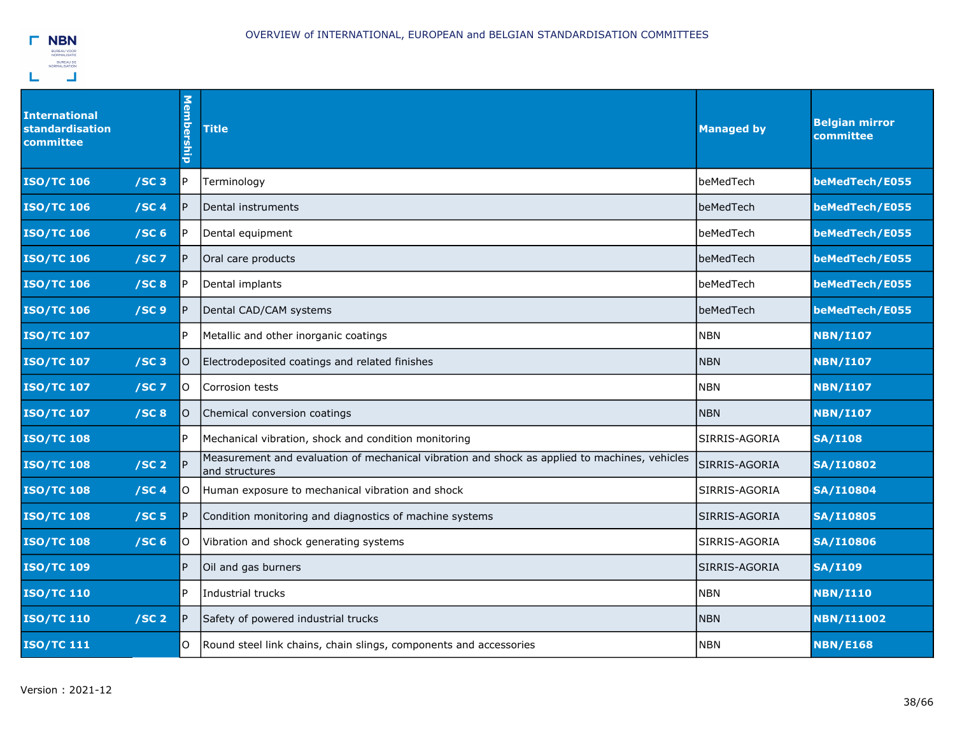| <b>International</b><br><b>standardisation</b><br>committee | <b>Membership</b> | <b>Title</b>                                                                                                    | <b>Managed by</b> | <b>Belgian mirror</b><br>committee |
|-------------------------------------------------------------|-------------------|-----------------------------------------------------------------------------------------------------------------|-------------------|------------------------------------|
| <b>ISO/TC 106</b><br>$/SC$ 3                                | P                 | Terminology                                                                                                     | beMedTech         | beMedTech/E055                     |
| <b>ISO/TC 106</b><br>/SC4                                   | P                 | Dental instruments                                                                                              | beMedTech         | beMedTech/E055                     |
| <b>ISO/TC 106</b><br>/SC <sub>6</sub>                       | P                 | Dental equipment                                                                                                | beMedTech         | beMedTech/E055                     |
| <b>ISO/TC 106</b><br>$/SC$ 7                                | P                 | Oral care products                                                                                              | beMedTech         | beMedTech/E055                     |
| <b>ISO/TC 106</b><br>/SC8                                   |                   | Dental implants                                                                                                 | beMedTech         | beMedTech/E055                     |
| <b>ISO/TC 106</b><br>/SC <sub>9</sub>                       |                   | Dental CAD/CAM systems                                                                                          | beMedTech         | beMedTech/E055                     |
| <b>ISO/TC 107</b>                                           | P                 | Metallic and other inorganic coatings                                                                           | <b>NBN</b>        | <b>NBN/I107</b>                    |
| <b>ISO/TC 107</b><br>/SC3                                   | IO.               | Electrodeposited coatings and related finishes                                                                  | NBN               | <b>NBN/I107</b>                    |
| <b>ISO/TC 107</b><br>$/SC$ 7                                | lO.               | Corrosion tests                                                                                                 | <b>NBN</b>        | <b>NBN/I107</b>                    |
| <b>ISO/TC 107</b><br>/SC8                                   | lO.               | Chemical conversion coatings                                                                                    | <b>NBN</b>        | <b>NBN/I107</b>                    |
| <b>ISO/TC 108</b>                                           | P                 | Mechanical vibration, shock and condition monitoring                                                            | SIRRIS-AGORIA     | <b>SA/I108</b>                     |
| /SC <sub>2</sub><br><b>ISO/TC 108</b>                       | <b>P</b>          | Measurement and evaluation of mechanical vibration and shock as applied to machines, vehicles<br>and structures | SIRRIS-AGORIA     | <b>SA/I10802</b>                   |
| <b>ISO/TC 108</b><br>/SC <sub>4</sub>                       | O                 | Human exposure to mechanical vibration and shock                                                                | SIRRIS-AGORIA     | <b>SA/I10804</b>                   |
| <b>ISO/TC 108</b><br>/SC <sub>5</sub>                       |                   | Condition monitoring and diagnostics of machine systems                                                         | SIRRIS-AGORIA     | <b>SA/I10805</b>                   |
| /SC <sub>6</sub><br><b>ISO/TC 108</b>                       | O                 | Vibration and shock generating systems                                                                          | SIRRIS-AGORIA     | <b>SA/I10806</b>                   |
| <b>ISO/TC 109</b>                                           | P                 | Oil and gas burners                                                                                             | SIRRIS-AGORIA     | <b>SA/I109</b>                     |
| <b>ISO/TC 110</b>                                           | P                 | Industrial trucks                                                                                               | <b>NBN</b>        | <b>NBN/I110</b>                    |
| <b>ISO/TC 110</b><br>/SC <sub>2</sub>                       | P                 | Safety of powered industrial trucks                                                                             | <b>NBN</b>        | <b>NBN/I11002</b>                  |
| <b>ISO/TC 111</b>                                           | O                 | Round steel link chains, chain slings, components and accessories                                               | <b>NBN</b>        | <b>NBN/E168</b>                    |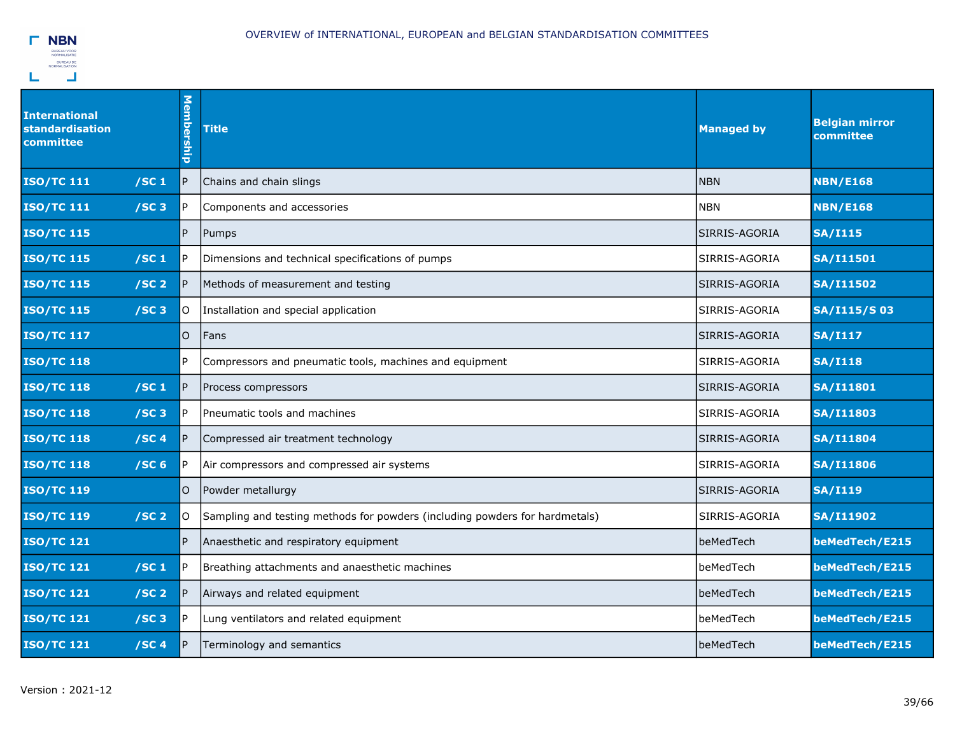

| <b>International</b><br>standardisation<br>committee | Membership | <b>Title</b>                                                                 | <b>Managed by</b> | <b>Belgian mirror</b><br>committee |
|------------------------------------------------------|------------|------------------------------------------------------------------------------|-------------------|------------------------------------|
| <b>ISO/TC 111</b><br>/SC <sub>1</sub>                | IP.        | Chains and chain slings                                                      | <b>NBN</b>        | <b>NBN/E168</b>                    |
| <b>ISO/TC 111</b><br>/SC3                            | P.         | Components and accessories                                                   | <b>NBN</b>        | <b>NBN/E168</b>                    |
| <b>ISO/TC 115</b>                                    | P          | Pumps                                                                        | SIRRIS-AGORIA     | <b>SA/I115</b>                     |
| <b>ISO/TC 115</b><br>/SC <sub>1</sub>                | l P        | Dimensions and technical specifications of pumps                             | SIRRIS-AGORIA     | <b>SA/I11501</b>                   |
| <b>ISO/TC 115</b><br>/SC <sub>2</sub>                | IP.        | Methods of measurement and testing                                           | SIRRIS-AGORIA     | <b>SA/I11502</b>                   |
| <b>ISO/TC 115</b><br>/SC3                            | lO.        | Installation and special application                                         | SIRRIS-AGORIA     | SA/I115/S03                        |
| <b>ISO/TC 117</b>                                    | O.         | Fans                                                                         | SIRRIS-AGORIA     | <b>SA/I117</b>                     |
| <b>ISO/TC 118</b>                                    | l P        | Compressors and pneumatic tools, machines and equipment                      | SIRRIS-AGORIA     | <b>SA/I118</b>                     |
| <b>ISO/TC 118</b><br>/SC <sub>1</sub>                | IP.        | Process compressors                                                          | SIRRIS-AGORIA     | <b>SA/I11801</b>                   |
| <b>ISO/TC 118</b><br>/SC3                            | l P        | Pneumatic tools and machines                                                 | SIRRIS-AGORIA     | <b>SA/I11803</b>                   |
| /SC4<br><b>ISO/TC 118</b>                            | P          | Compressed air treatment technology                                          | SIRRIS-AGORIA     | <b>SA/I11804</b>                   |
| <b>ISO/TC 118</b><br>/SC <sub>6</sub>                | l P        | Air compressors and compressed air systems                                   | SIRRIS-AGORIA     | <b>SA/I11806</b>                   |
| <b>ISO/TC 119</b>                                    | O          | Powder metallurgy                                                            | SIRRIS-AGORIA     | <b>SA/I119</b>                     |
| <b>ISO/TC 119</b><br>/SC <sub>2</sub>                | lO.        | (Sampling and testing methods for powders (including powders for hardmetals) | SIRRIS-AGORIA     | <b>SA/I11902</b>                   |
| <b>ISO/TC 121</b>                                    | P          | Anaesthetic and respiratory equipment                                        | beMedTech         | beMedTech/E215                     |
| <b>ISO/TC 121</b><br>/SC <sub>1</sub>                | IP.        | Breathing attachments and anaesthetic machines                               | beMedTech         | beMedTech/E215                     |
| <b>ISO/TC 121</b><br>/SC <sub>2</sub>                | IP.        | Airways and related equipment                                                | beMedTech         | beMedTech/E215                     |
| <b>ISO/TC 121</b><br>/SC3                            | l P        | Lung ventilators and related equipment                                       | beMedTech         | beMedTech/E215                     |
| <b>ISO/TC 121</b><br>/SC <sub>4</sub>                | P          | Terminology and semantics                                                    | beMedTech         | beMedTech/E215                     |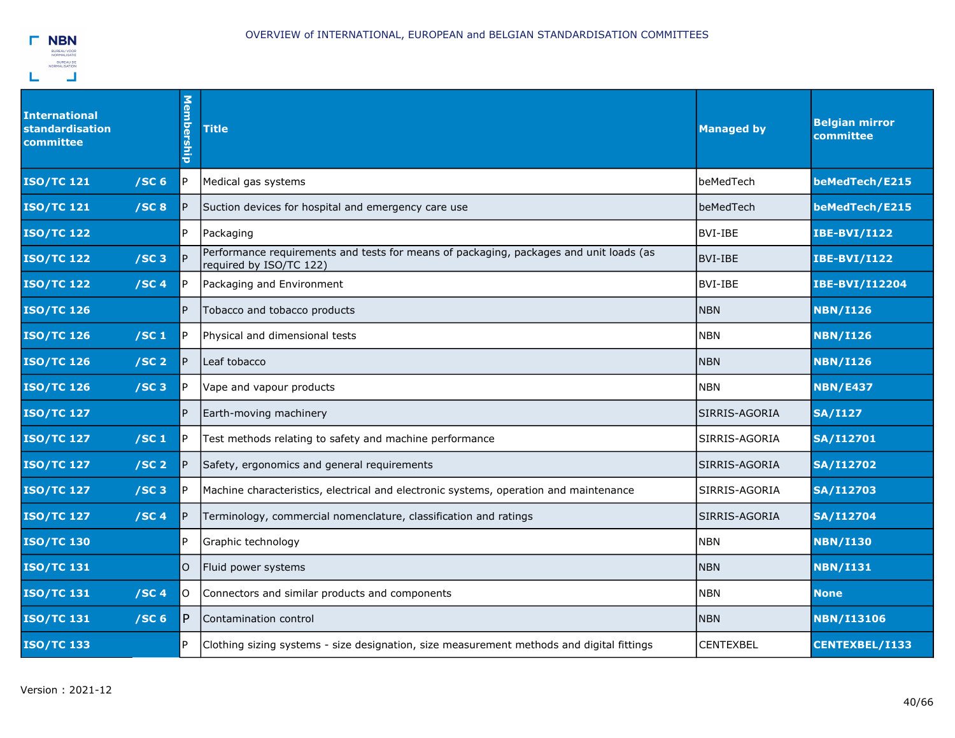

| <b>International</b><br>standardisation<br>committee | Membership | <b>Title</b>                                                                                                      | <b>Managed by</b> | <b>Belgian mirror</b><br>committee |
|------------------------------------------------------|------------|-------------------------------------------------------------------------------------------------------------------|-------------------|------------------------------------|
| <b>ISO/TC 121</b><br>/SC <sub>6</sub>                | IP.        | Medical gas systems                                                                                               | beMedTech         | beMedTech/E215                     |
| <b>ISO/TC 121</b><br>/SC8                            | P          | Suction devices for hospital and emergency care use                                                               | beMedTech         | beMedTech/E215                     |
| <b>ISO/TC 122</b>                                    | IP.        | Packaging                                                                                                         | <b>BVI-IBE</b>    | <b>IBE-BVI/I122</b>                |
| <b>ISO/TC 122</b><br>/SC3                            | <b>P</b>   | Performance requirements and tests for means of packaging, packages and unit loads (as<br>required by ISO/TC 122) | <b>BVI-IBE</b>    | <b>IBE-BVI/I122</b>                |
| /SC <sub>4</sub><br><b>ISO/TC 122</b>                | l P        | Packaging and Environment                                                                                         | <b>BVI-IBE</b>    | IBE-BVI/I12204                     |
| <b>ISO/TC 126</b>                                    | P.         | Tobacco and tobacco products                                                                                      | <b>NBN</b>        | <b>NBN/I126</b>                    |
| <b>ISO/TC 126</b><br>/SC <sub>1</sub>                | IP.        | Physical and dimensional tests                                                                                    | <b>NBN</b>        | <b>NBN/I126</b>                    |
| /SC <sub>2</sub><br><b>ISO/TC 126</b>                | IP.        | Leaf tobacco                                                                                                      | <b>NBN</b>        | <b>NBN/I126</b>                    |
| <b>ISO/TC 126</b><br>/SC3                            | P.         | Vape and vapour products                                                                                          | <b>NBN</b>        | <b>NBN/E437</b>                    |
| <b>ISO/TC 127</b>                                    | <b>P</b>   | Earth-moving machinery                                                                                            | SIRRIS-AGORIA     | <b>SA/I127</b>                     |
| /SC <sub>1</sub><br><b>ISO/TC 127</b>                | IP.        | Test methods relating to safety and machine performance                                                           | SIRRIS-AGORIA     | <b>SA/I12701</b>                   |
| /SC <sub>2</sub><br><b>ISO/TC 127</b>                | P          | Safety, ergonomics and general requirements                                                                       | SIRRIS-AGORIA     | <b>SA/I12702</b>                   |
| <b>ISO/TC 127</b><br>/SC3                            | IP.        | Machine characteristics, electrical and electronic systems, operation and maintenance                             | SIRRIS-AGORIA     | <b>SA/I12703</b>                   |
| <b>ISO/TC 127</b><br>/SC <sub>4</sub>                | IP.        | Terminology, commercial nomenclature, classification and ratings                                                  | SIRRIS-AGORIA     | <b>SA/I12704</b>                   |
| <b>ISO/TC 130</b>                                    | P.         | Graphic technology                                                                                                | <b>NBN</b>        | <b>NBN/I130</b>                    |
| <b>ISO/TC 131</b>                                    | O          | Fluid power systems                                                                                               | <b>NBN</b>        | <b>NBN/I131</b>                    |
| <b>ISO/TC 131</b><br>/SC <sub>4</sub>                | lo         | Connectors and similar products and components                                                                    | <b>NBN</b>        | <b>None</b>                        |
| /SC <sub>6</sub><br><b>ISO/TC 131</b>                | IP.        | Contamination control                                                                                             | <b>NBN</b>        | <b>NBN/I13106</b>                  |
| <b>ISO/TC 133</b>                                    | IP.        | Clothing sizing systems - size designation, size measurement methods and digital fittings                         | <b>CENTEXBEL</b>  | CENTEXBEL/I133                     |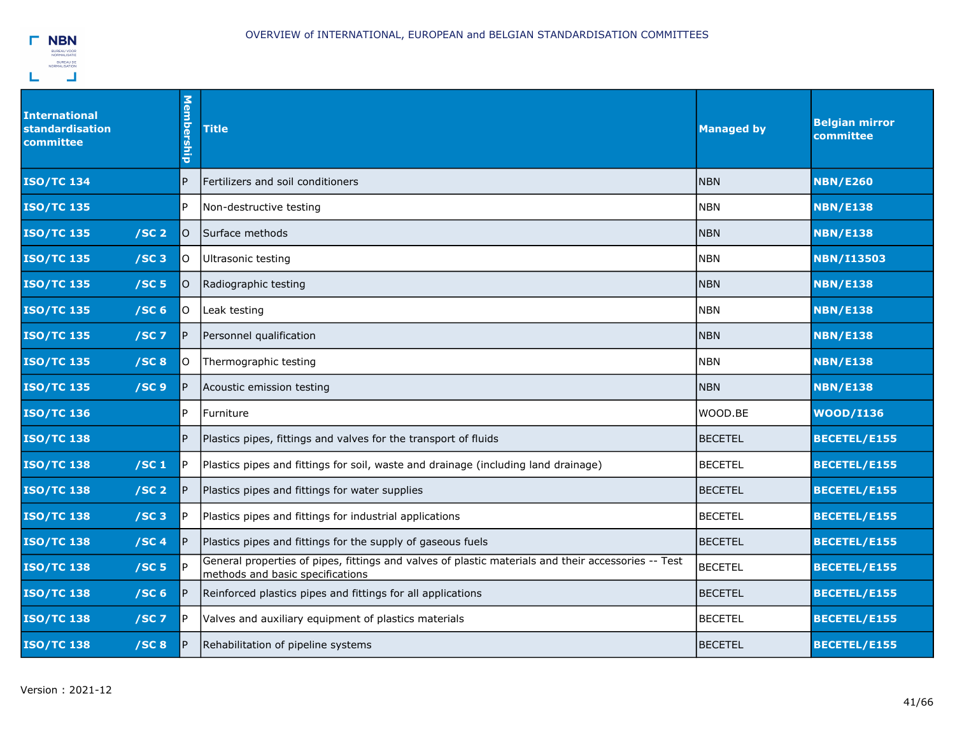

| International<br>standardisation<br>committee | Membership | <b>Title</b>                                                                                                                            | <b>Managed by</b> | <b>Belgian mirror</b><br>committee |
|-----------------------------------------------|------------|-----------------------------------------------------------------------------------------------------------------------------------------|-------------------|------------------------------------|
| <b>ISO/TC 134</b>                             | P.         | Fertilizers and soil conditioners                                                                                                       | <b>NBN</b>        | <b>NBN/E260</b>                    |
| <b>ISO/TC 135</b>                             | P          | Non-destructive testing                                                                                                                 | <b>NBN</b>        | <b>NBN/E138</b>                    |
| /SC <sub>2</sub><br><b>ISO/TC 135</b>         | IO.        | Surface methods                                                                                                                         | <b>NBN</b>        | <b>NBN/E138</b>                    |
| <b>ISO/TC 135</b><br>/SC3                     | lo.        | Ultrasonic testing                                                                                                                      | <b>NBN</b>        | <b>NBN/I13503</b>                  |
| <b>ISO/TC 135</b><br>/SC <sub>5</sub>         | lO.        | Radiographic testing                                                                                                                    | <b>NBN</b>        | <b>NBN/E138</b>                    |
| <b>ISO/TC 135</b><br>/SC <sub>6</sub>         | lo.        | Leak testing                                                                                                                            | <b>NBN</b>        | <b>NBN/E138</b>                    |
| <b>ISO/TC 135</b><br>$/SC$ 7                  | IP.        | Personnel qualification                                                                                                                 | <b>NBN</b>        | <b>NBN/E138</b>                    |
| /SC8<br><b>ISO/TC 135</b>                     | lO.        | Thermographic testing                                                                                                                   | <b>NBN</b>        | <b>NBN/E138</b>                    |
| /SC <sub>9</sub><br><b>ISO/TC 135</b>         | IP.        | Acoustic emission testing                                                                                                               | <b>NBN</b>        | <b>NBN/E138</b>                    |
| <b>ISO/TC 136</b>                             | IP.        | Furniture                                                                                                                               | WOOD.BE           | <b>WOOD/I136</b>                   |
| <b>ISO/TC 138</b>                             | IP.        | Plastics pipes, fittings and valves for the transport of fluids                                                                         | <b>BECETEL</b>    | <b>BECETEL/E155</b>                |
| /SC <sub>1</sub><br><b>ISO/TC 138</b>         | IP.        | Plastics pipes and fittings for soil, waste and drainage (including land drainage)                                                      | <b>BECETEL</b>    | <b>BECETEL/E155</b>                |
| /SC <sub>2</sub><br><b>ISO/TC 138</b>         | IP.        | Plastics pipes and fittings for water supplies                                                                                          | <b>BECETEL</b>    | BECETEL/E155                       |
| /SC3<br><b>ISO/TC 138</b>                     | IP.        | Plastics pipes and fittings for industrial applications                                                                                 | <b>BECETEL</b>    | BECETEL/E155                       |
| <b>ISO/TC 138</b><br>/SC <sub>4</sub>         | IP.        | Plastics pipes and fittings for the supply of gaseous fuels                                                                             | <b>BECETEL</b>    | BECETEL/E155                       |
| /SC <sub>5</sub><br><b>ISO/TC 138</b>         |            | General properties of pipes, fittings and valves of plastic materials and their accessories -- Test<br>methods and basic specifications | <b>BECETEL</b>    | <b>BECETEL/E155</b>                |
| <b>ISO/TC 138</b><br>/SC <sub>6</sub>         | IP.        | Reinforced plastics pipes and fittings for all applications                                                                             | <b>BECETEL</b>    | <b>BECETEL/E155</b>                |
| <b>ISO/TC 138</b><br>$/SC$ 7                  | IP.        | Valves and auxiliary equipment of plastics materials                                                                                    | <b>BECETEL</b>    | <b>BECETEL/E155</b>                |
| /SC8<br><b>ISO/TC 138</b>                     | IP.        | Rehabilitation of pipeline systems                                                                                                      | <b>BECETEL</b>    | <b>BECETEL/E155</b>                |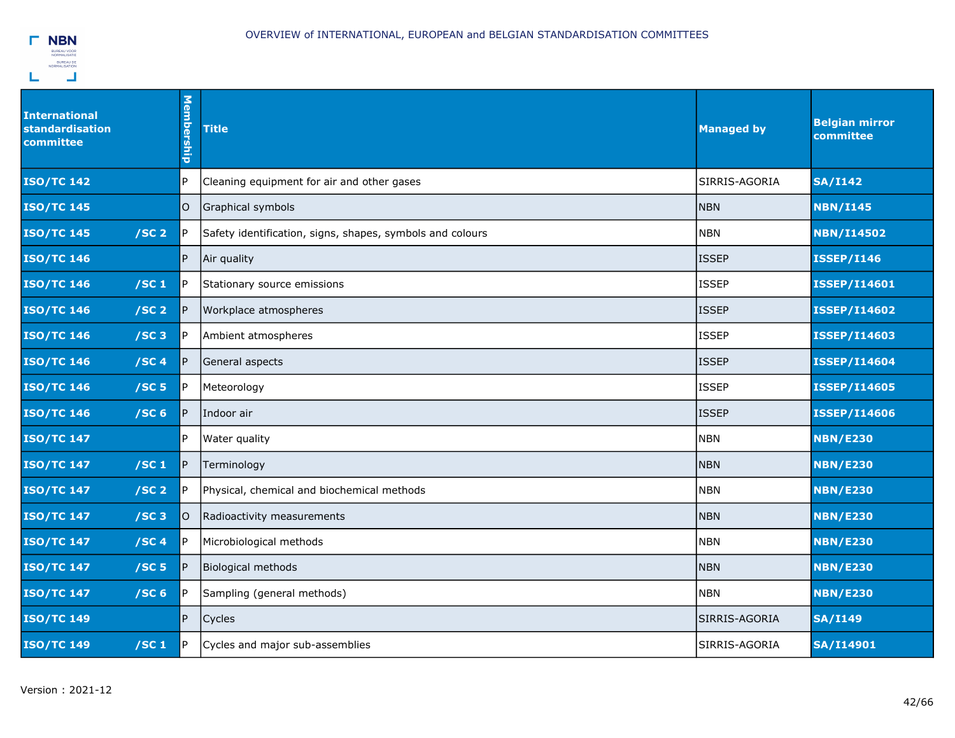

| <b>International</b><br><b>standardisation</b><br>committee | Membership | <b>Title</b>                                              | <b>Managed by</b> | <b>Belgian mirror</b><br>committee |
|-------------------------------------------------------------|------------|-----------------------------------------------------------|-------------------|------------------------------------|
| <b>ISO/TC 142</b>                                           | P          | Cleaning equipment for air and other gases                | SIRRIS-AGORIA     | <b>SA/I142</b>                     |
| <b>ISO/TC 145</b>                                           | O          | Graphical symbols                                         | <b>NBN</b>        | <b>NBN/I145</b>                    |
| <b>ISO/TC 145</b><br>/SC <sub>2</sub>                       | P          | Safety identification, signs, shapes, symbols and colours | <b>NBN</b>        | <b>NBN/I14502</b>                  |
| <b>ISO/TC 146</b>                                           | P          | Air quality                                               | <b>ISSEP</b>      | <b>ISSEP/I146</b>                  |
| <b>ISO/TC 146</b><br>/SC <sub>1</sub>                       | P          | Stationary source emissions                               | <b>ISSEP</b>      | <b>ISSEP/I14601</b>                |
| <b>ISO/TC 146</b><br>/SC <sub>2</sub>                       | P          | Workplace atmospheres                                     | <b>ISSEP</b>      | <b>ISSEP/I14602</b>                |
| <b>ISO/TC 146</b><br>$/SC$ 3                                |            | Ambient atmospheres                                       | <b>ISSEP</b>      | <b>ISSEP/I14603</b>                |
| <b>ISO/TC 146</b><br>/SC <sub>4</sub>                       |            | General aspects                                           | <b>ISSEP</b>      | <b>ISSEP/I14604</b>                |
| <b>ISO/TC 146</b><br>/SC <sub>5</sub>                       | P          | Meteorology                                               | <b>ISSEP</b>      | <b>ISSEP/I14605</b>                |
| <b>ISO/TC 146</b><br>/SC <sub>6</sub>                       | P          | Indoor air                                                | <b>ISSEP</b>      | <b>ISSEP/I14606</b>                |
| <b>ISO/TC 147</b>                                           | P          | Water quality                                             | <b>NBN</b>        | <b>NBN/E230</b>                    |
| <b>ISO/TC 147</b><br>/SC <sub>1</sub>                       | P          | Terminology                                               | <b>NBN</b>        | <b>NBN/E230</b>                    |
| <b>ISO/TC 147</b><br>/SC <sub>2</sub>                       | P          | Physical, chemical and biochemical methods                | <b>NBN</b>        | <b>NBN/E230</b>                    |
| <b>ISO/TC 147</b><br>$/SC$ 3                                | O          | Radioactivity measurements                                | <b>NBN</b>        | <b>NBN/E230</b>                    |
| /SC4<br><b>ISO/TC 147</b>                                   |            | Microbiological methods                                   | <b>NBN</b>        | <b>NBN/E230</b>                    |
| <b>ISO/TC 147</b><br>/SC <sub>5</sub>                       |            | <b>Biological methods</b>                                 | <b>NBN</b>        | <b>NBN/E230</b>                    |
| <b>ISO/TC 147</b><br>/SC <sub>6</sub>                       |            | Sampling (general methods)                                | <b>NBN</b>        | <b>NBN/E230</b>                    |
| <b>ISO/TC 149</b>                                           | P          | Cycles                                                    | SIRRIS-AGORIA     | <b>SA/I149</b>                     |
| <b>ISO/TC 149</b><br>/SC <sub>1</sub>                       | P          | Cycles and major sub-assemblies                           | SIRRIS-AGORIA     | <b>SA/I14901</b>                   |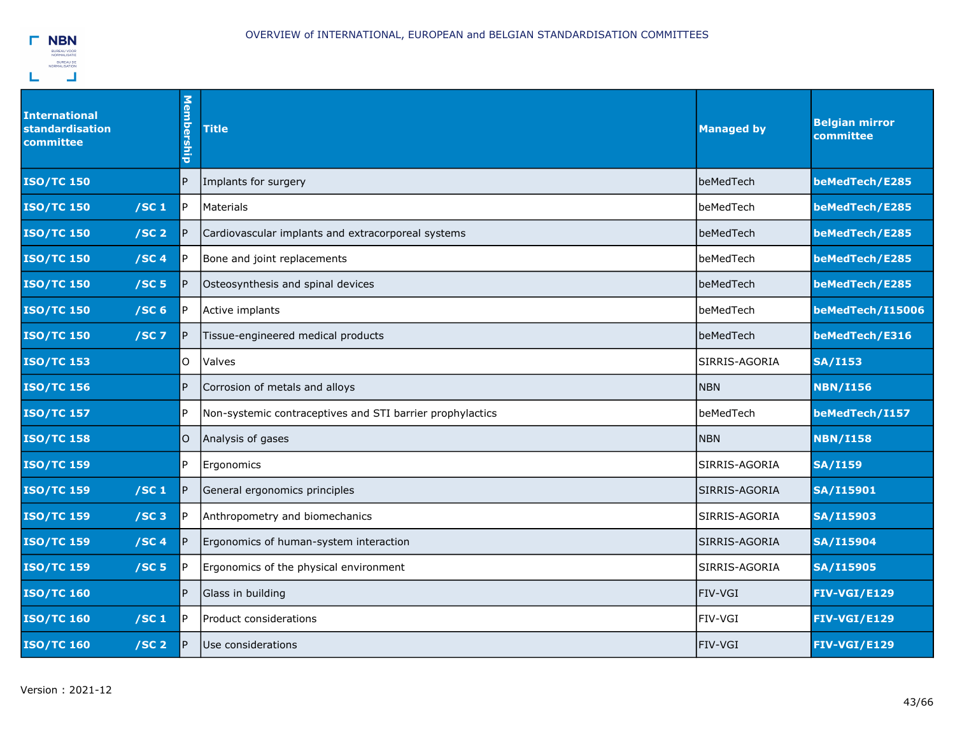

| <b>International</b><br>standardisation<br>committee | Membership | <b>Title</b>                                              | <b>Managed by</b> | <b>Belgian mirror</b><br>committee |
|------------------------------------------------------|------------|-----------------------------------------------------------|-------------------|------------------------------------|
| <b>ISO/TC 150</b>                                    | P          | Implants for surgery                                      | beMedTech         | beMedTech/E285                     |
| /SC <sub>1</sub><br><b>ISO/TC 150</b>                | P          | Materials                                                 | beMedTech         | beMedTech/E285                     |
| <b>ISO/TC 150</b><br>/SC <sub>2</sub>                | P          | Cardiovascular implants and extracorporeal systems        | <b>lbeMedTech</b> | beMedTech/E285                     |
| <b>ISO/TC 150</b><br>/SC4                            | P          | Bone and joint replacements                               | beMedTech         | beMedTech/E285                     |
| <b>ISO/TC 150</b><br>/SC <sub>5</sub>                | P          | Osteosynthesis and spinal devices                         | beMedTech         | beMedTech/E285                     |
| /SC <sub>6</sub><br><b>ISO/TC 150</b>                | IP.        | Active implants                                           | beMedTech         | beMedTech/I15006                   |
| <b>ISO/TC 150</b><br>$/SC$ 7                         | P          | Tissue-engineered medical products                        | beMedTech         | beMedTech/E316                     |
| <b>ISO/TC 153</b>                                    | 0          | Valves                                                    | SIRRIS-AGORIA     | <b>SA/I153</b>                     |
| <b>ISO/TC 156</b>                                    | P          | Corrosion of metals and alloys                            | <b>NBN</b>        | <b>NBN/I156</b>                    |
| <b>ISO/TC 157</b>                                    | P          | Non-systemic contraceptives and STI barrier prophylactics | beMedTech         | beMedTech/I157                     |
| <b>ISO/TC 158</b>                                    | 0          | Analysis of gases                                         | <b>NBN</b>        | <b>NBN/I158</b>                    |
| <b>ISO/TC 159</b>                                    | P          | Ergonomics                                                | lSIRRIS-AGORIA    | <b>SA/I159</b>                     |
| /SC <sub>1</sub><br><b>ISO/TC 159</b>                | P          | General ergonomics principles                             | SIRRIS-AGORIA     | <b>SA/I15901</b>                   |
| <b>ISO/TC 159</b><br>/SC3                            | P          | Anthropometry and biomechanics                            | SIRRIS-AGORIA     | <b>SA/I15903</b>                   |
| <b>ISO/TC 159</b><br>/SC <sub>4</sub>                | P          | Ergonomics of human-system interaction                    | SIRRIS-AGORIA     | <b>SA/I15904</b>                   |
| /SC <sub>5</sub><br><b>ISO/TC 159</b>                | IP.        | Ergonomics of the physical environment                    | SIRRIS-AGORIA     | <b>SA/I15905</b>                   |
| <b>ISO/TC 160</b>                                    | P          | Glass in building                                         | <b>FIV-VGI</b>    | <b>FIV-VGI/E129</b>                |
| <b>ISO/TC 160</b><br>/SC <sub>1</sub>                | P          | <b>Product considerations</b>                             | lFIV-VGI          | <b>FIV-VGI/E129</b>                |
| <b>ISO/TC 160</b><br>/SC <sub>2</sub>                | P          | Use considerations                                        | FIV-VGI           | <b>FIV-VGI/E129</b>                |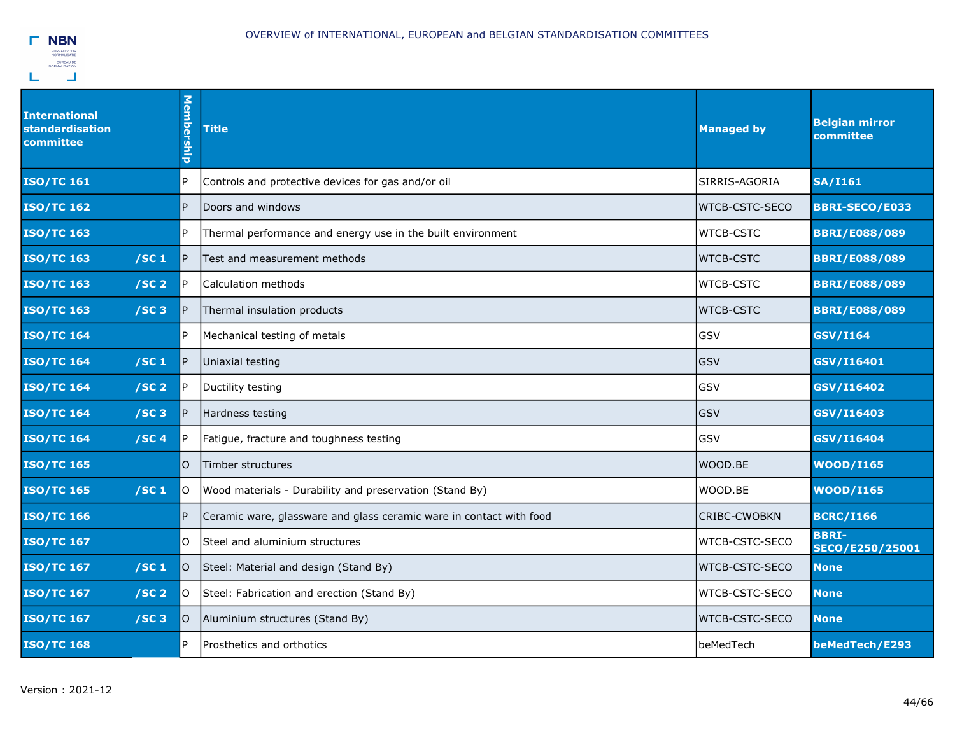

| <b>International</b><br>standardisation<br>committee | <b>Membership</b> | <b>Title</b>                                                        | <b>Managed by</b>     | <b>Belgian mirror</b><br>committee     |
|------------------------------------------------------|-------------------|---------------------------------------------------------------------|-----------------------|----------------------------------------|
| <b>ISO/TC 161</b>                                    | $\mathsf{P}$      | Controls and protective devices for gas and/or oil                  | SIRRIS-AGORIA         | <b>SA/I161</b>                         |
| <b>ISO/TC 162</b>                                    | $\overline{P}$    | Doors and windows                                                   | WTCB-CSTC-SECO        | <b>BBRI-SECO/E033</b>                  |
| <b>ISO/TC 163</b>                                    | $\mathsf{P}$      | Thermal performance and energy use in the built environment         | <b>WTCB-CSTC</b>      | <b>BBRI/E088/089</b>                   |
| <b>ISO/TC 163</b><br>/SC <sub>1</sub>                | $\mathsf{P}$      | Test and measurement methods                                        | <b>WTCB-CSTC</b>      | <b>BBRI/E088/089</b>                   |
| /SC <sub>2</sub><br><b>ISO/TC 163</b>                | P                 | Calculation methods                                                 | <b>WTCB-CSTC</b>      | <b>BBRI/E088/089</b>                   |
| <b>ISO/TC 163</b><br>$/SC$ 3                         | $\mathsf{P}$      | Thermal insulation products                                         | <b>WTCB-CSTC</b>      | <b>BBRI/E088/089</b>                   |
| <b>ISO/TC 164</b>                                    | P.                | Mechanical testing of metals                                        | GSV                   | <b>GSV/I164</b>                        |
| <b>ISO/TC 164</b><br>/SC <sub>1</sub>                | $\mathsf{P}$      | Uniaxial testing                                                    | GSV                   | GSV/I16401                             |
| <b>ISO/TC 164</b><br>/SC <sub>2</sub>                | $\mathsf{P}$      | Ductility testing                                                   | <b>GSV</b>            | GSV/I16402                             |
| <b>ISO/TC 164</b><br>/SC <sub>3</sub>                | $\mathsf{P}$      | Hardness testing                                                    | GSV                   | GSV/I16403                             |
| <b>ISO/TC 164</b><br>/SC4                            | P                 | Fatigue, fracture and toughness testing                             | GSV                   | GSV/I16404                             |
| <b>ISO/TC 165</b>                                    | O                 | Timber structures                                                   | WOOD.BE               | <b>WOOD/I165</b>                       |
| /SC <sub>1</sub><br><b>ISO/TC 165</b>                | lo.               | Wood materials - Durability and preservation (Stand By)             | WOOD.BE               | <b>WOOD/I165</b>                       |
| <b>ISO/TC 166</b>                                    | P                 | Ceramic ware, glassware and glass ceramic ware in contact with food | <b>CRIBC-CWOBKN</b>   | <b>BCRC/I166</b>                       |
| <b>ISO/TC 167</b>                                    | lO.               | Steel and aluminium structures                                      | WTCB-CSTC-SECO        | <b>BBRI-</b><br><b>SECO/E250/25001</b> |
| <b>ISO/TC 167</b><br>/SC <sub>1</sub>                | O                 | Steel: Material and design (Stand By)                               | <b>WTCB-CSTC-SECO</b> | <b>None</b>                            |
| <b>ISO/TC 167</b><br>/SC <sub>2</sub>                | lO.               | Steel: Fabrication and erection (Stand By)                          | WTCB-CSTC-SECO        | <b>None</b>                            |
| <b>ISO/TC 167</b><br>/SC <sub>3</sub>                | lO.               | Aluminium structures (Stand By)                                     | <b>WTCB-CSTC-SECO</b> | <b>None</b>                            |
| <b>ISO/TC 168</b>                                    | $\mathsf{P}$      | Prosthetics and orthotics                                           | beMedTech             | beMedTech/E293                         |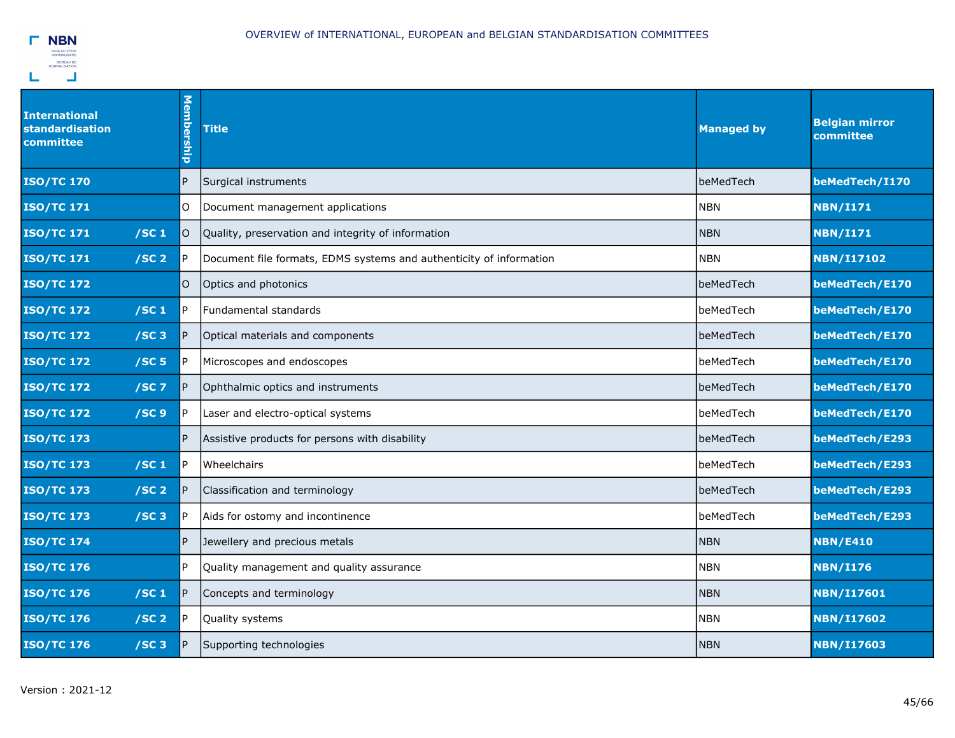

| <b>International</b><br><b>standardisation</b><br>committee | <b>Membership</b> | <b>Title</b>                                                        | <b>Managed by</b> | <b>Belgian mirror</b><br>committee |
|-------------------------------------------------------------|-------------------|---------------------------------------------------------------------|-------------------|------------------------------------|
| <b>ISO/TC 170</b>                                           | P                 | Surgical instruments                                                | beMedTech         | beMedTech/I170                     |
| <b>ISO/TC 171</b>                                           | O                 | Document management applications                                    | <b>NBN</b>        | <b>NBN/I171</b>                    |
| /SC <sub>1</sub><br><b>ISO/TC 171</b>                       | l0                | Quality, preservation and integrity of information                  | <b>NBN</b>        | <b>NBN/I171</b>                    |
| <b>ISO/TC 171</b><br>/SC <sub>2</sub>                       | P                 | Document file formats, EDMS systems and authenticity of information | <b>NBN</b>        | <b>NBN/I17102</b>                  |
| <b>ISO/TC 172</b>                                           | O                 | Optics and photonics                                                | beMedTech         | beMedTech/E170                     |
| <b>ISO/TC 172</b><br>/SC <sub>1</sub>                       | IP.               | Fundamental standards                                               | beMedTech         | beMedTech/E170                     |
| <b>ISO/TC 172</b><br>$/SC$ 3                                | P                 | Optical materials and components                                    | beMedTech         | beMedTech/E170                     |
| <b>ISO/TC 172</b><br>/SC <sub>5</sub>                       | IP.               | Microscopes and endoscopes                                          | beMedTech         | beMedTech/E170                     |
| <b>ISO/TC 172</b><br>$/SC$ 7                                | P                 | Ophthalmic optics and instruments                                   | beMedTech         | beMedTech/E170                     |
| /SC <sub>9</sub><br><b>ISO/TC 172</b>                       | IP.               | Laser and electro-optical systems                                   | beMedTech         | beMedTech/E170                     |
| <b>ISO/TC 173</b>                                           | P                 | Assistive products for persons with disability                      | beMedTech         | beMedTech/E293                     |
| <b>ISO/TC 173</b><br>/SC <sub>1</sub>                       | P                 | Wheelchairs                                                         | beMedTech         | beMedTech/E293                     |
| <b>ISO/TC 173</b><br>/SC <sub>2</sub>                       | IP.               | Classification and terminology                                      | beMedTech         | beMedTech/E293                     |
| <b>ISO/TC 173</b><br>$/SC$ 3                                | IP.               | Aids for ostomy and incontinence                                    | beMedTech         | beMedTech/E293                     |
| <b>ISO/TC 174</b>                                           | P                 | Jewellery and precious metals                                       | <b>NBN</b>        | <b>NBN/E410</b>                    |
| <b>ISO/TC 176</b>                                           | P.                | Quality management and quality assurance                            | <b>NBN</b>        | <b>NBN/I176</b>                    |
| <b>ISO/TC 176</b><br>/SC <sub>1</sub>                       | IP.               | Concepts and terminology                                            | <b>NBN</b>        | <b>NBN/I17601</b>                  |
| <b>ISO/TC 176</b><br>/SC <sub>2</sub>                       | P                 | Quality systems                                                     | <b>NBN</b>        | <b>NBN/I17602</b>                  |
| <b>ISO/TC 176</b><br>/SC <sub>3</sub>                       | IP.               | Supporting technologies                                             | <b>NBN</b>        | <b>NBN/I17603</b>                  |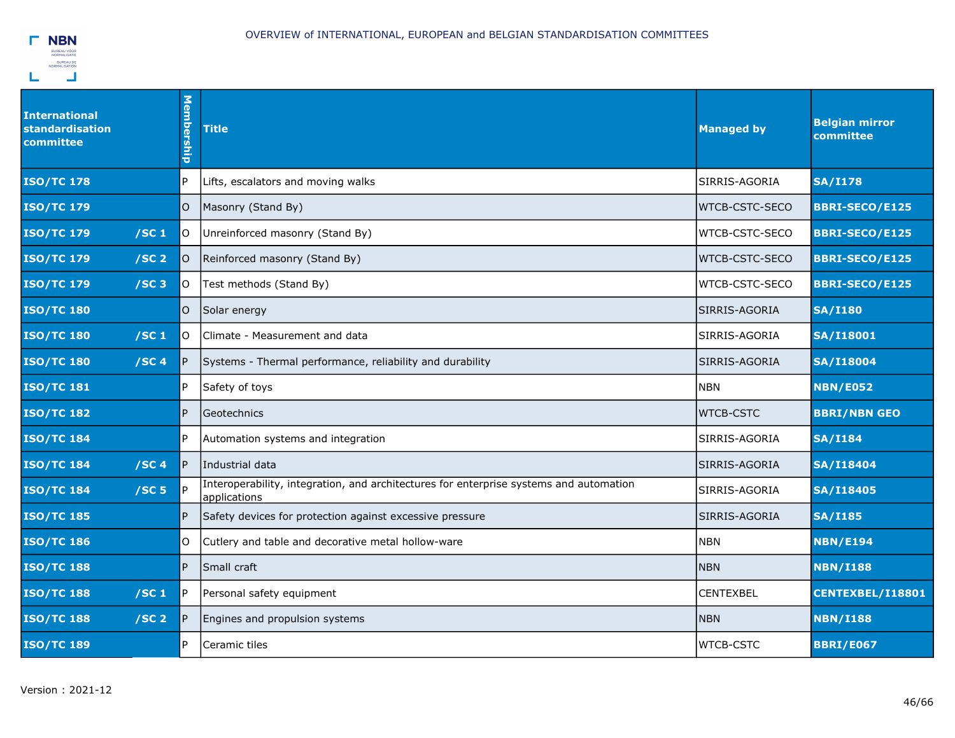

| <b>International</b><br><b>standardisation</b><br>committee | <b>Membership</b> | <b>Title</b>                                                                                           | <b>Managed by</b>     | <b>Belgian mirror</b><br>committee |
|-------------------------------------------------------------|-------------------|--------------------------------------------------------------------------------------------------------|-----------------------|------------------------------------|
| <b>ISO/TC 178</b>                                           | P                 | Lifts, escalators and moving walks                                                                     | SIRRIS-AGORIA         | <b>SA/I178</b>                     |
| <b>ISO/TC 179</b>                                           | O                 | Masonry (Stand By)                                                                                     | <b>WTCB-CSTC-SECO</b> | <b>BBRI-SECO/E125</b>              |
| <b>ISO/TC 179</b><br>/SC <sub>1</sub>                       | O                 | Unreinforced masonry (Stand By)                                                                        | WTCB-CSTC-SECO        | <b>BBRI-SECO/E125</b>              |
| <b>ISO/TC 179</b><br>/SC <sub>2</sub>                       | O                 | Reinforced masonry (Stand By)                                                                          | <b>WTCB-CSTC-SECO</b> | <b>BBRI-SECO/E125</b>              |
| <b>ISO/TC 179</b><br>/SC <sub>3</sub>                       | 0                 | Test methods (Stand By)                                                                                | WTCB-CSTC-SECO        | <b>BBRI-SECO/E125</b>              |
| <b>ISO/TC 180</b>                                           | O                 | Solar energy                                                                                           | SIRRIS-AGORIA         | <b>SA/I180</b>                     |
| <b>ISO/TC 180</b><br>/SC <sub>1</sub>                       | O                 | Climate - Measurement and data                                                                         | SIRRIS-AGORIA         | <b>SA/I18001</b>                   |
| /SC <sub>4</sub><br><b>ISO/TC 180</b>                       |                   | Systems - Thermal performance, reliability and durability                                              | SIRRIS-AGORIA         | <b>SA/I18004</b>                   |
| <b>ISO/TC 181</b>                                           | P                 | Safety of toys                                                                                         | <b>NBN</b>            | <b>NBN/E052</b>                    |
| <b>ISO/TC 182</b>                                           | P                 | Geotechnics                                                                                            | <b>WTCB-CSTC</b>      | <b>BBRI/NBN GEO</b>                |
| <b>ISO/TC 184</b>                                           | P                 | Automation systems and integration                                                                     | SIRRIS-AGORIA         | <b>SA/I184</b>                     |
| <b>ISO/TC 184</b><br>/SC <sub>4</sub>                       | P                 | Industrial data                                                                                        | SIRRIS-AGORIA         | <b>SA/I18404</b>                   |
| /SC <sub>5</sub><br><b>ISO/TC 184</b>                       |                   | Interoperability, integration, and architectures for enterprise systems and automation<br>applications | SIRRIS-AGORIA         | <b>SA/I18405</b>                   |
| <b>ISO/TC 185</b>                                           | P                 | Safety devices for protection against excessive pressure                                               | SIRRIS-AGORIA         | <b>SA/I185</b>                     |
| <b>ISO/TC 186</b>                                           | 0                 | Cutlery and table and decorative metal hollow-ware                                                     | <b>NBN</b>            | <b>NBN/E194</b>                    |
| <b>ISO/TC 188</b>                                           | P                 | Small craft                                                                                            | <b>NBN</b>            | <b>NBN/I188</b>                    |
| <b>ISO/TC 188</b><br>/SC <sub>1</sub>                       | P                 | Personal safety equipment                                                                              | <b>CENTEXBEL</b>      | CENTEXBEL/I18801                   |
| <b>ISO/TC 188</b><br>/SC <sub>2</sub>                       |                   | Engines and propulsion systems                                                                         | <b>NBN</b>            | <b>NBN/I188</b>                    |
| <b>ISO/TC 189</b>                                           | P                 | Ceramic tiles                                                                                          | <b>WTCB-CSTC</b>      | <b>BBRI/E067</b>                   |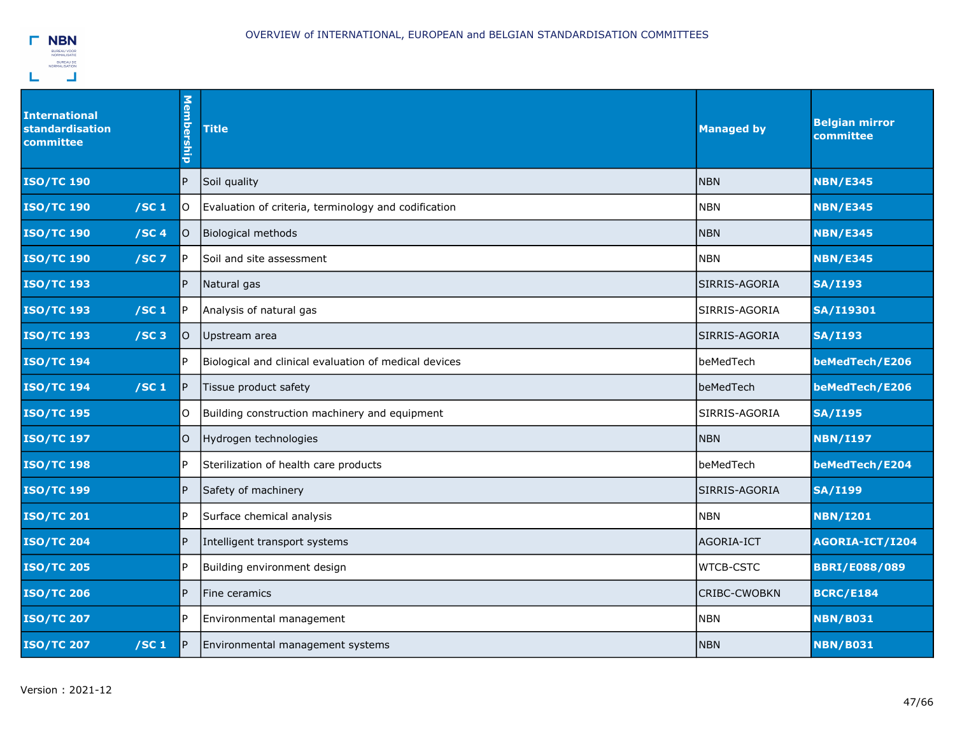

| <b>International</b><br><b>standardisation</b><br>committee | Membership      | <b>Title</b>                                          | <b>Managed by</b> | <b>Belgian mirror</b><br>committee |
|-------------------------------------------------------------|-----------------|-------------------------------------------------------|-------------------|------------------------------------|
| <b>ISO/TC 190</b>                                           | $\vert P \vert$ | Soil quality                                          | <b>NBN</b>        | <b>NBN/E345</b>                    |
| <b>ISO/TC 190</b><br>/SC <sub>1</sub>                       | lO.             | Evaluation of criteria, terminology and codification  | <b>NBN</b>        | <b>NBN/E345</b>                    |
| <b>ISO/TC 190</b><br>/SC <sub>4</sub>                       | lO.             | Biological methods                                    | <b>NBN</b>        | <b>NBN/E345</b>                    |
| <b>ISO/TC 190</b><br>$/SC$ 7                                | IP.             | Soil and site assessment                              | <b>NBN</b>        | <b>NBN/E345</b>                    |
| <b>ISO/TC 193</b>                                           | P.              | Natural gas                                           | SIRRIS-AGORIA     | <b>SA/I193</b>                     |
| <b>ISO/TC 193</b><br>/SC <sub>1</sub>                       | P               | Analysis of natural gas                               | SIRRIS-AGORIA     | <b>SA/I19301</b>                   |
| <b>ISO/TC 193</b><br>$/SC$ 3                                | O               | Upstream area                                         | SIRRIS-AGORIA     | <b>SA/I193</b>                     |
| <b>ISO/TC 194</b>                                           | P               | Biological and clinical evaluation of medical devices | beMedTech         | beMedTech/E206                     |
| /SC <sub>1</sub><br><b>ISO/TC 194</b>                       | P               | Tissue product safety                                 | beMedTech         | beMedTech/E206                     |
| <b>ISO/TC 195</b>                                           | O               | Building construction machinery and equipment         | SIRRIS-AGORIA     | <b>SA/I195</b>                     |
| <b>ISO/TC 197</b>                                           | O               | Hydrogen technologies                                 | <b>NBN</b>        | <b>NBN/I197</b>                    |
| <b>ISO/TC 198</b>                                           | P               | Sterilization of health care products                 | beMedTech         | beMedTech/E204                     |
| <b>ISO/TC 199</b>                                           | $\overline{P}$  | Safety of machinery                                   | SIRRIS-AGORIA     | <b>SA/I199</b>                     |
| <b>ISO/TC 201</b>                                           | P               | Surface chemical analysis                             | <b>NBN</b>        | <b>NBN/I201</b>                    |
| <b>ISO/TC 204</b>                                           | $\mathsf{P}$    | Intelligent transport systems                         | AGORIA-ICT        | AGORIA-ICT/I204                    |
| <b>ISO/TC 205</b>                                           | P               | Building environment design                           | <b>WTCB-CSTC</b>  | <b>BBRI/E088/089</b>               |
| <b>ISO/TC 206</b>                                           | $\overline{P}$  | Fine ceramics                                         | CRIBC-CWOBKN      | <b>BCRC/E184</b>                   |
| <b>ISO/TC 207</b>                                           | P               | Environmental management                              | <b>NBN</b>        | <b>NBN/B031</b>                    |
| <b>ISO/TC 207</b><br>/SC <sub>1</sub>                       | $\mathsf{P}$    | Environmental management systems                      | <b>NBN</b>        | <b>NBN/B031</b>                    |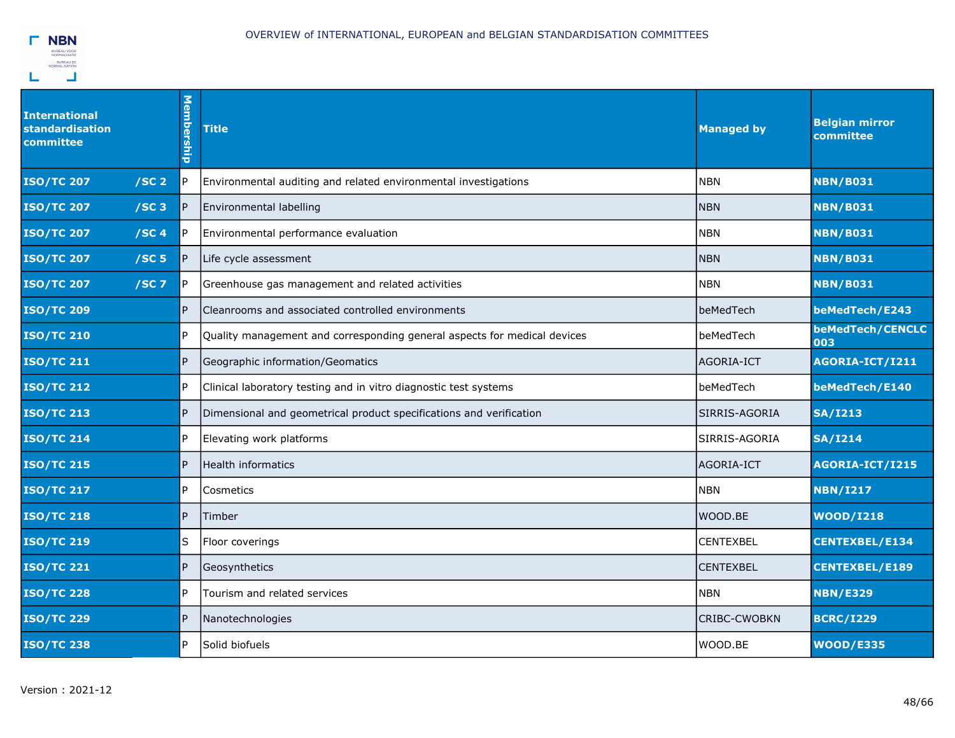

| <b>International</b><br><b>standardisation</b><br>committee | Membership | <b>Title</b>                                                             | <b>Managed by</b>   | <b>Belgian mirror</b><br>committee |
|-------------------------------------------------------------|------------|--------------------------------------------------------------------------|---------------------|------------------------------------|
| <b>ISO/TC 207</b><br>/SC <sub>2</sub>                       | IP.        | Environmental auditing and related environmental investigations          | <b>NBN</b>          | <b>NBN/B031</b>                    |
| /SC3<br><b>ISO/TC 207</b>                                   | P          | Environmental labelling                                                  | <b>NBN</b>          | <b>NBN/B031</b>                    |
| /SC <sub>4</sub><br><b>ISO/TC 207</b>                       | IP.        | Environmental performance evaluation                                     | <b>NBN</b>          | <b>NBN/B031</b>                    |
| /SC <sub>5</sub><br><b>ISO/TC 207</b>                       | P          | Life cycle assessment                                                    | <b>NBN</b>          | <b>NBN/B031</b>                    |
| <b>ISO/TC 207</b><br>$/SC$ 7                                | IP.        | Greenhouse gas management and related activities                         | <b>NBN</b>          | <b>NBN/B031</b>                    |
| <b>ISO/TC 209</b>                                           | P          | Cleanrooms and associated controlled environments                        | beMedTech           | beMedTech/E243                     |
| <b>ISO/TC 210</b>                                           | l P        | Quality management and corresponding general aspects for medical devices | beMedTech           | beMedTech/CENCLC<br>003            |
| <b>ISO/TC 211</b>                                           | P          | Geographic information/Geomatics                                         | AGORIA-ICT          | AGORIA-ICT/I211                    |
| <b>ISO/TC 212</b>                                           | IP.        | Clinical laboratory testing and in vitro diagnostic test systems         | beMedTech           | beMedTech/E140                     |
| <b>ISO/TC 213</b>                                           | IP.        | Dimensional and geometrical product specifications and verification      | SIRRIS-AGORIA       | <b>SA/I213</b>                     |
| <b>ISO/TC 214</b>                                           | IP.        | Elevating work platforms                                                 | SIRRIS-AGORIA       | <b>SA/I214</b>                     |
| <b>ISO/TC 215</b>                                           | IP.        | Health informatics                                                       | AGORIA-ICT          | AGORIA-ICT/I215                    |
| <b>ISO/TC 217</b>                                           | l P        | Cosmetics                                                                | <b>NBN</b>          | <b>NBN/I217</b>                    |
| <b>ISO/TC 218</b>                                           | IP.        | Timber                                                                   | WOOD.BE             | <b>WOOD/I218</b>                   |
| <b>ISO/TC 219</b>                                           | lS         | Floor coverings                                                          | <b>CENTEXBEL</b>    | <b>CENTEXBEL/E134</b>              |
| <b>ISO/TC 221</b>                                           | P.         | Geosynthetics                                                            | <b>CENTEXBEL</b>    | <b>CENTEXBEL/E189</b>              |
| <b>ISO/TC 228</b>                                           | l P        | Tourism and related services                                             | <b>NBN</b>          | <b>NBN/E329</b>                    |
| <b>ISO/TC 229</b>                                           | IP.        | Nanotechnologies                                                         | <b>CRIBC-CWOBKN</b> | <b>BCRC/I229</b>                   |
| <b>ISO/TC 238</b>                                           | IP.        | Solid biofuels                                                           | WOOD.BE             | <b>WOOD/E335</b>                   |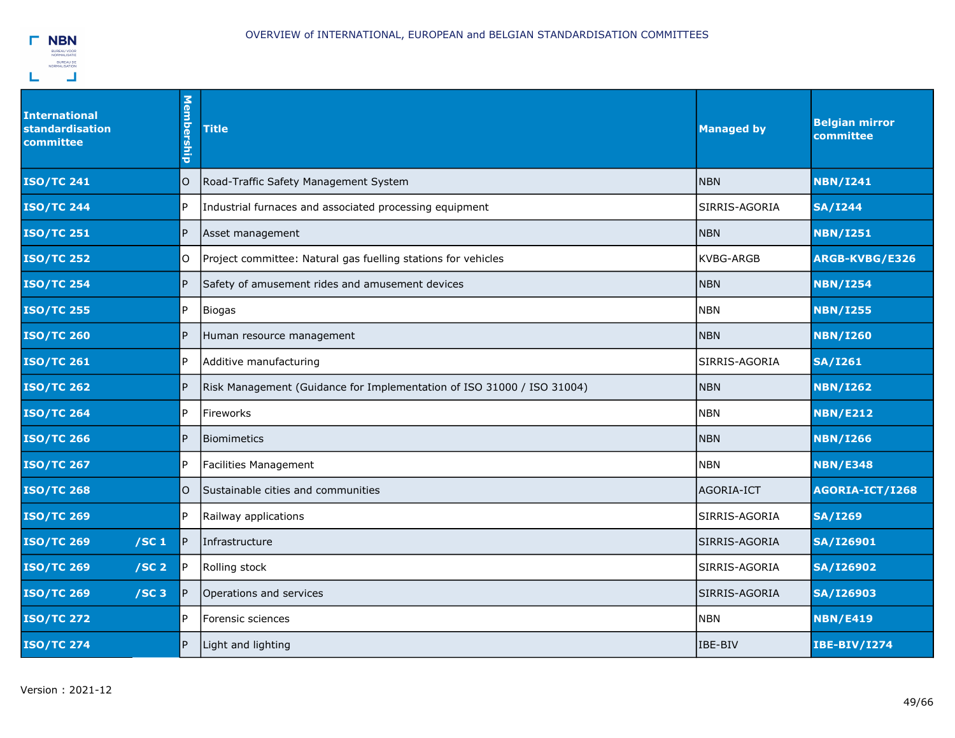

| <b>International</b><br><b>standardisation</b><br>committee | Membership | <b>Title</b>                                                           | <b>Managed by</b> | <b>Belgian mirror</b><br>committee |
|-------------------------------------------------------------|------------|------------------------------------------------------------------------|-------------------|------------------------------------|
| <b>ISO/TC 241</b>                                           | O          | Road-Traffic Safety Management System                                  | <b>NBN</b>        | <b>NBN/I241</b>                    |
| <b>ISO/TC 244</b>                                           | IP.        | Industrial furnaces and associated processing equipment                | SIRRIS-AGORIA     | <b>SA/I244</b>                     |
| <b>ISO/TC 251</b>                                           | IP.        | Asset management                                                       | <b>NBN</b>        | <b>NBN/I251</b>                    |
| <b>ISO/TC 252</b>                                           | lO.        | Project committee: Natural gas fuelling stations for vehicles          | <b>KVBG-ARGB</b>  | ARGB-KVBG/E326                     |
| <b>ISO/TC 254</b>                                           | P.         | Safety of amusement rides and amusement devices                        | <b>NBN</b>        | <b>NBN/I254</b>                    |
| <b>ISO/TC 255</b>                                           | l P        | Biogas                                                                 | <b>NBN</b>        | <b>NBN/I255</b>                    |
| <b>ISO/TC 260</b>                                           | lP.        | Human resource management                                              | <b>NBN</b>        | <b>NBN/I260</b>                    |
| <b>ISO/TC 261</b>                                           | IP.        | Additive manufacturing                                                 | SIRRIS-AGORIA     | <b>SA/I261</b>                     |
| <b>ISO/TC 262</b>                                           | IP.        | Risk Management (Guidance for Implementation of ISO 31000 / ISO 31004) | <b>NBN</b>        | <b>NBN/I262</b>                    |
| <b>ISO/TC 264</b>                                           | l P        | Fireworks                                                              | <b>NBN</b>        | <b>NBN/E212</b>                    |
| <b>ISO/TC 266</b>                                           | IP.        | <b>Biomimetics</b>                                                     | <b>NBN</b>        | <b>NBN/I266</b>                    |
| <b>ISO/TC 267</b>                                           | l P        | <b>Facilities Management</b>                                           | <b>NBN</b>        | <b>NBN/E348</b>                    |
| <b>ISO/TC 268</b>                                           | $\circ$    | Sustainable cities and communities                                     | AGORIA-ICT        | AGORIA-ICT/I268                    |
| <b>ISO/TC 269</b>                                           | P.         | Railway applications                                                   | SIRRIS-AGORIA     | <b>SA/I269</b>                     |
| <b>ISO/TC 269</b><br>/SC <sub>1</sub>                       | P          | Infrastructure                                                         | SIRRIS-AGORIA     | <b>SA/I26901</b>                   |
| <b>ISO/TC 269</b><br>/SC <sub>2</sub>                       | IP.        | Rolling stock                                                          | SIRRIS-AGORIA     | <b>SA/I26902</b>                   |
| <b>ISO/TC 269</b><br>/SC3                                   | P          | Operations and services                                                | SIRRIS-AGORIA     | <b>SA/I26903</b>                   |
| <b>ISO/TC 272</b>                                           | l P        | Forensic sciences                                                      | <b>NBN</b>        | <b>NBN/E419</b>                    |
| <b>ISO/TC 274</b>                                           | P          | Light and lighting                                                     | IBE-BIV           | <b>IBE-BIV/I274</b>                |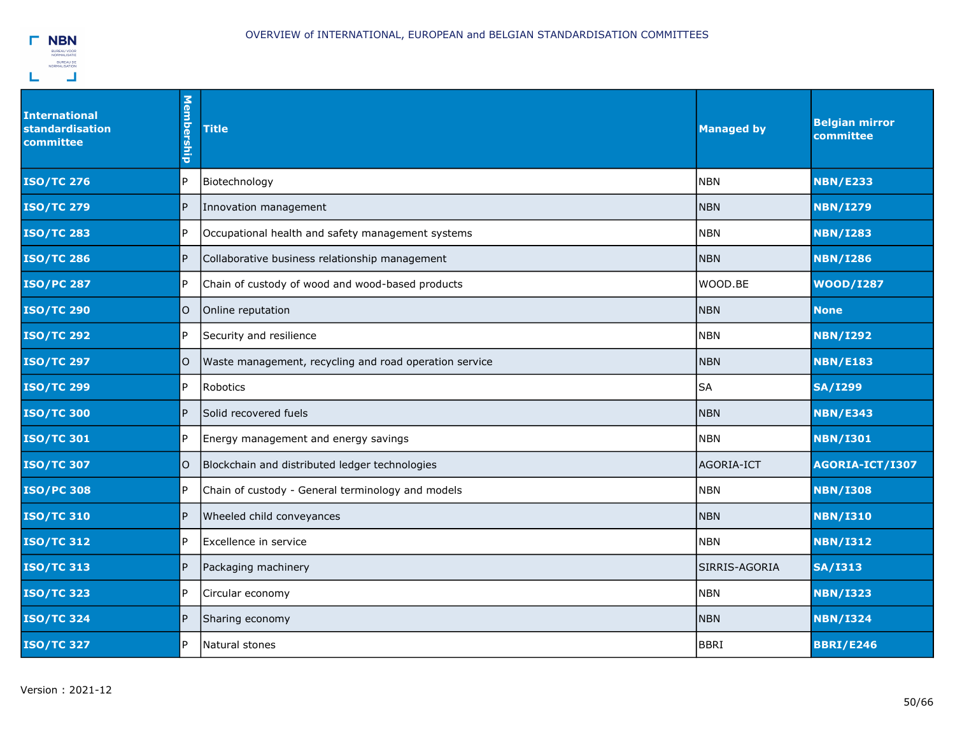

| <b>International</b><br>standardisation<br>committee | Membership  | <b>Title</b>                                           | <b>Managed by</b> | <b>Belgian mirror</b><br>committee |
|------------------------------------------------------|-------------|--------------------------------------------------------|-------------------|------------------------------------|
| <b>ISO/TC 276</b>                                    | P.          | Biotechnology                                          | <b>NBN</b>        | <b>NBN/E233</b>                    |
| <b>ISO/TC 279</b>                                    | l P         | Innovation management                                  | <b>NBN</b>        | <b>NBN/I279</b>                    |
| <b>ISO/TC 283</b>                                    | l P         | Occupational health and safety management systems      | <b>NBN</b>        | <b>NBN/I283</b>                    |
| <b>ISO/TC 286</b>                                    | P           | Collaborative business relationship management         | <b>NBN</b>        | <b>NBN/I286</b>                    |
| <b>ISO/PC 287</b>                                    | l P         | Chain of custody of wood and wood-based products       | WOOD.BE           | <b>WOOD/I287</b>                   |
| <b>ISO/TC 290</b>                                    | lO.         | Online reputation                                      | <b>NBN</b>        | <b>None</b>                        |
| <b>ISO/TC 292</b>                                    | lP.         | Security and resilience                                | <b>NBN</b>        | <b>NBN/I292</b>                    |
| <b>ISO/TC 297</b>                                    | O           | Waste management, recycling and road operation service | <b>NBN</b>        | <b>NBN/E183</b>                    |
| <b>ISO/TC 299</b>                                    | l P         | Robotics                                               | <b>SA</b>         | <b>SA/I299</b>                     |
| <b>ISO/TC 300</b>                                    | l P         | Solid recovered fuels                                  | <b>NBN</b>        | <b>NBN/E343</b>                    |
| <b>ISO/TC 301</b>                                    | P.          | Energy management and energy savings                   | <b>NBN</b>        | <b>NBN/I301</b>                    |
| <b>ISO/TC 307</b>                                    | $\mathsf O$ | Blockchain and distributed ledger technologies         | AGORIA-ICT        | AGORIA-ICT/I307                    |
| <b>ISO/PC 308</b>                                    | IP.         | Chain of custody - General terminology and models      | <b>NBN</b>        | <b>NBN/I308</b>                    |
| <b>ISO/TC 310</b>                                    | P           | Wheeled child conveyances                              | <b>NBN</b>        | <b>NBN/I310</b>                    |
| <b>ISO/TC 312</b>                                    | P.          | Excellence in service                                  | <b>NBN</b>        | <b>NBN/I312</b>                    |
| <b>ISO/TC 313</b>                                    | IP.         | Packaging machinery                                    | SIRRIS-AGORIA     | <b>SA/I313</b>                     |
| <b>ISO/TC 323</b>                                    | IP.         | Circular economy                                       | <b>NBN</b>        | <b>NBN/I323</b>                    |
| <b>ISO/TC 324</b>                                    | IP.         | Sharing economy                                        | <b>NBN</b>        | <b>NBN/I324</b>                    |
| <b>ISO/TC 327</b>                                    | IP.         | Natural stones                                         | <b>BBRI</b>       | <b>BBRI/E246</b>                   |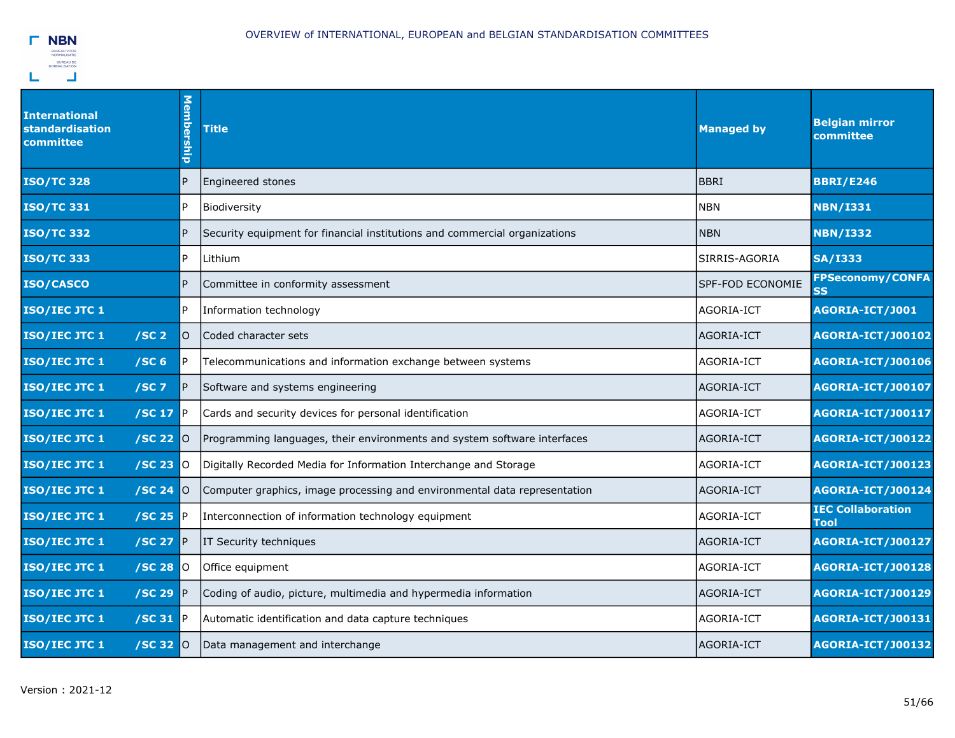

| <b>International</b><br>standardisation<br>committee |                | Membership      | <b>Title</b>                                                               | <b>Managed by</b> | <b>Belgian mirror</b><br>committee   |
|------------------------------------------------------|----------------|-----------------|----------------------------------------------------------------------------|-------------------|--------------------------------------|
| <b>ISO/TC 328</b>                                    |                | P               | Engineered stones                                                          | <b>BBRI</b>       | <b>BBRI/E246</b>                     |
| <b>ISO/TC 331</b>                                    |                | $\mathsf{P}$    | Biodiversity                                                               | <b>NBN</b>        | <b>NBN/I331</b>                      |
| <b>ISO/TC 332</b>                                    |                | <b>P</b>        | Security equipment for financial institutions and commercial organizations | <b>NBN</b>        | <b>NBN/I332</b>                      |
| <b>ISO/TC 333</b>                                    |                | $\mathsf{P}$    | Lithium                                                                    | SIRRIS-AGORIA     | <b>SA/I333</b>                       |
| ISO/CASCO                                            |                | $\overline{P}$  | Committee in conformity assessment                                         | SPF-FOD ECONOMIE  | <b>FPSeconomy/CONFA</b><br><b>SS</b> |
| ISO/IEC JTC 1                                        |                | $\mathsf{P}$    | Information technology                                                     | AGORIA-ICT        | AGORIA-ICT/J001                      |
| ISO/IEC JTC 1<br>/SC <sub>2</sub>                    |                | lO.             | lCoded character sets                                                      | <b>AGORIA-ICT</b> | <b>AGORIA-ICT/J00102</b>             |
| ISO/IEC JTC 1<br>/SC <sub>6</sub>                    |                | P               | Telecommunications and information exchange between systems                | AGORIA-ICT        | <b>AGORIA-ICT/J00106</b>             |
| ISO/IEC JTC 1<br>$/SC$ 7                             |                | $\mathsf{P}$    | Software and systems engineering                                           | AGORIA-ICT        | <b>AGORIA-ICT/J00107</b>             |
| ISO/IEC JTC 1                                        | /SC 17         | IP.             | Cards and security devices for personal identification                     | AGORIA-ICT        | <b>AGORIA-ICT/J00117</b>             |
| ISO/IEC JTC 1                                        | /SC 22 0       |                 | Programming languages, their environments and system software interfaces   | AGORIA-ICT        | <b>AGORIA-ICT/J00122</b>             |
| ISO/IEC JTC 1                                        | /SC 23         | $\overline{10}$ | Digitally Recorded Media for Information Interchange and Storage           | AGORIA-ICT        | <b>AGORIA-ICT/J00123</b>             |
| ISO/IEC JTC 1                                        | /SC 24         | IO.             | Computer graphics, image processing and environmental data representation  | AGORIA-ICT        | <b>AGORIA-ICT/J00124</b>             |
| ISO/IEC JTC 1                                        | /SC 25         | IP.             | Interconnection of information technology equipment                        | AGORIA-ICT        | <b>IEC Collaboration</b><br>Tool     |
| ISO/IEC JTC 1                                        | /SC 27         | IP.             | IT Security techniques                                                     | AGORIA-ICT        | <b>AGORIA-ICT/J00127</b>             |
| ISO/IEC JTC 1                                        | /SC 28 0       |                 | Office equipment                                                           | AGORIA-ICT        | <b>AGORIA-ICT/J00128</b>             |
| ISO/IEC JTC 1                                        | /SC 29         | IP.             | Coding of audio, picture, multimedia and hypermedia information            | AGORIA-ICT        | <b>AGORIA-ICT/J00129</b>             |
| ISO/IEC JTC 1                                        | /SC 31         | <b>IP</b>       | Automatic identification and data capture techniques                       | AGORIA-ICT        | <b>AGORIA-ICT/J00131</b>             |
| ISO/IEC JTC 1                                        | $/SC$ 32 $ 0 $ |                 | Data management and interchange                                            | AGORIA-ICT        | <b>AGORIA-ICT/J00132</b>             |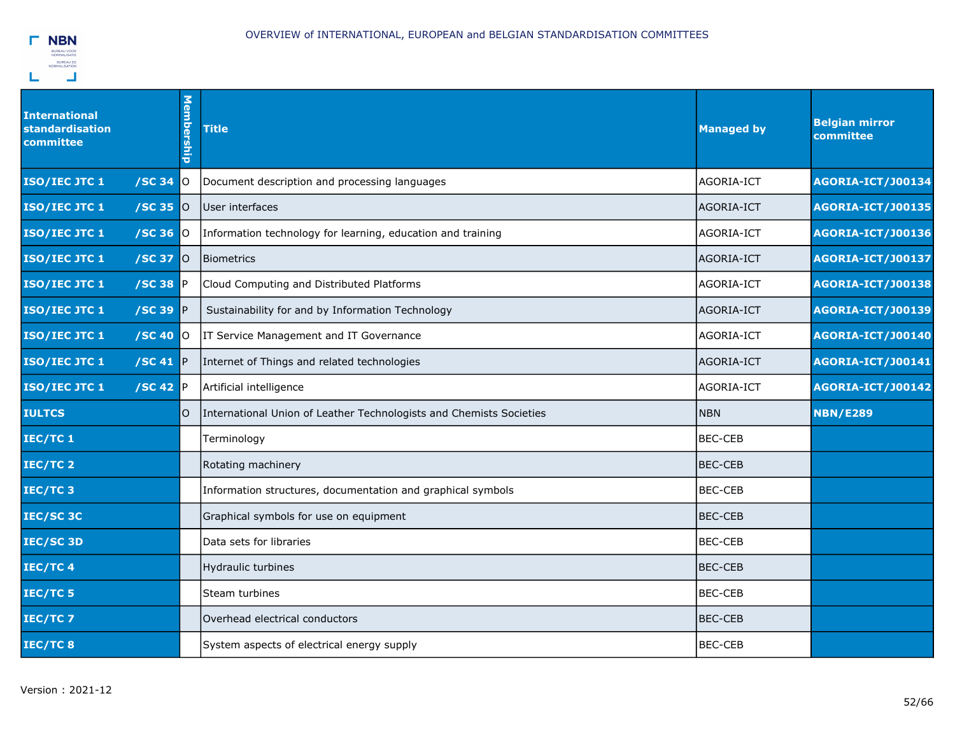

| <b>International</b><br><b>standardisation</b><br>committee |                  | <b>Membership</b> | <b>Title</b>                                                        | <b>Managed by</b> | <b>Belgian mirror</b><br>committee |
|-------------------------------------------------------------|------------------|-------------------|---------------------------------------------------------------------|-------------------|------------------------------------|
| ISO/IEC JTC 1                                               | /SC 34           | IO.               | Document description and processing languages                       | AGORIA-ICT        | <b>AGORIA-ICT/J00134</b>           |
| ISO/IEC JTC 1                                               | /SC 35           | 0                 | User interfaces                                                     | AGORIA-ICT        | <b>AGORIA-ICT/J00135</b>           |
| ISO/IEC JTC 1                                               | $/SC$ 36 $O$     |                   | Information technology for learning, education and training         | AGORIA-ICT        | <b>AGORIA-ICT/J00136</b>           |
| ISO/IEC JTC 1                                               | /SC 37           | <b>O</b>          | Biometrics                                                          | AGORIA-ICT        | <b>AGORIA-ICT/J00137</b>           |
| ISO/IEC JTC 1                                               | /SC 38 P         |                   | Cloud Computing and Distributed Platforms                           | lagoria-ict       | <b>AGORIA-ICT/J00138</b>           |
| ISO/IEC JTC 1                                               | $/SC$ 39 $P$     |                   | Sustainability for and by Information Technology                    | AGORIA-ICT        | <b>AGORIA-ICT/J00139</b>           |
| ISO/IEC JTC 1                                               | /SC 40           | IО                | IT Service Management and IT Governance                             | AGORIA-ICT        | <b>AGORIA-ICT/J00140</b>           |
| ISO/IEC JTC 1                                               | /SC 41 $\vert$ P |                   | Internet of Things and related technologies                         | AGORIA-ICT        | <b>AGORIA-ICT/J00141</b>           |
| ISO/IEC JTC 1                                               | $/SC$ 42 $P$     |                   | Artificial intelligence                                             | AGORIA-ICT        | <b>AGORIA-ICT/J00142</b>           |
| <b>IULTCS</b>                                               |                  | $\circ$           | International Union of Leather Technologists and Chemists Societies | <b>NBN</b>        | <b>NBN/E289</b>                    |
| IEC/TC 1                                                    |                  |                   | Terminology                                                         | <b>BEC-CEB</b>    |                                    |
| IEC/TC 2                                                    |                  |                   | Rotating machinery                                                  | BEC-CEB           |                                    |
| IEC/TC 3                                                    |                  |                   | Information structures, documentation and graphical symbols         | <b>BEC-CEB</b>    |                                    |
| IEC/SC 3C                                                   |                  |                   | Graphical symbols for use on equipment                              | <b>BEC-CEB</b>    |                                    |
| IEC/SC 3D                                                   |                  |                   | Data sets for libraries                                             | <b>BEC-CEB</b>    |                                    |
| IEC/TC 4                                                    |                  |                   | Hydraulic turbines                                                  | <b>BEC-CEB</b>    |                                    |
| IEC/TC 5                                                    |                  |                   | Steam turbines                                                      | <b>BEC-CEB</b>    |                                    |
| IEC/TC 7                                                    |                  |                   | Overhead electrical conductors                                      | <b>BEC-CEB</b>    |                                    |
| IEC/TC8                                                     |                  |                   | System aspects of electrical energy supply                          | <b>BEC-CEB</b>    |                                    |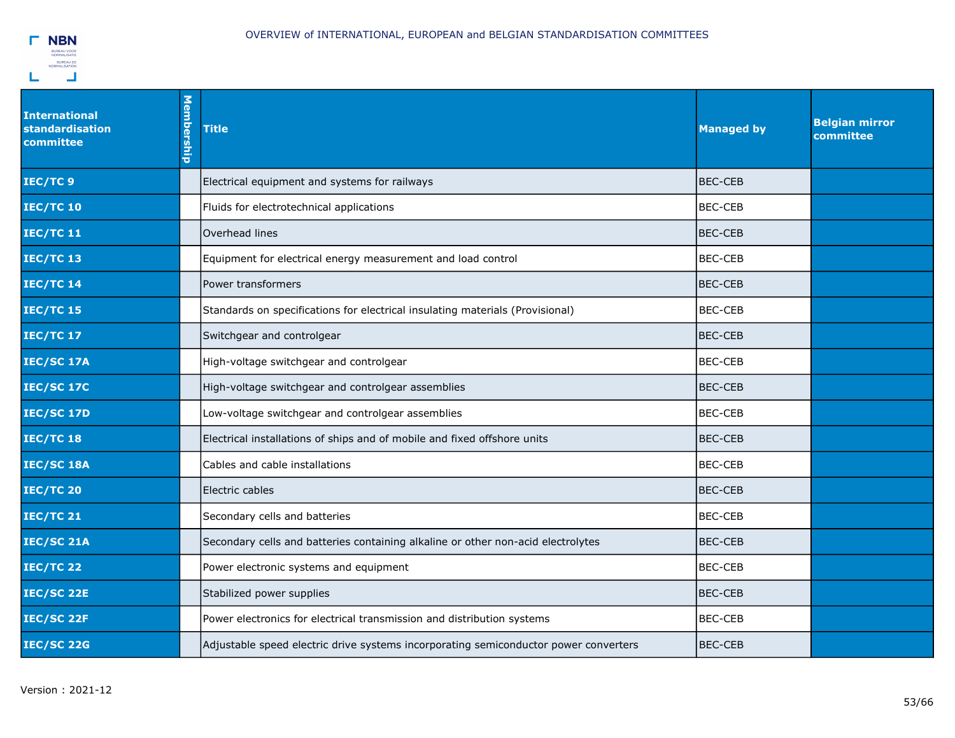

| <b>International</b><br><b>standardisation</b><br>committee | Membership | <b>Title</b>                                                                         | <b>Managed by</b> | <b>Belgian mirror</b><br>committee |
|-------------------------------------------------------------|------------|--------------------------------------------------------------------------------------|-------------------|------------------------------------|
| IEC/TC 9                                                    |            | Electrical equipment and systems for railways                                        | IBEC-CEB          |                                    |
| <b>IEC/TC 10</b>                                            |            | Fluids for electrotechnical applications                                             | <b>BEC-CEB</b>    |                                    |
| <b>IEC/TC 11</b>                                            |            | Overhead lines                                                                       | <b>BEC-CEB</b>    |                                    |
| <b>IEC/TC 13</b>                                            |            | Equipment for electrical energy measurement and load control                         | <b>BEC-CEB</b>    |                                    |
| <b>IEC/TC 14</b>                                            |            | Power transformers                                                                   | <b>BEC-CEB</b>    |                                    |
| <b>IEC/TC 15</b>                                            |            | Standards on specifications for electrical insulating materials (Provisional)        | <b>BEC-CEB</b>    |                                    |
| <b>IEC/TC 17</b>                                            |            | Switchgear and controlgear                                                           | <b>BEC-CEB</b>    |                                    |
| <b>IEC/SC 17A</b>                                           |            | High-voltage switchgear and controlgear                                              | <b>BEC-CEB</b>    |                                    |
| <b>IEC/SC 17C</b>                                           |            | High-voltage switchgear and controlgear assemblies                                   | <b>BEC-CEB</b>    |                                    |
| <b>IEC/SC 17D</b>                                           |            | Low-voltage switchgear and controlgear assemblies                                    | <b>BEC-CEB</b>    |                                    |
| <b>IEC/TC 18</b>                                            |            | Electrical installations of ships and of mobile and fixed offshore units             | <b>BEC-CEB</b>    |                                    |
| IEC/SC 18A                                                  |            | Cables and cable installations                                                       | <b>BEC-CEB</b>    |                                    |
| <b>IEC/TC 20</b>                                            |            | Electric cables                                                                      | <b>BEC-CEB</b>    |                                    |
| <b>IEC/TC 21</b>                                            |            | Secondary cells and batteries                                                        | <b>BEC-CEB</b>    |                                    |
| <b>IEC/SC 21A</b>                                           |            | Secondary cells and batteries containing alkaline or other non-acid electrolytes     | <b>BEC-CEB</b>    |                                    |
| <b>IEC/TC 22</b>                                            |            | Power electronic systems and equipment                                               | BEC-CEB           |                                    |
| <b>IEC/SC 22E</b>                                           |            | Stabilized power supplies                                                            | IBEC-CEB          |                                    |
| <b>IEC/SC 22F</b>                                           |            | Power electronics for electrical transmission and distribution systems               | <b>BEC-CEB</b>    |                                    |
| <b>IEC/SC 22G</b>                                           |            | Adjustable speed electric drive systems incorporating semiconductor power converters | BEC-CEB           |                                    |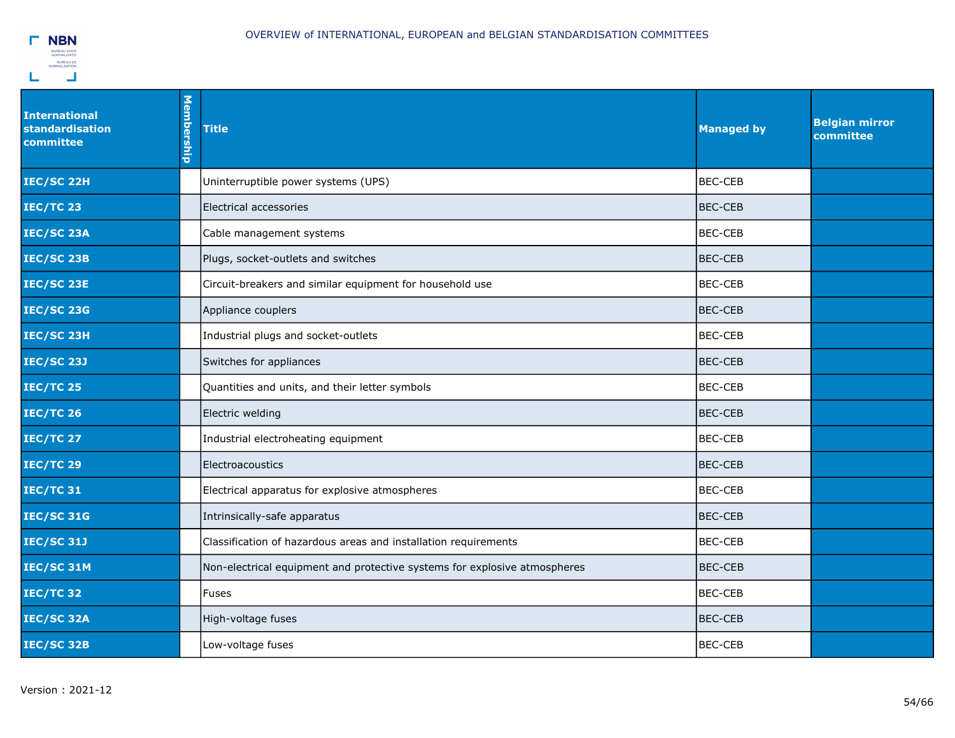

| <b>International</b><br><b>standardisation</b><br>committee | Membership | <b>Title</b>                                                              | <b>Managed by</b> | <b>Belgian mirror</b><br>committee |
|-------------------------------------------------------------|------------|---------------------------------------------------------------------------|-------------------|------------------------------------|
| IEC/SC 22H                                                  |            | Uninterruptible power systems (UPS)                                       | <b>BEC-CEB</b>    |                                    |
| <b>IEC/TC 23</b>                                            |            | Electrical accessories                                                    | <b>BEC-CEB</b>    |                                    |
| IEC/SC 23A                                                  |            | Cable management systems                                                  | <b>BEC-CEB</b>    |                                    |
| IEC/SC 23B                                                  |            | Plugs, socket-outlets and switches                                        | <b>BEC-CEB</b>    |                                    |
| <b>IEC/SC 23E</b>                                           |            | Circuit-breakers and similar equipment for household use                  | <b>BEC-CEB</b>    |                                    |
| <b>IEC/SC 23G</b>                                           |            | Appliance couplers                                                        | <b>BEC-CEB</b>    |                                    |
| IEC/SC 23H                                                  |            | Industrial plugs and socket-outlets                                       | <b>BEC-CEB</b>    |                                    |
| <b>IEC/SC 23J</b>                                           |            | Switches for appliances                                                   | <b>BEC-CEB</b>    |                                    |
| <b>IEC/TC 25</b>                                            |            | Quantities and units, and their letter symbols                            | <b>BEC-CEB</b>    |                                    |
| <b>IEC/TC 26</b>                                            |            | Electric welding                                                          | BEC-CEB           |                                    |
| <b>IEC/TC 27</b>                                            |            | Industrial electroheating equipment                                       | <b>BEC-CEB</b>    |                                    |
| <b>IEC/TC 29</b>                                            |            | Electroacoustics                                                          | BEC-CEB           |                                    |
| <b>IEC/TC 31</b>                                            |            | Electrical apparatus for explosive atmospheres                            | <b>BEC-CEB</b>    |                                    |
| <b>IEC/SC 31G</b>                                           |            | Intrinsically-safe apparatus                                              | <b>BEC-CEB</b>    |                                    |
| <b>IEC/SC 31J</b>                                           |            | Classification of hazardous areas and installation requirements           | <b>BEC-CEB</b>    |                                    |
| IEC/SC 31M                                                  |            | Non-electrical equipment and protective systems for explosive atmospheres | <b>BEC-CEB</b>    |                                    |
| <b>IEC/TC 32</b>                                            |            | <b>Fuses</b>                                                              | <b>BEC-CEB</b>    |                                    |
| IEC/SC 32A                                                  |            | High-voltage fuses                                                        | <b>BEC-CEB</b>    |                                    |
| IEC/SC 32B                                                  |            | Low-voltage fuses                                                         | <b>BEC-CEB</b>    |                                    |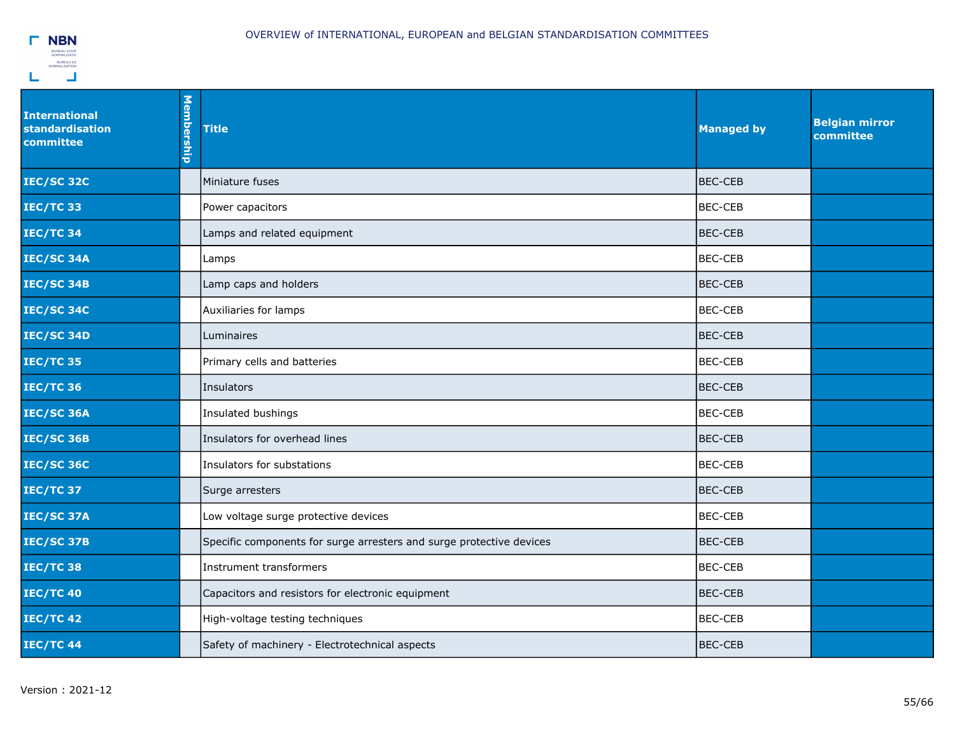

| <b>International</b><br>standardisation<br>committee | Membership | <b>Title</b>                                                         | <b>Managed by</b> | <b>Belgian mirror</b><br>committee |
|------------------------------------------------------|------------|----------------------------------------------------------------------|-------------------|------------------------------------|
| <b>IEC/SC 32C</b>                                    |            | Miniature fuses                                                      | BEC-CEB           |                                    |
| <b>IEC/TC 33</b>                                     |            | Power capacitors                                                     | <b>BEC-CEB</b>    |                                    |
| <b>IEC/TC 34</b>                                     |            | Lamps and related equipment                                          | BEC-CEB           |                                    |
| IEC/SC 34A                                           |            | Lamps                                                                | <b>BEC-CEB</b>    |                                    |
| <b>IEC/SC 34B</b>                                    |            | Lamp caps and holders                                                | BEC-CEB           |                                    |
| <b>IEC/SC 34C</b>                                    |            | Auxiliaries for lamps                                                | <b>BEC-CEB</b>    |                                    |
| IEC/SC 34D                                           |            | Luminaires                                                           | BEC-CEB           |                                    |
| <b>IEC/TC 35</b>                                     |            | Primary cells and batteries                                          | <b>BEC-CEB</b>    |                                    |
| <b>IEC/TC 36</b>                                     |            | Insulators                                                           | <b>BEC-CEB</b>    |                                    |
| <b>IEC/SC 36A</b>                                    |            | Insulated bushings                                                   | <b>BEC-CEB</b>    |                                    |
| <b>IEC/SC 36B</b>                                    |            | Insulators for overhead lines                                        | BEC-CEB           |                                    |
| <b>IEC/SC 36C</b>                                    |            | Insulators for substations                                           | BEC-CEB           |                                    |
| <b>IEC/TC 37</b>                                     |            | Surge arresters                                                      | <b>BEC-CEB</b>    |                                    |
| <b>IEC/SC 37A</b>                                    |            | Low voltage surge protective devices                                 | <b>BEC-CEB</b>    |                                    |
| <b>IEC/SC 37B</b>                                    |            | Specific components for surge arresters and surge protective devices | <b>BEC-CEB</b>    |                                    |
| <b>IEC/TC 38</b>                                     |            | Instrument transformers                                              | <b>BEC-CEB</b>    |                                    |
| <b>IEC/TC 40</b>                                     |            | Capacitors and resistors for electronic equipment                    | <b>BEC-CEB</b>    |                                    |
| <b>IEC/TC 42</b>                                     |            | High-voltage testing techniques                                      | <b>BEC-CEB</b>    |                                    |
| <b>IEC/TC 44</b>                                     |            | Safety of machinery - Electrotechnical aspects                       | <b>IBEC-CEB</b>   |                                    |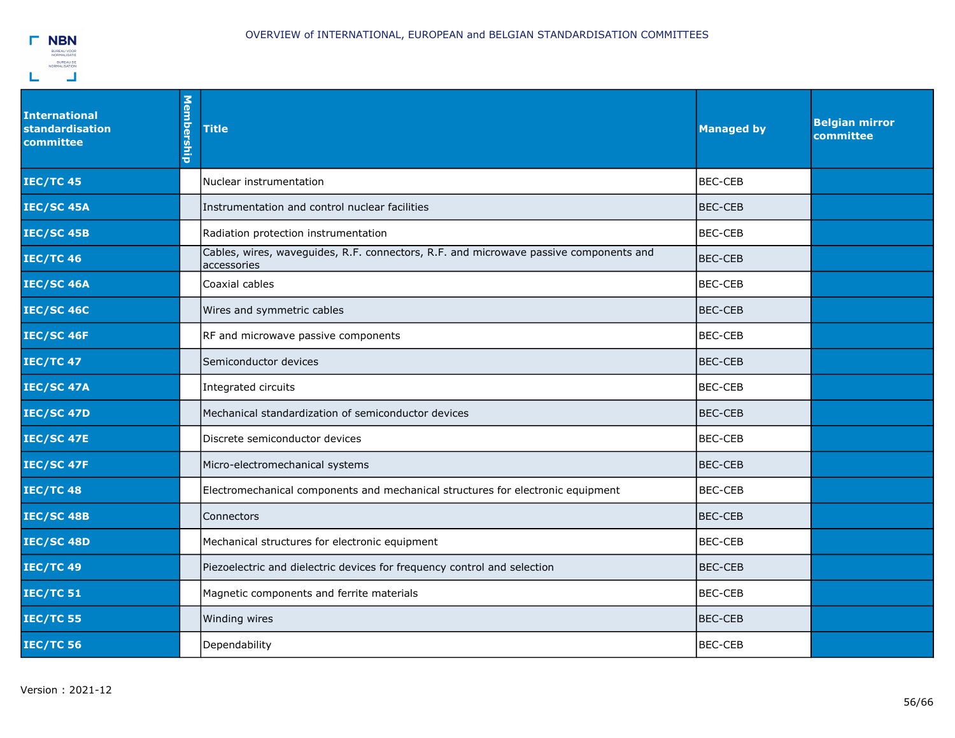

| <b>International</b><br>standardisation<br>committee | Membership | <b>Title</b>                                                                                         | <b>Managed by</b> | <b>Belgian mirror</b><br>committee |
|------------------------------------------------------|------------|------------------------------------------------------------------------------------------------------|-------------------|------------------------------------|
| <b>IEC/TC 45</b>                                     |            | Nuclear instrumentation                                                                              | <b>BEC-CEB</b>    |                                    |
| <b>IEC/SC 45A</b>                                    |            | Instrumentation and control nuclear facilities                                                       | <b>BEC-CEB</b>    |                                    |
| <b>IEC/SC 45B</b>                                    |            | Radiation protection instrumentation                                                                 | <b>BEC-CEB</b>    |                                    |
| <b>IEC/TC 46</b>                                     |            | Cables, wires, waveguides, R.F. connectors, R.F. and microwave passive components and<br>accessories | <b>BEC-CEB</b>    |                                    |
| <b>IEC/SC 46A</b>                                    |            | Coaxial cables                                                                                       | <b>BEC-CEB</b>    |                                    |
| <b>IEC/SC 46C</b>                                    |            | Wires and symmetric cables                                                                           | BEC-CEB           |                                    |
| <b>IEC/SC 46F</b>                                    |            | RF and microwave passive components                                                                  | IBEC-CEB          |                                    |
| <b>IEC/TC 47</b>                                     |            | Semiconductor devices                                                                                | <b>BEC-CEB</b>    |                                    |
| <b>IEC/SC 47A</b>                                    |            | Integrated circuits                                                                                  | <b>BEC-CEB</b>    |                                    |
| <b>IEC/SC 47D</b>                                    |            | Mechanical standardization of semiconductor devices                                                  | <b>BEC-CEB</b>    |                                    |
| <b>IEC/SC 47E</b>                                    |            | Discrete semiconductor devices                                                                       | <b>BEC-CEB</b>    |                                    |
| <b>IEC/SC 47F</b>                                    |            | Micro-electromechanical systems                                                                      | BEC-CEB           |                                    |
| <b>IEC/TC 48</b>                                     |            | Electromechanical components and mechanical structures for electronic equipment                      | <b>BEC-CEB</b>    |                                    |
| <b>IEC/SC 48B</b>                                    |            | Connectors                                                                                           | <b>BEC-CEB</b>    |                                    |
| <b>IEC/SC 48D</b>                                    |            | Mechanical structures for electronic equipment                                                       | <b>BEC-CEB</b>    |                                    |
| <b>IEC/TC 49</b>                                     |            | Piezoelectric and dielectric devices for frequency control and selection                             | <b>BEC-CEB</b>    |                                    |
| <b>IEC/TC 51</b>                                     |            | Magnetic components and ferrite materials                                                            | <b>BEC-CEB</b>    |                                    |
| <b>IEC/TC 55</b>                                     |            | Winding wires                                                                                        | <b>BEC-CEB</b>    |                                    |
| <b>IEC/TC 56</b>                                     |            | Dependability                                                                                        | <b>BEC-CEB</b>    |                                    |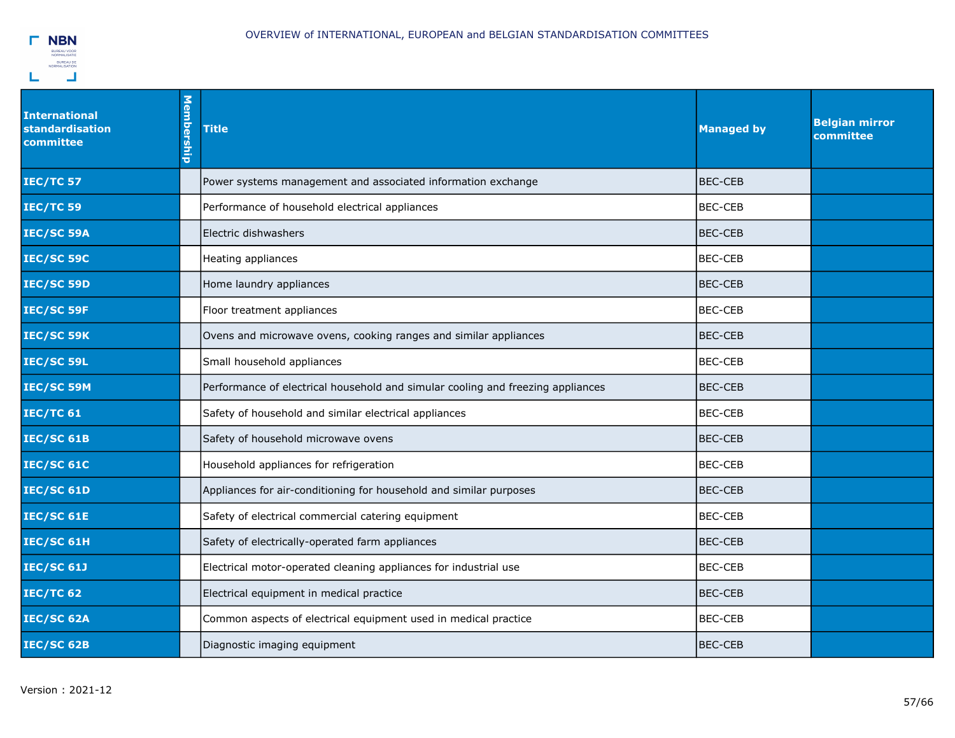

| <b>International</b><br>standardisation<br>committee | Membership | <b>Title</b>                                                                    | <b>Managed by</b> | <b>Belgian mirror</b><br>committee |
|------------------------------------------------------|------------|---------------------------------------------------------------------------------|-------------------|------------------------------------|
| <b>IEC/TC 57</b>                                     |            | Power systems management and associated information exchange                    | <b>BEC-CEB</b>    |                                    |
| <b>IEC/TC 59</b>                                     |            | Performance of household electrical appliances                                  | <b>BEC-CEB</b>    |                                    |
| IEC/SC 59A                                           |            | Electric dishwashers                                                            | <b>IBEC-CEB</b>   |                                    |
| <b>IEC/SC 59C</b>                                    |            | Heating appliances                                                              | <b>BEC-CEB</b>    |                                    |
| IEC/SC 59D                                           |            | Home laundry appliances                                                         | BEC-CEB           |                                    |
| IEC/SC 59F                                           |            | Floor treatment appliances                                                      | BEC-CEB           |                                    |
| IEC/SC 59K                                           |            | Ovens and microwave ovens, cooking ranges and similar appliances                | BEC-CEB           |                                    |
| IEC/SC 59L                                           |            | Small household appliances                                                      | <b>BEC-CEB</b>    |                                    |
| IEC/SC 59M                                           |            | Performance of electrical household and simular cooling and freezing appliances | <b>BEC-CEB</b>    |                                    |
| <b>IEC/TC 61</b>                                     |            | Safety of household and similar electrical appliances                           | <b>BEC-CEB</b>    |                                    |
| <b>IEC/SC 61B</b>                                    |            | Safety of household microwave ovens                                             | <b>BEC-CEB</b>    |                                    |
| <b>IEC/SC 61C</b>                                    |            | Household appliances for refrigeration                                          | <b>BEC-CEB</b>    |                                    |
| <b>IEC/SC 61D</b>                                    |            | Appliances for air-conditioning for household and similar purposes              | <b>BEC-CEB</b>    |                                    |
| <b>IEC/SC 61E</b>                                    |            | Safety of electrical commercial catering equipment                              | <b>BEC-CEB</b>    |                                    |
| IEC/SC 61H                                           |            | Safety of electrically-operated farm appliances                                 | BEC-CEB           |                                    |
| <b>IEC/SC 61J</b>                                    |            | Electrical motor-operated cleaning appliances for industrial use                | <b>BEC-CEB</b>    |                                    |
| <b>IEC/TC 62</b>                                     |            | Electrical equipment in medical practice                                        | <b>BEC-CEB</b>    |                                    |
| IEC/SC 62A                                           |            | Common aspects of electrical equipment used in medical practice                 | <b>BEC-CEB</b>    |                                    |
| IEC/SC 62B                                           |            | Diagnostic imaging equipment                                                    | <b>IBEC-CEB</b>   |                                    |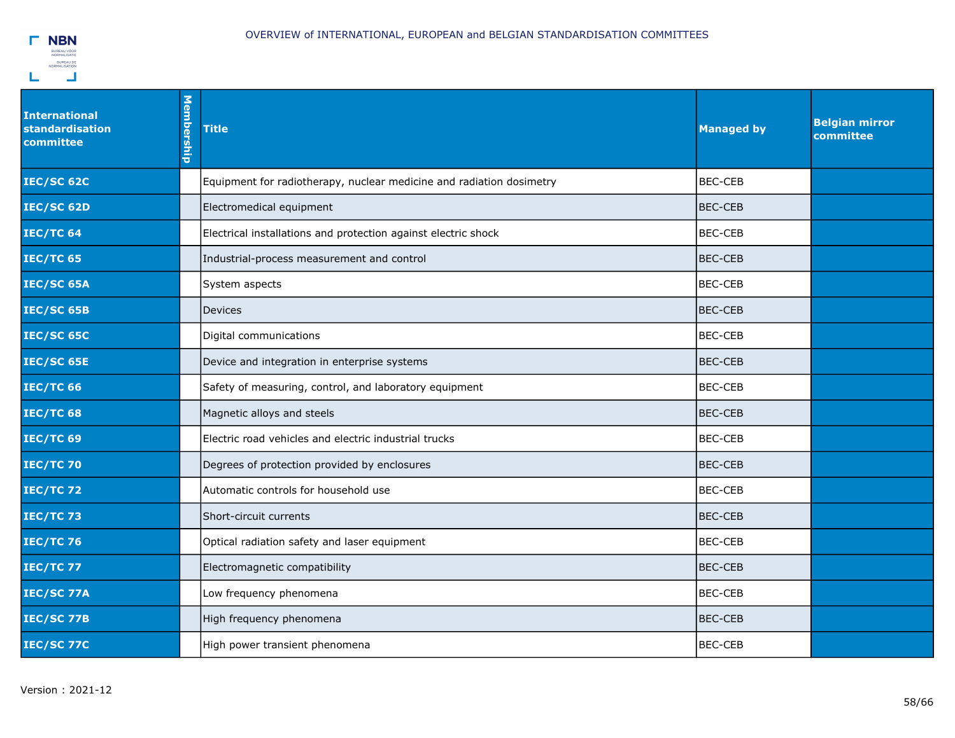

| <b>International</b><br>standardisation<br>committee | Membership | <b>Title</b>                                                         | <b>Managed by</b> | <b>Belgian mirror</b><br>committee |
|------------------------------------------------------|------------|----------------------------------------------------------------------|-------------------|------------------------------------|
| <b>IEC/SC 62C</b>                                    |            | Equipment for radiotherapy, nuclear medicine and radiation dosimetry | <b>BEC-CEB</b>    |                                    |
| IEC/SC 62D                                           |            | Electromedical equipment                                             | <b>BEC-CEB</b>    |                                    |
| <b>IEC/TC 64</b>                                     |            | Electrical installations and protection against electric shock       | <b>BEC-CEB</b>    |                                    |
| <b>IEC/TC 65</b>                                     |            | Industrial-process measurement and control                           | <b>BEC-CEB</b>    |                                    |
| IEC/SC 65A                                           |            | System aspects                                                       | <b>BEC-CEB</b>    |                                    |
| <b>IEC/SC 65B</b>                                    |            | <b>Devices</b>                                                       | <b>BEC-CEB</b>    |                                    |
| <b>IEC/SC 65C</b>                                    |            | Digital communications                                               | <b>BEC-CEB</b>    |                                    |
| <b>IEC/SC 65E</b>                                    |            | Device and integration in enterprise systems                         | <b>BEC-CEB</b>    |                                    |
| <b>IEC/TC 66</b>                                     |            | Safety of measuring, control, and laboratory equipment               | <b>BEC-CEB</b>    |                                    |
| <b>IEC/TC 68</b>                                     |            | Magnetic alloys and steels                                           | <b>BEC-CEB</b>    |                                    |
| <b>IEC/TC 69</b>                                     |            | Electric road vehicles and electric industrial trucks                | <b>BEC-CEB</b>    |                                    |
| <b>IEC/TC 70</b>                                     |            | Degrees of protection provided by enclosures                         | <b>BEC-CEB</b>    |                                    |
| <b>IEC/TC72</b>                                      |            | Automatic controls for household use                                 | <b>BEC-CEB</b>    |                                    |
| <b>IEC/TC73</b>                                      |            | Short-circuit currents                                               | <b>BEC-CEB</b>    |                                    |
| <b>IEC/TC 76</b>                                     |            | Optical radiation safety and laser equipment                         | <b>BEC-CEB</b>    |                                    |
| <b>IEC/TC 77</b>                                     |            | Electromagnetic compatibility                                        | <b>BEC-CEB</b>    |                                    |
| <b>IEC/SC 77A</b>                                    |            | Low frequency phenomena                                              | <b>BEC-CEB</b>    |                                    |
| <b>IEC/SC 77B</b>                                    |            | High frequency phenomena                                             | <b>BEC-CEB</b>    |                                    |
| <b>IEC/SC 77C</b>                                    |            | High power transient phenomena                                       | <b>BEC-CEB</b>    |                                    |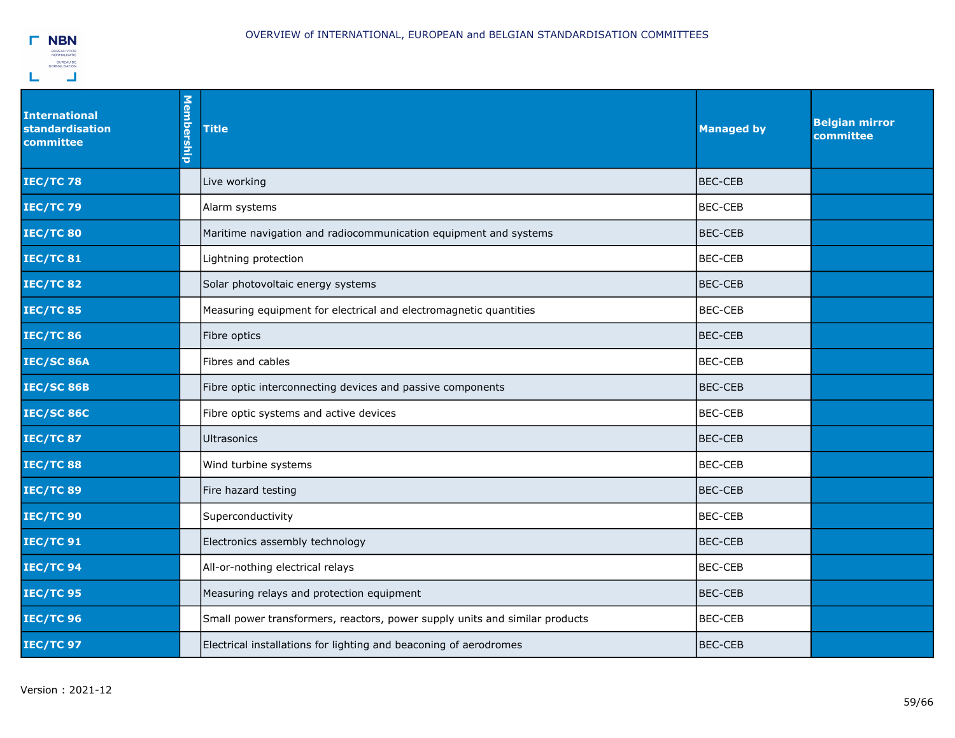

| <b>International</b><br><b>standardisation</b><br>committee | Membership | <b>Title</b>                                                                | <b>Managed by</b> | <b>Belgian mirror</b><br>committee |
|-------------------------------------------------------------|------------|-----------------------------------------------------------------------------|-------------------|------------------------------------|
| <b>IEC/TC78</b>                                             |            | Live working                                                                | <b>BEC-CEB</b>    |                                    |
| <b>IEC/TC79</b>                                             |            | Alarm systems                                                               | BEC-CEB           |                                    |
| <b>IEC/TC 80</b>                                            |            | Maritime navigation and radiocommunication equipment and systems            | <b>BEC-CEB</b>    |                                    |
| <b>IEC/TC 81</b>                                            |            | Lightning protection                                                        | <b>BEC-CEB</b>    |                                    |
| <b>IEC/TC 82</b>                                            |            | Solar photovoltaic energy systems                                           | <b>BEC-CEB</b>    |                                    |
| <b>IEC/TC 85</b>                                            |            | Measuring equipment for electrical and electromagnetic quantities           | BEC-CEB           |                                    |
| <b>IEC/TC 86</b>                                            |            | Fibre optics                                                                | <b>BEC-CEB</b>    |                                    |
| <b>IEC/SC 86A</b>                                           |            | Fibres and cables                                                           | <b>BEC-CEB</b>    |                                    |
| <b>IEC/SC 86B</b>                                           |            | Fibre optic interconnecting devices and passive components                  | <b>BEC-CEB</b>    |                                    |
| <b>IEC/SC 86C</b>                                           |            | Fibre optic systems and active devices                                      | <b>BEC-CEB</b>    |                                    |
| <b>IEC/TC 87</b>                                            |            | <b>Ultrasonics</b>                                                          | <b>BEC-CEB</b>    |                                    |
| <b>IEC/TC 88</b>                                            |            | Wind turbine systems                                                        | <b>BEC-CEB</b>    |                                    |
| <b>IEC/TC 89</b>                                            |            | Fire hazard testing                                                         | <b>BEC-CEB</b>    |                                    |
| <b>IEC/TC 90</b>                                            |            | Superconductivity                                                           | <b>BEC-CEB</b>    |                                    |
| <b>IEC/TC 91</b>                                            |            | Electronics assembly technology                                             | BEC-CEB           |                                    |
| <b>IEC/TC 94</b>                                            |            | All-or-nothing electrical relays                                            | <b>BEC-CEB</b>    |                                    |
| <b>IEC/TC 95</b>                                            |            | Measuring relays and protection equipment                                   | <b>BEC-CEB</b>    |                                    |
| <b>IEC/TC 96</b>                                            |            | Small power transformers, reactors, power supply units and similar products | <b>BEC-CEB</b>    |                                    |
| <b>IEC/TC 97</b>                                            |            | Electrical installations for lighting and beaconing of aerodromes           | <b>BEC-CEB</b>    |                                    |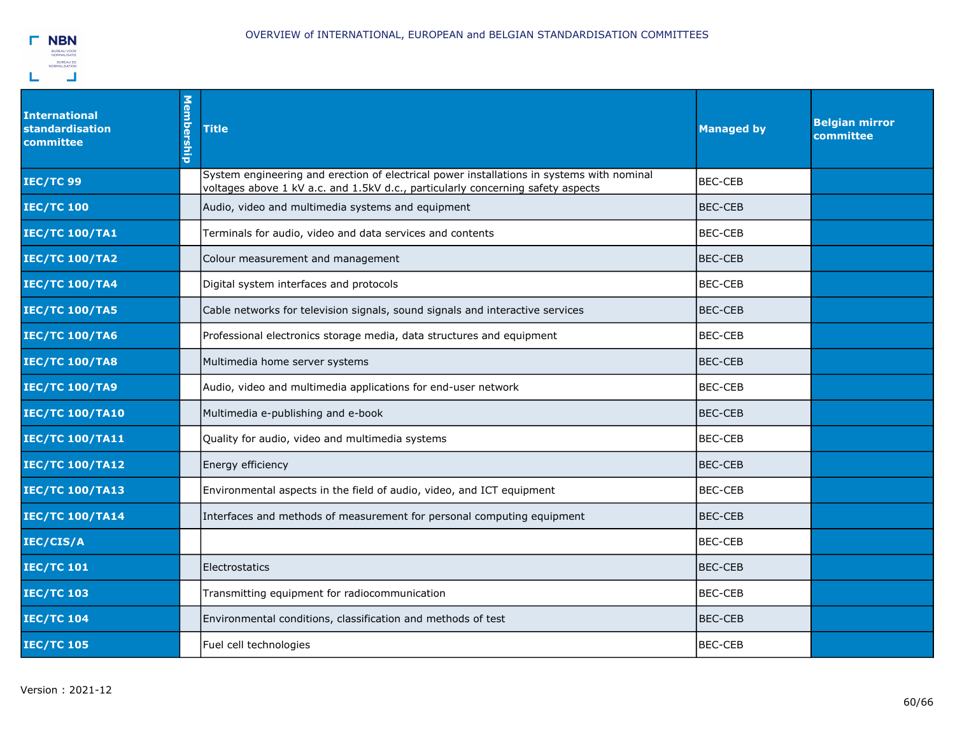

| <b>International</b><br>standardisation<br>committee | <b>Membership</b> | <b>Title</b>                                                                                                                                                                 | <b>Managed by</b> | <b>Belgian mirror</b><br>committee |
|------------------------------------------------------|-------------------|------------------------------------------------------------------------------------------------------------------------------------------------------------------------------|-------------------|------------------------------------|
| <b>IEC/TC 99</b>                                     |                   | System engineering and erection of electrical power installations in systems with nominal<br>voltages above 1 kV a.c. and 1.5kV d.c., particularly concerning safety aspects | <b>BEC-CEB</b>    |                                    |
| <b>IEC/TC 100</b>                                    |                   | Audio, video and multimedia systems and equipment                                                                                                                            | BEC-CEB           |                                    |
| <b>IEC/TC 100/TA1</b>                                |                   | Terminals for audio, video and data services and contents                                                                                                                    | <b>BEC-CEB</b>    |                                    |
| <b>IEC/TC 100/TA2</b>                                |                   | Colour measurement and management                                                                                                                                            | <b>BEC-CEB</b>    |                                    |
| <b>IEC/TC 100/TA4</b>                                |                   | Digital system interfaces and protocols                                                                                                                                      | <b>BEC-CEB</b>    |                                    |
| <b>IEC/TC 100/TA5</b>                                |                   | Cable networks for television signals, sound signals and interactive services                                                                                                | <b>BEC-CEB</b>    |                                    |
| <b>IEC/TC 100/TA6</b>                                |                   | Professional electronics storage media, data structures and equipment                                                                                                        | <b>BEC-CEB</b>    |                                    |
| <b>IEC/TC 100/TA8</b>                                |                   | Multimedia home server systems                                                                                                                                               | <b>BEC-CEB</b>    |                                    |
| <b>IEC/TC 100/TA9</b>                                |                   | Audio, video and multimedia applications for end-user network                                                                                                                | <b>BEC-CEB</b>    |                                    |
| <b>IEC/TC 100/TA10</b>                               |                   | Multimedia e-publishing and e-book                                                                                                                                           | <b>BEC-CEB</b>    |                                    |
| <b>IEC/TC 100/TA11</b>                               |                   | Quality for audio, video and multimedia systems                                                                                                                              | <b>BEC-CEB</b>    |                                    |
| <b>IEC/TC 100/TA12</b>                               |                   | Energy efficiency                                                                                                                                                            | <b>BEC-CEB</b>    |                                    |
| <b>IEC/TC 100/TA13</b>                               |                   | Environmental aspects in the field of audio, video, and ICT equipment                                                                                                        | <b>BEC-CEB</b>    |                                    |
| <b>IEC/TC 100/TA14</b>                               |                   | Interfaces and methods of measurement for personal computing equipment                                                                                                       | BEC-CEB           |                                    |
| IEC/CIS/A                                            |                   |                                                                                                                                                                              | <b>BEC-CEB</b>    |                                    |
| <b>IEC/TC 101</b>                                    |                   | Electrostatics                                                                                                                                                               | BEC-CEB           |                                    |
| <b>IEC/TC 103</b>                                    |                   | Transmitting equipment for radiocommunication                                                                                                                                | <b>BEC-CEB</b>    |                                    |
| <b>IEC/TC 104</b>                                    |                   | Environmental conditions, classification and methods of test                                                                                                                 | <b>BEC-CEB</b>    |                                    |
| <b>IEC/TC 105</b>                                    |                   | Fuel cell technologies                                                                                                                                                       | <b>BEC-CEB</b>    |                                    |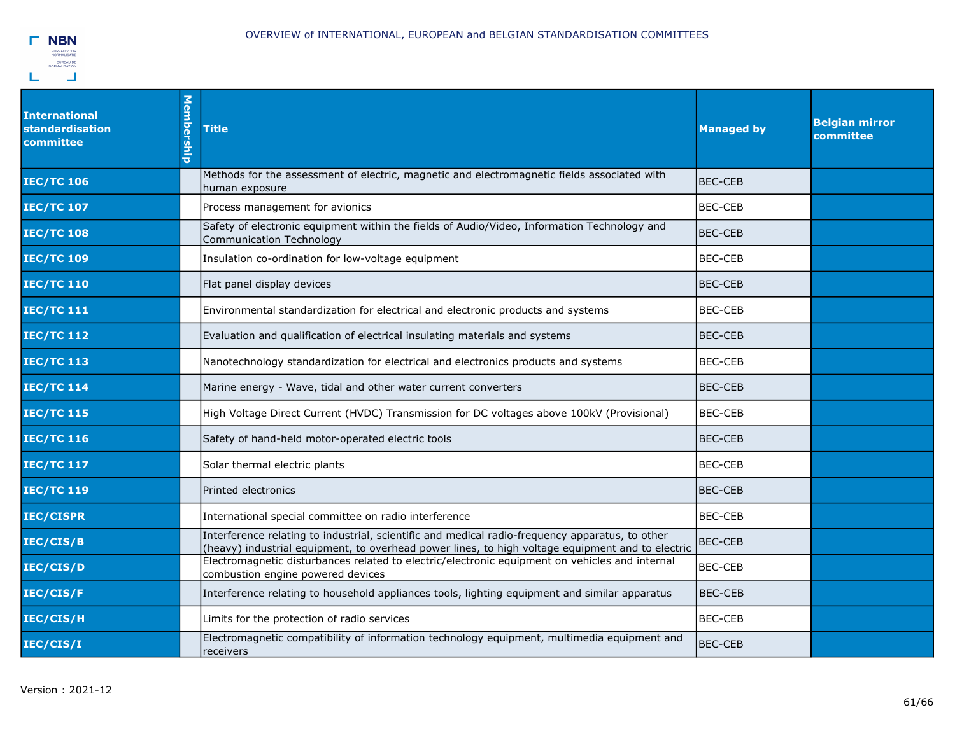

| <b>International</b><br><b>standardisation</b><br>committee | Membership | <b>Title</b>                                                                                                                                                                                        | <b>Managed by</b> | <b>Belgian mirror</b><br>committee |
|-------------------------------------------------------------|------------|-----------------------------------------------------------------------------------------------------------------------------------------------------------------------------------------------------|-------------------|------------------------------------|
| <b>IEC/TC 106</b>                                           |            | Methods for the assessment of electric, magnetic and electromagnetic fields associated with<br>human exposure                                                                                       | <b>BEC-CEB</b>    |                                    |
| <b>IEC/TC 107</b>                                           |            | Process management for avionics                                                                                                                                                                     | <b>BEC-CEB</b>    |                                    |
| <b>IEC/TC 108</b>                                           |            | Safety of electronic equipment within the fields of Audio/Video, Information Technology and<br>Communication Technology                                                                             | <b>BEC-CEB</b>    |                                    |
| <b>IEC/TC 109</b>                                           |            | Insulation co-ordination for low-voltage equipment                                                                                                                                                  | <b>BEC-CEB</b>    |                                    |
| <b>IEC/TC 110</b>                                           |            | Flat panel display devices                                                                                                                                                                          | <b>BEC-CEB</b>    |                                    |
| <b>IEC/TC 111</b>                                           |            | Environmental standardization for electrical and electronic products and systems                                                                                                                    | <b>BEC-CEB</b>    |                                    |
| <b>IEC/TC 112</b>                                           |            | Evaluation and qualification of electrical insulating materials and systems                                                                                                                         | <b>BEC-CEB</b>    |                                    |
| <b>IEC/TC 113</b>                                           |            | Nanotechnology standardization for electrical and electronics products and systems                                                                                                                  | <b>BEC-CEB</b>    |                                    |
| <b>IEC/TC 114</b>                                           |            | Marine energy - Wave, tidal and other water current converters                                                                                                                                      | <b>BEC-CEB</b>    |                                    |
| <b>IEC/TC 115</b>                                           |            | High Voltage Direct Current (HVDC) Transmission for DC voltages above 100kV (Provisional)                                                                                                           | <b>BEC-CEB</b>    |                                    |
| <b>IEC/TC 116</b>                                           |            | Safety of hand-held motor-operated electric tools                                                                                                                                                   | <b>BEC-CEB</b>    |                                    |
| <b>IEC/TC 117</b>                                           |            | Solar thermal electric plants                                                                                                                                                                       | <b>BEC-CEB</b>    |                                    |
| <b>IEC/TC 119</b>                                           |            | Printed electronics                                                                                                                                                                                 | <b>BEC-CEB</b>    |                                    |
| IEC/CISPR                                                   |            | International special committee on radio interference                                                                                                                                               | <b>BEC-CEB</b>    |                                    |
| IEC/CIS/B                                                   |            | Interference relating to industrial, scientific and medical radio-frequency apparatus, to other<br>(heavy) industrial equipment, to overhead power lines, to high voltage equipment and to electric | <b>BEC-CEB</b>    |                                    |
| IEC/CIS/D                                                   |            | Electromagnetic disturbances related to electric/electronic equipment on vehicles and internal<br>combustion engine powered devices                                                                 | <b>BEC-CEB</b>    |                                    |
| IEC/CIS/F                                                   |            | Interference relating to household appliances tools, lighting equipment and similar apparatus                                                                                                       | <b>BEC-CEB</b>    |                                    |
| IEC/CIS/H                                                   |            | Limits for the protection of radio services                                                                                                                                                         | <b>BEC-CEB</b>    |                                    |
| IEC/CIS/I                                                   |            | Electromagnetic compatibility of information technology equipment, multimedia equipment and<br>receivers                                                                                            | <b>BEC-CEB</b>    |                                    |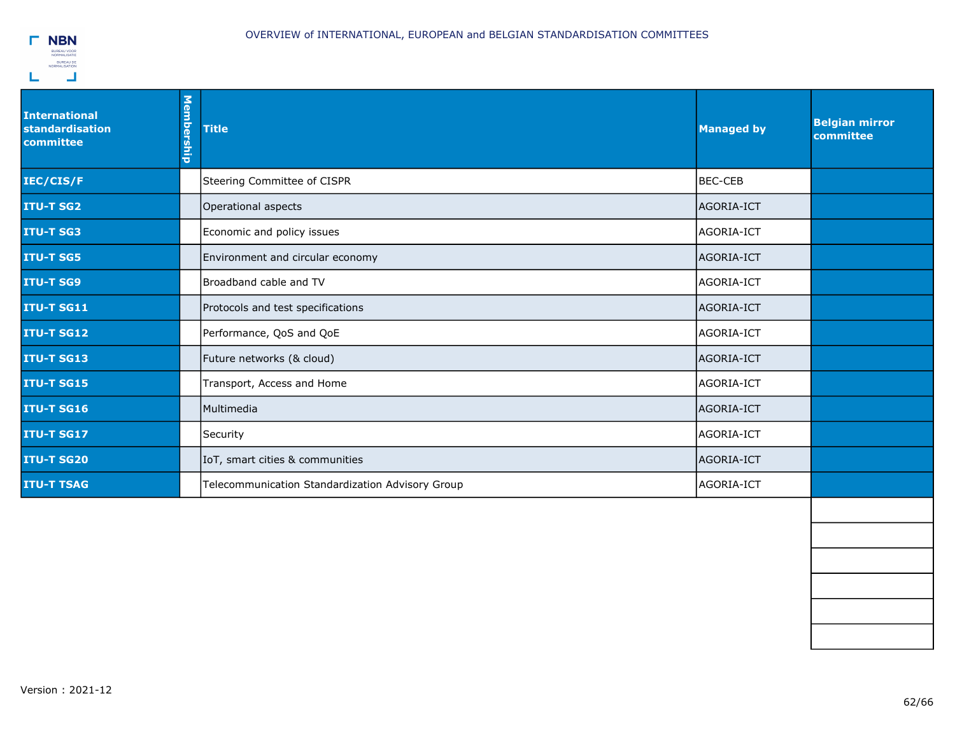

| <b>International</b><br>standardisation<br>committee | Membership | <b>Title</b>                                     | <b>Managed by</b> | <b>Belgian mirror</b><br>committee |
|------------------------------------------------------|------------|--------------------------------------------------|-------------------|------------------------------------|
| IEC/CIS/F                                            |            | Steering Committee of CISPR                      | BEC-CEB           |                                    |
| <b>ITU-T SG2</b>                                     |            | Operational aspects                              | AGORIA-ICT        |                                    |
| <b>ITU-T SG3</b>                                     |            | Economic and policy issues                       | AGORIA-ICT        |                                    |
| <b>ITU-T SG5</b>                                     |            | Environment and circular economy                 | AGORIA-ICT        |                                    |
| <b>ITU-T SG9</b>                                     |            | Broadband cable and TV                           | AGORIA-ICT        |                                    |
| <b>ITU-T SG11</b>                                    |            | Protocols and test specifications                | AGORIA-ICT        |                                    |
| <b>ITU-T SG12</b>                                    |            | Performance, QoS and QoE                         | AGORIA-ICT        |                                    |
| <b>ITU-T SG13</b>                                    |            | Future networks (& cloud)                        | AGORIA-ICT        |                                    |
| <b>ITU-T SG15</b>                                    |            | Transport, Access and Home                       | AGORIA-ICT        |                                    |
| <b>ITU-T SG16</b>                                    |            | <b>Multimedia</b>                                | AGORIA-ICT        |                                    |
| <b>ITU-T SG17</b>                                    |            | Security                                         | AGORIA-ICT        |                                    |
| <b>ITU-T SG20</b>                                    |            | IoT, smart cities & communities                  | AGORIA-ICT        |                                    |
| <b>ITU-T TSAG</b>                                    |            | Telecommunication Standardization Advisory Group | AGORIA-ICT        |                                    |
|                                                      |            |                                                  |                   |                                    |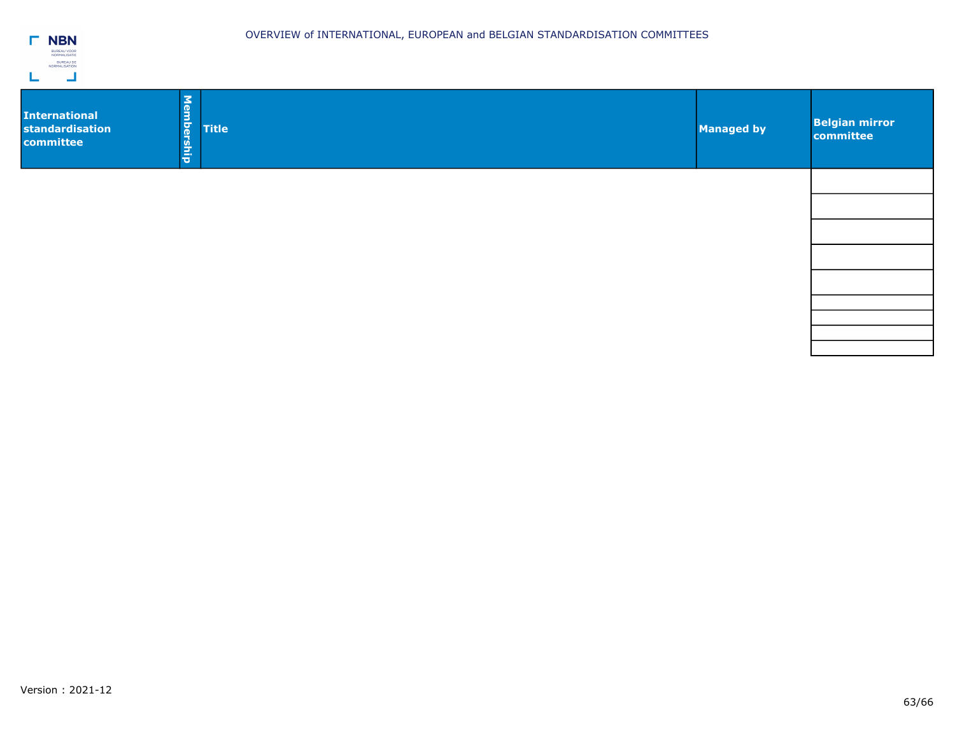| BN                                 |
|------------------------------------|
| <b>BUREAU VOOR</b><br>NORMALISATIE |
| <b>BUREAU DE</b><br>NORMALISATION  |
|                                    |

| <b>Title</b> | <b>Belgian mirror</b><br>committee |
|--------------|------------------------------------|
|              |                                    |
|              |                                    |
|              |                                    |
|              |                                    |
|              | <b>Managed by</b>                  |